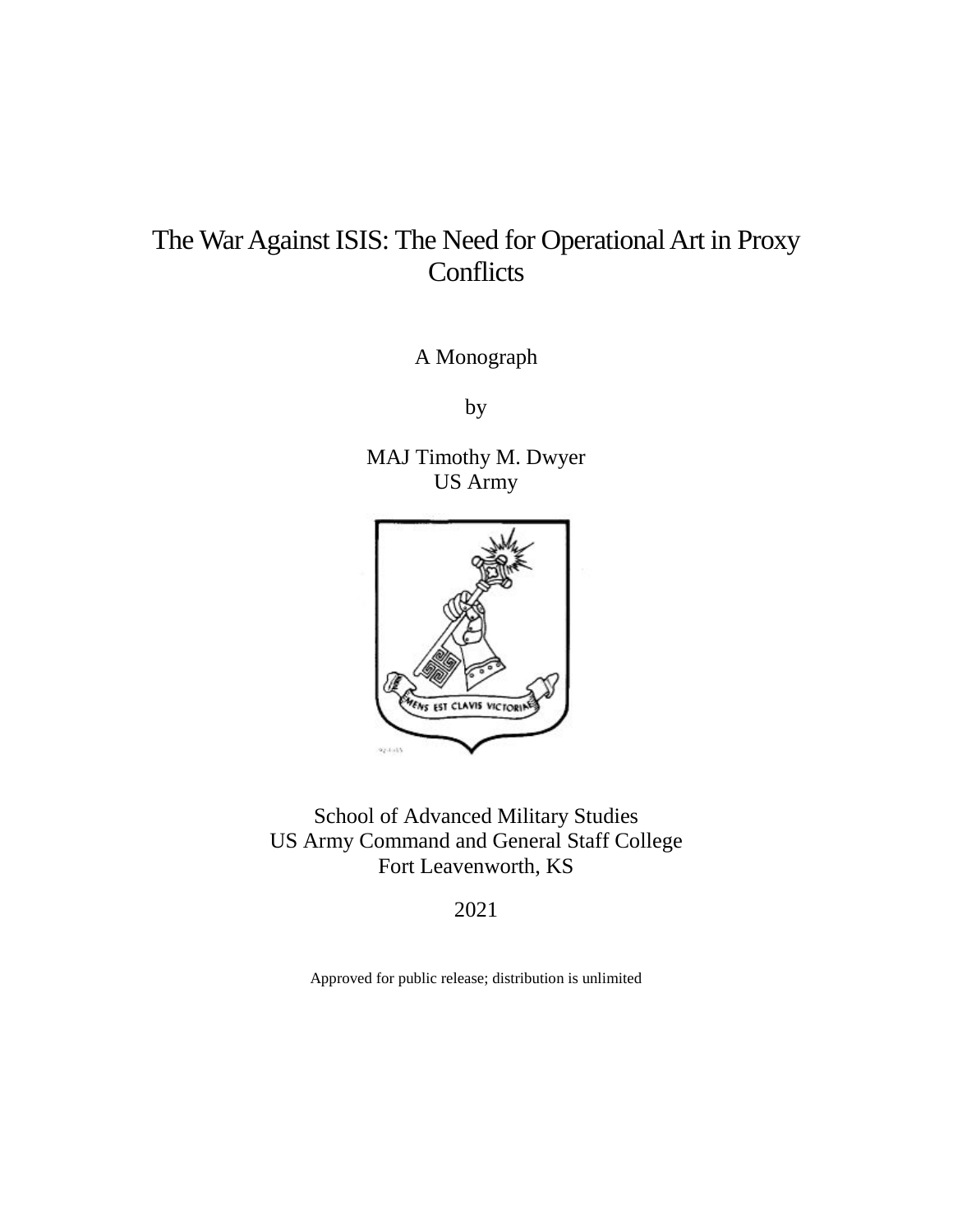# The War Against ISIS: The Need for Operational Art in Proxy **Conflicts**

A Monograph

by

 US Army MAJ Timothy M. Dwyer



School of Advanced Military Studies US Army Command and General Staff College Fort Leavenworth, KS

2021

Approved for public release; distribution is unlimited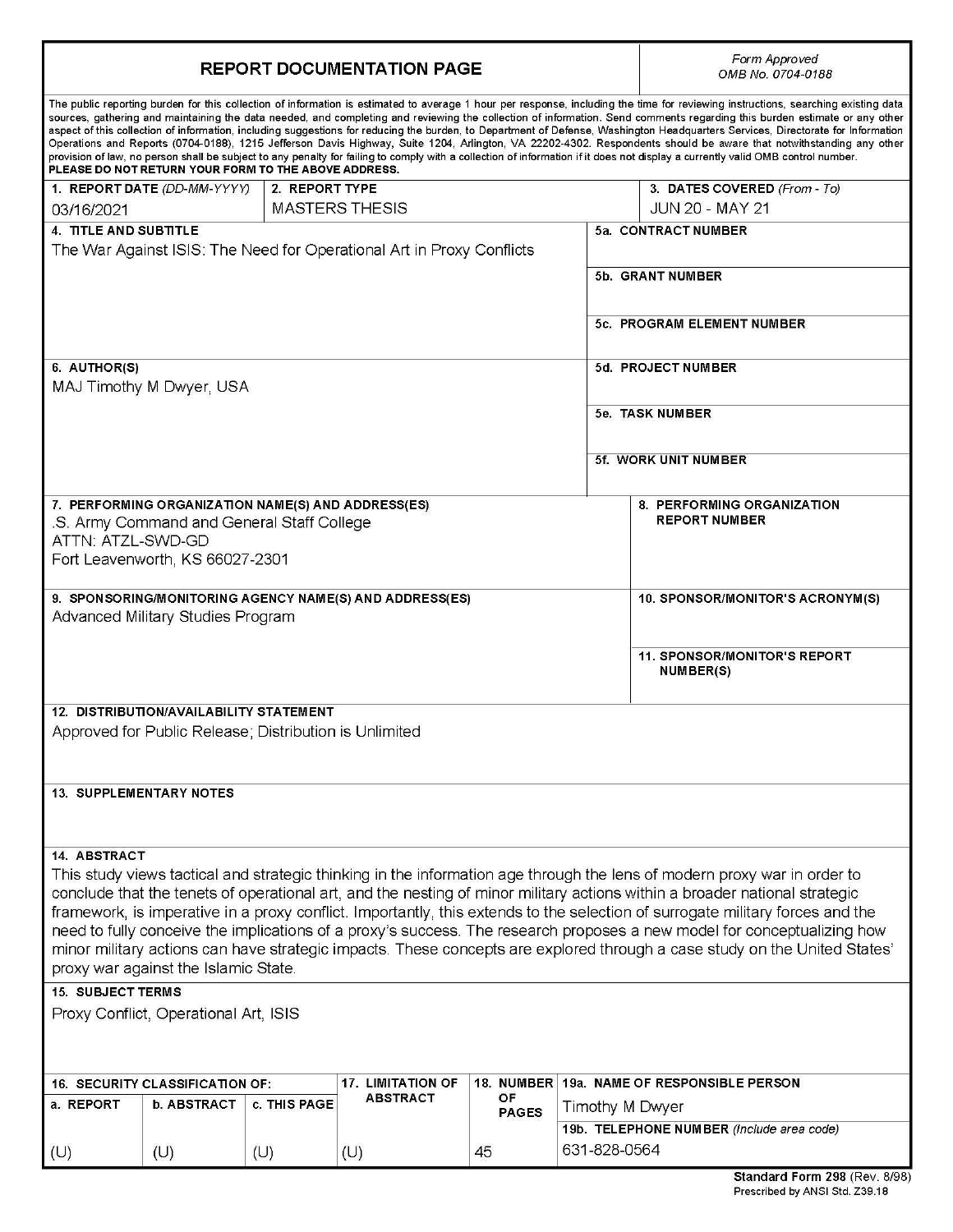| <b>REPORT DOCUMENTATION PAGE</b>                                                                                                                                                                                                                                                                                                                                                                                                                                                                                                                                                                                                                                                                                                                                                                                                                                                                                                                                     |                                                        |                |                                                                       |              | Form Approved<br>OMB No. 0704-0188 |                                                                                                                               |  |  |
|----------------------------------------------------------------------------------------------------------------------------------------------------------------------------------------------------------------------------------------------------------------------------------------------------------------------------------------------------------------------------------------------------------------------------------------------------------------------------------------------------------------------------------------------------------------------------------------------------------------------------------------------------------------------------------------------------------------------------------------------------------------------------------------------------------------------------------------------------------------------------------------------------------------------------------------------------------------------|--------------------------------------------------------|----------------|-----------------------------------------------------------------------|--------------|------------------------------------|-------------------------------------------------------------------------------------------------------------------------------|--|--|
| The public reporting burden for this collection of information is estimated to average 1 hour per response, including the time for reviewing instructions, searching existing data<br>sources, gathering and maintaining the data needed, and completing and reviewing the collection of information. Send comments regarding this burden estimate or any other<br>aspect of this collection of information, including suggestions for reducing the burden, to Department of Defense, Washington Headquarters Services, Directorate for Information<br>Operations and Reports (0704-0188), 1215 Jefferson Davis Highway, Suite 1204, Arlington, VA 22202-4302. Respondents should be aware that notwithstanding any other<br>provision of law, no person shall be subject to any penalty for failing to comply with a collection of information if it does not display a currently valid OMB control number.<br>PLEASE DO NOT RETURN YOUR FORM TO THE ABOVE ADDRESS. |                                                        |                |                                                                       |              |                                    |                                                                                                                               |  |  |
|                                                                                                                                                                                                                                                                                                                                                                                                                                                                                                                                                                                                                                                                                                                                                                                                                                                                                                                                                                      | 1. REPORT DATE (DD-MM-YYYY)                            | 2. REPORT TYPE |                                                                       |              |                                    | 3. DATES COVERED (From - To)                                                                                                  |  |  |
| 03/16/2021                                                                                                                                                                                                                                                                                                                                                                                                                                                                                                                                                                                                                                                                                                                                                                                                                                                                                                                                                           |                                                        |                | <b>MASTERS THESIS</b>                                                 |              |                                    | <b>JUN 20 - MAY 21</b>                                                                                                        |  |  |
| <b>4. TITLE AND SUBTITLE</b>                                                                                                                                                                                                                                                                                                                                                                                                                                                                                                                                                                                                                                                                                                                                                                                                                                                                                                                                         |                                                        |                |                                                                       |              |                                    | 5a. CONTRACT NUMBER                                                                                                           |  |  |
|                                                                                                                                                                                                                                                                                                                                                                                                                                                                                                                                                                                                                                                                                                                                                                                                                                                                                                                                                                      |                                                        |                | The War Against ISIS: The Need for Operational Art in Proxy Conflicts |              |                                    |                                                                                                                               |  |  |
|                                                                                                                                                                                                                                                                                                                                                                                                                                                                                                                                                                                                                                                                                                                                                                                                                                                                                                                                                                      |                                                        |                |                                                                       |              |                                    | 5b. GRANT NUMBER                                                                                                              |  |  |
|                                                                                                                                                                                                                                                                                                                                                                                                                                                                                                                                                                                                                                                                                                                                                                                                                                                                                                                                                                      |                                                        |                |                                                                       |              |                                    | 5c. PROGRAM ELEMENT NUMBER                                                                                                    |  |  |
| 6. AUTHOR(S)                                                                                                                                                                                                                                                                                                                                                                                                                                                                                                                                                                                                                                                                                                                                                                                                                                                                                                                                                         |                                                        |                |                                                                       |              | 5d. PROJECT NUMBER                 |                                                                                                                               |  |  |
| MAJ Timothy M Dwyer, USA                                                                                                                                                                                                                                                                                                                                                                                                                                                                                                                                                                                                                                                                                                                                                                                                                                                                                                                                             |                                                        |                |                                                                       |              |                                    |                                                                                                                               |  |  |
|                                                                                                                                                                                                                                                                                                                                                                                                                                                                                                                                                                                                                                                                                                                                                                                                                                                                                                                                                                      |                                                        |                |                                                                       |              | 5e. TASK NUMBER                    |                                                                                                                               |  |  |
|                                                                                                                                                                                                                                                                                                                                                                                                                                                                                                                                                                                                                                                                                                                                                                                                                                                                                                                                                                      |                                                        |                |                                                                       |              |                                    |                                                                                                                               |  |  |
|                                                                                                                                                                                                                                                                                                                                                                                                                                                                                                                                                                                                                                                                                                                                                                                                                                                                                                                                                                      |                                                        |                |                                                                       |              | 5f. WORK UNIT NUMBER               |                                                                                                                               |  |  |
|                                                                                                                                                                                                                                                                                                                                                                                                                                                                                                                                                                                                                                                                                                                                                                                                                                                                                                                                                                      |                                                        |                |                                                                       |              |                                    |                                                                                                                               |  |  |
|                                                                                                                                                                                                                                                                                                                                                                                                                                                                                                                                                                                                                                                                                                                                                                                                                                                                                                                                                                      | 7. PERFORMING ORGANIZATION NAME(S) AND ADDRESS(ES)     |                |                                                                       |              |                                    | 8. PERFORMING ORGANIZATION                                                                                                    |  |  |
| ATTN: ATZL-SWD-GD                                                                                                                                                                                                                                                                                                                                                                                                                                                                                                                                                                                                                                                                                                                                                                                                                                                                                                                                                    | .S. Army Command and General Staff College             |                |                                                                       |              |                                    | <b>REPORT NUMBER</b>                                                                                                          |  |  |
|                                                                                                                                                                                                                                                                                                                                                                                                                                                                                                                                                                                                                                                                                                                                                                                                                                                                                                                                                                      | Fort Leavenworth, KS 66027-2301                        |                |                                                                       |              |                                    |                                                                                                                               |  |  |
|                                                                                                                                                                                                                                                                                                                                                                                                                                                                                                                                                                                                                                                                                                                                                                                                                                                                                                                                                                      |                                                        |                |                                                                       |              |                                    |                                                                                                                               |  |  |
|                                                                                                                                                                                                                                                                                                                                                                                                                                                                                                                                                                                                                                                                                                                                                                                                                                                                                                                                                                      |                                                        |                | 9. SPONSORING/MONITORING AGENCY NAME(S) AND ADDRESS(ES)               |              |                                    | 10. SPONSOR/MONITOR'S ACRONYM(S)                                                                                              |  |  |
|                                                                                                                                                                                                                                                                                                                                                                                                                                                                                                                                                                                                                                                                                                                                                                                                                                                                                                                                                                      | Advanced Military Studies Program                      |                |                                                                       |              |                                    |                                                                                                                               |  |  |
|                                                                                                                                                                                                                                                                                                                                                                                                                                                                                                                                                                                                                                                                                                                                                                                                                                                                                                                                                                      |                                                        |                |                                                                       |              |                                    |                                                                                                                               |  |  |
|                                                                                                                                                                                                                                                                                                                                                                                                                                                                                                                                                                                                                                                                                                                                                                                                                                                                                                                                                                      |                                                        |                |                                                                       |              |                                    | 11. SPONSOR/MONITOR'S REPORT<br><b>NUMBER(S)</b>                                                                              |  |  |
|                                                                                                                                                                                                                                                                                                                                                                                                                                                                                                                                                                                                                                                                                                                                                                                                                                                                                                                                                                      | <b>12. DISTRIBUTION/AVAILABILITY STATEMENT</b>         |                |                                                                       |              |                                    |                                                                                                                               |  |  |
|                                                                                                                                                                                                                                                                                                                                                                                                                                                                                                                                                                                                                                                                                                                                                                                                                                                                                                                                                                      | Approved for Public Release; Distribution is Unlimited |                |                                                                       |              |                                    |                                                                                                                               |  |  |
|                                                                                                                                                                                                                                                                                                                                                                                                                                                                                                                                                                                                                                                                                                                                                                                                                                                                                                                                                                      |                                                        |                |                                                                       |              |                                    |                                                                                                                               |  |  |
| <b>13. SUPPLEMENTARY NOTES</b>                                                                                                                                                                                                                                                                                                                                                                                                                                                                                                                                                                                                                                                                                                                                                                                                                                                                                                                                       |                                                        |                |                                                                       |              |                                    |                                                                                                                               |  |  |
|                                                                                                                                                                                                                                                                                                                                                                                                                                                                                                                                                                                                                                                                                                                                                                                                                                                                                                                                                                      |                                                        |                |                                                                       |              |                                    |                                                                                                                               |  |  |
| <b>14. ABSTRACT</b>                                                                                                                                                                                                                                                                                                                                                                                                                                                                                                                                                                                                                                                                                                                                                                                                                                                                                                                                                  |                                                        |                |                                                                       |              |                                    |                                                                                                                               |  |  |
| This study views tactical and strategic thinking in the information age through the lens of modern proxy war in order to                                                                                                                                                                                                                                                                                                                                                                                                                                                                                                                                                                                                                                                                                                                                                                                                                                             |                                                        |                |                                                                       |              |                                    |                                                                                                                               |  |  |
| conclude that the tenets of operational art, and the nesting of minor military actions within a broader national strategic                                                                                                                                                                                                                                                                                                                                                                                                                                                                                                                                                                                                                                                                                                                                                                                                                                           |                                                        |                |                                                                       |              |                                    |                                                                                                                               |  |  |
|                                                                                                                                                                                                                                                                                                                                                                                                                                                                                                                                                                                                                                                                                                                                                                                                                                                                                                                                                                      |                                                        |                |                                                                       |              |                                    | framework, is imperative in a proxy conflict. Importantly, this extends to the selection of surrogate military forces and the |  |  |
|                                                                                                                                                                                                                                                                                                                                                                                                                                                                                                                                                                                                                                                                                                                                                                                                                                                                                                                                                                      |                                                        |                |                                                                       |              |                                    | need to fully conceive the implications of a proxy's success. The research proposes a new model for conceptualizing how       |  |  |
|                                                                                                                                                                                                                                                                                                                                                                                                                                                                                                                                                                                                                                                                                                                                                                                                                                                                                                                                                                      |                                                        |                |                                                                       |              |                                    | minor military actions can have strategic impacts. These concepts are explored through a case study on the United States'     |  |  |
|                                                                                                                                                                                                                                                                                                                                                                                                                                                                                                                                                                                                                                                                                                                                                                                                                                                                                                                                                                      | proxy war against the Islamic State.                   |                |                                                                       |              |                                    |                                                                                                                               |  |  |
| <b>15. SUBJECT TERMS</b>                                                                                                                                                                                                                                                                                                                                                                                                                                                                                                                                                                                                                                                                                                                                                                                                                                                                                                                                             |                                                        |                |                                                                       |              |                                    |                                                                                                                               |  |  |
| Proxy Conflict, Operational Art, ISIS                                                                                                                                                                                                                                                                                                                                                                                                                                                                                                                                                                                                                                                                                                                                                                                                                                                                                                                                |                                                        |                |                                                                       |              |                                    |                                                                                                                               |  |  |
|                                                                                                                                                                                                                                                                                                                                                                                                                                                                                                                                                                                                                                                                                                                                                                                                                                                                                                                                                                      |                                                        |                |                                                                       |              |                                    |                                                                                                                               |  |  |
|                                                                                                                                                                                                                                                                                                                                                                                                                                                                                                                                                                                                                                                                                                                                                                                                                                                                                                                                                                      |                                                        |                |                                                                       |              |                                    |                                                                                                                               |  |  |
|                                                                                                                                                                                                                                                                                                                                                                                                                                                                                                                                                                                                                                                                                                                                                                                                                                                                                                                                                                      | <b>16. SECURITY CLASSIFICATION OF:</b>                 |                | <b>17. LIMITATION OF</b><br><b>ABSTRACT</b>                           | OF           |                                    | 18. NUMBER 19a. NAME OF RESPONSIBLE PERSON                                                                                    |  |  |
| a. REPORT                                                                                                                                                                                                                                                                                                                                                                                                                                                                                                                                                                                                                                                                                                                                                                                                                                                                                                                                                            | <b>b. ABSTRACT</b>                                     | c. THIS PAGE   |                                                                       | <b>PAGES</b> | Timothy M Dwyer                    |                                                                                                                               |  |  |
|                                                                                                                                                                                                                                                                                                                                                                                                                                                                                                                                                                                                                                                                                                                                                                                                                                                                                                                                                                      |                                                        |                |                                                                       |              |                                    | 19b. TELEPHONE NUMBER (Include area code)                                                                                     |  |  |
| (U)                                                                                                                                                                                                                                                                                                                                                                                                                                                                                                                                                                                                                                                                                                                                                                                                                                                                                                                                                                  | (U)                                                    | (U)            | (U)                                                                   | 45           | 631-828-0564                       |                                                                                                                               |  |  |
|                                                                                                                                                                                                                                                                                                                                                                                                                                                                                                                                                                                                                                                                                                                                                                                                                                                                                                                                                                      |                                                        |                |                                                                       |              |                                    | Standard Form 298 (Rev. 8/98)                                                                                                 |  |  |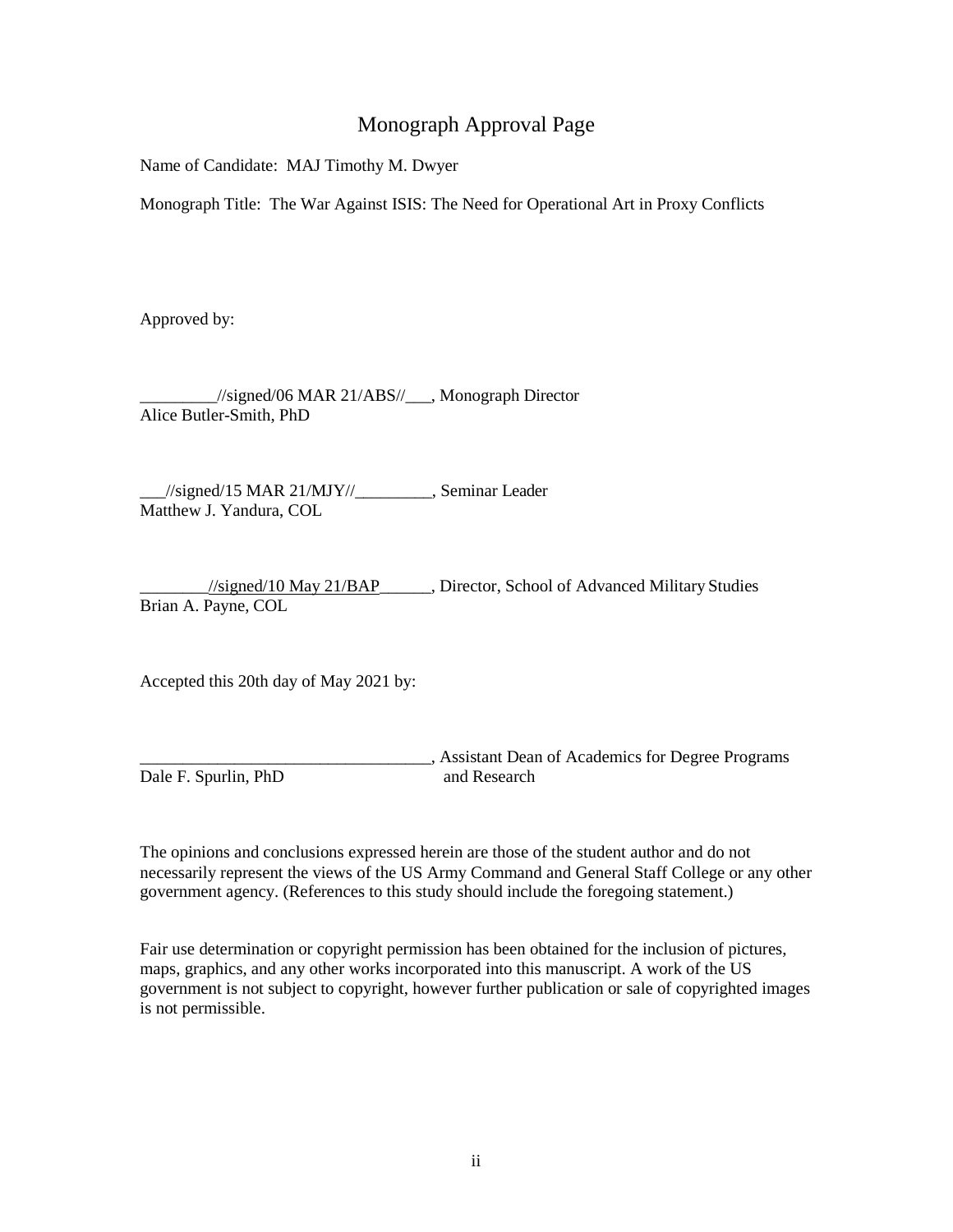## Monograph Approval Page

Name of Candidate: MAJ Timothy M. Dwyer

Monograph Title: The War Against ISIS: The Need for Operational Art in Proxy Conflicts

Approved by:

\_\_\_\_\_\_\_\_\_//signed/06 MAR 21/ABS//\_\_\_, Monograph Director Alice Butler-Smith, PhD

 \_\_\_//signed/15 MAR 21/MJY//\_\_\_\_\_\_\_\_\_, Seminar Leader Matthew J. Yandura, COL

 \_\_\_\_\_\_\_\_//signed/10 May 21/BAP\_\_\_\_\_\_, Director, School of Advanced Military Studies Brian A. Payne, COL

Accepted this 20th day of May 2021 by:

Dale F. Spurlin, PhD and Research \_\_\_\_\_\_\_\_\_\_\_\_\_\_\_\_\_\_\_\_\_\_\_\_\_\_\_\_\_\_\_\_\_\_, Assistant Dean of Academics for Degree Programs

 The opinions and conclusions expressed herein are those of the student author and do not necessarily represent the views of the US Army Command and General Staff College or any other government agency. (References to this study should include the foregoing statement.)

 Fair use determination or copyright permission has been obtained for the inclusion of pictures, maps, graphics, and any other works incorporated into this manuscript. A work of the US government is not subject to copyright, however further publication or sale of copyrighted images is not permissible.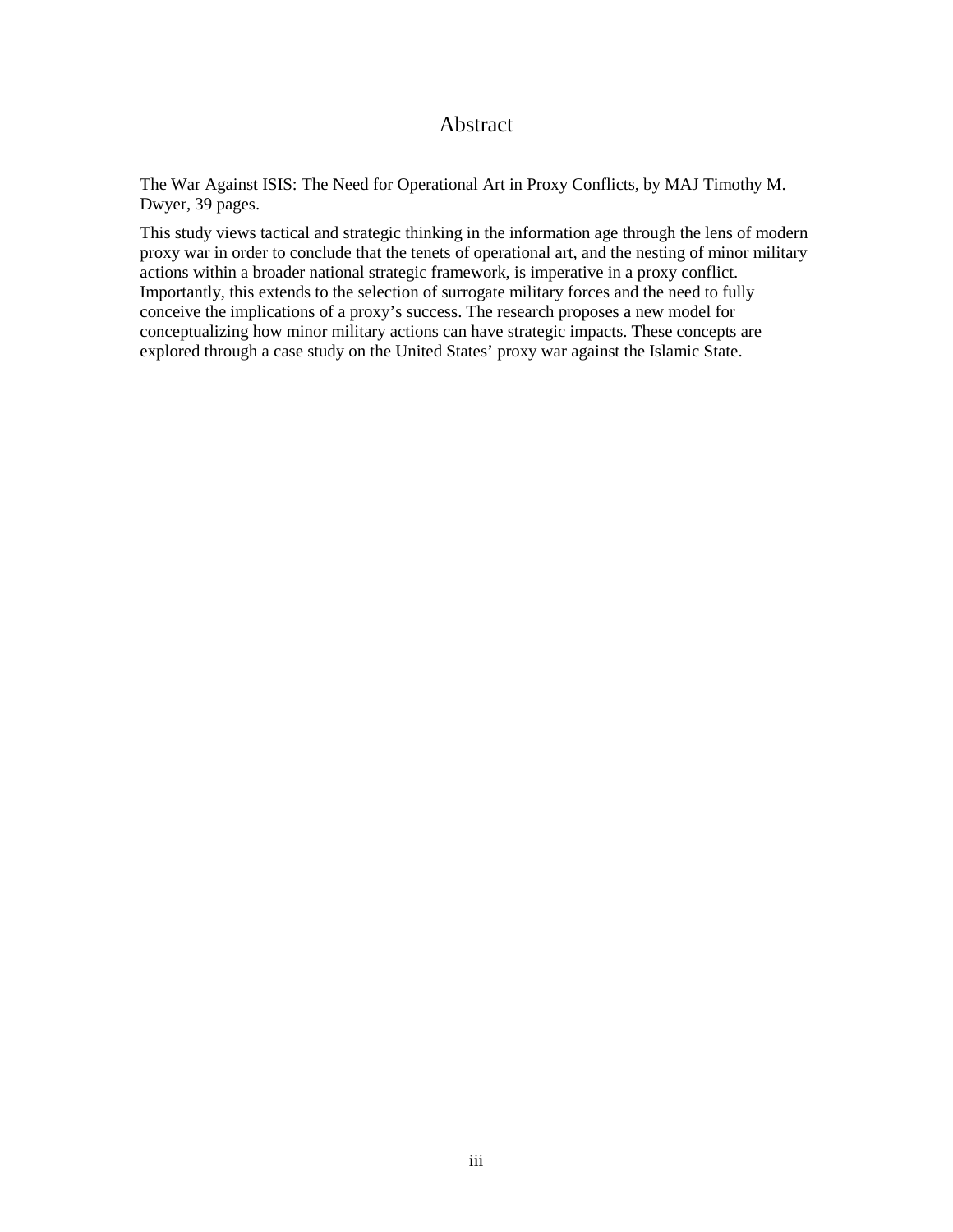## Abstract

<span id="page-3-0"></span>The War Against ISIS: The Need for Operational Art in Proxy Conflicts, by MAJ Timothy M. Dwyer, 39 pages.

 proxy war in order to conclude that the tenets of operational art, and the nesting of minor military conceive the implications of a proxy's success. The research proposes a new model for explored through a case study on the United States' proxy war against the Islamic State. This study views tactical and strategic thinking in the information age through the lens of modern actions within a broader national strategic framework, is imperative in a proxy conflict. Importantly, this extends to the selection of surrogate military forces and the need to fully conceptualizing how minor military actions can have strategic impacts. These concepts are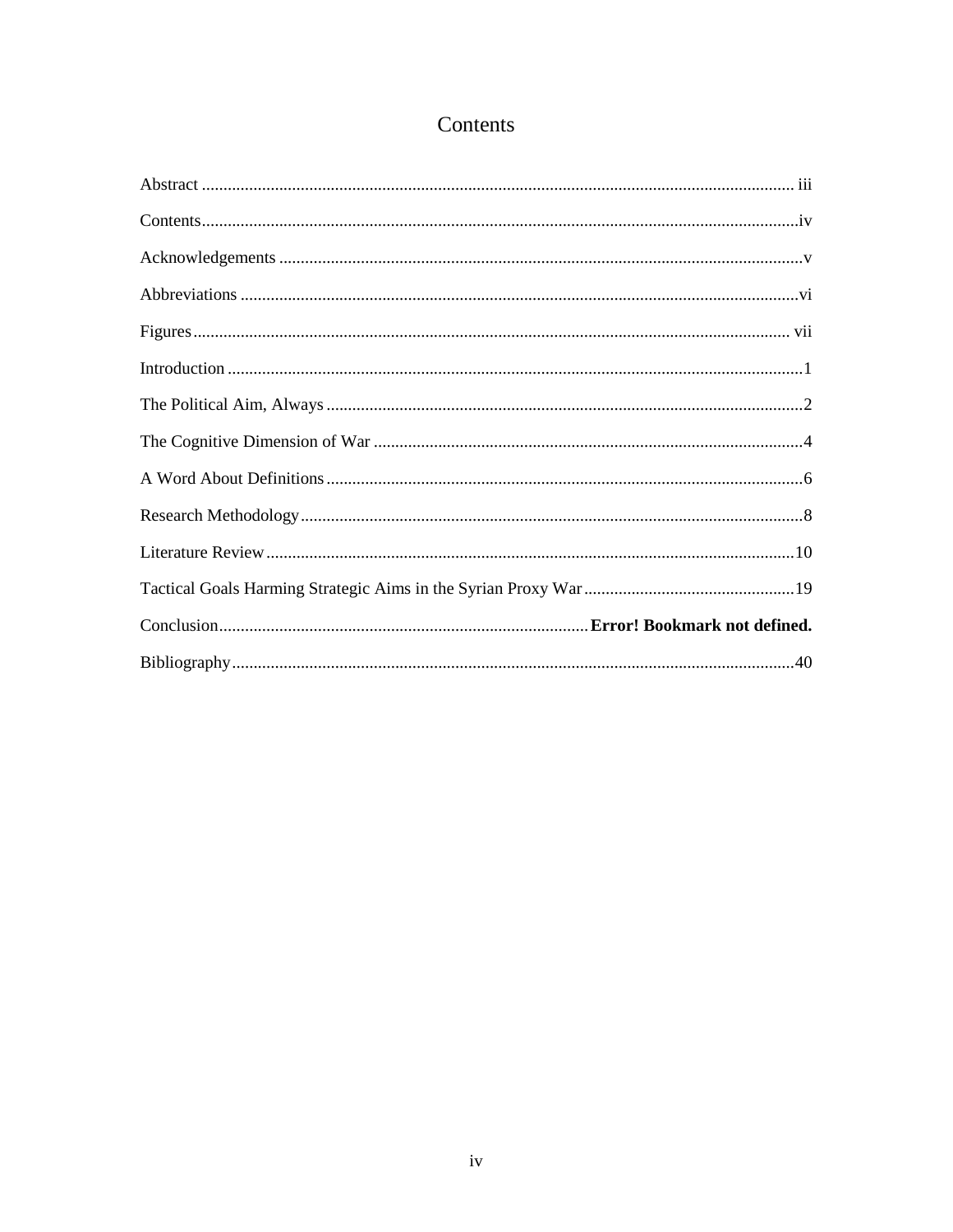# Contents

<span id="page-4-0"></span>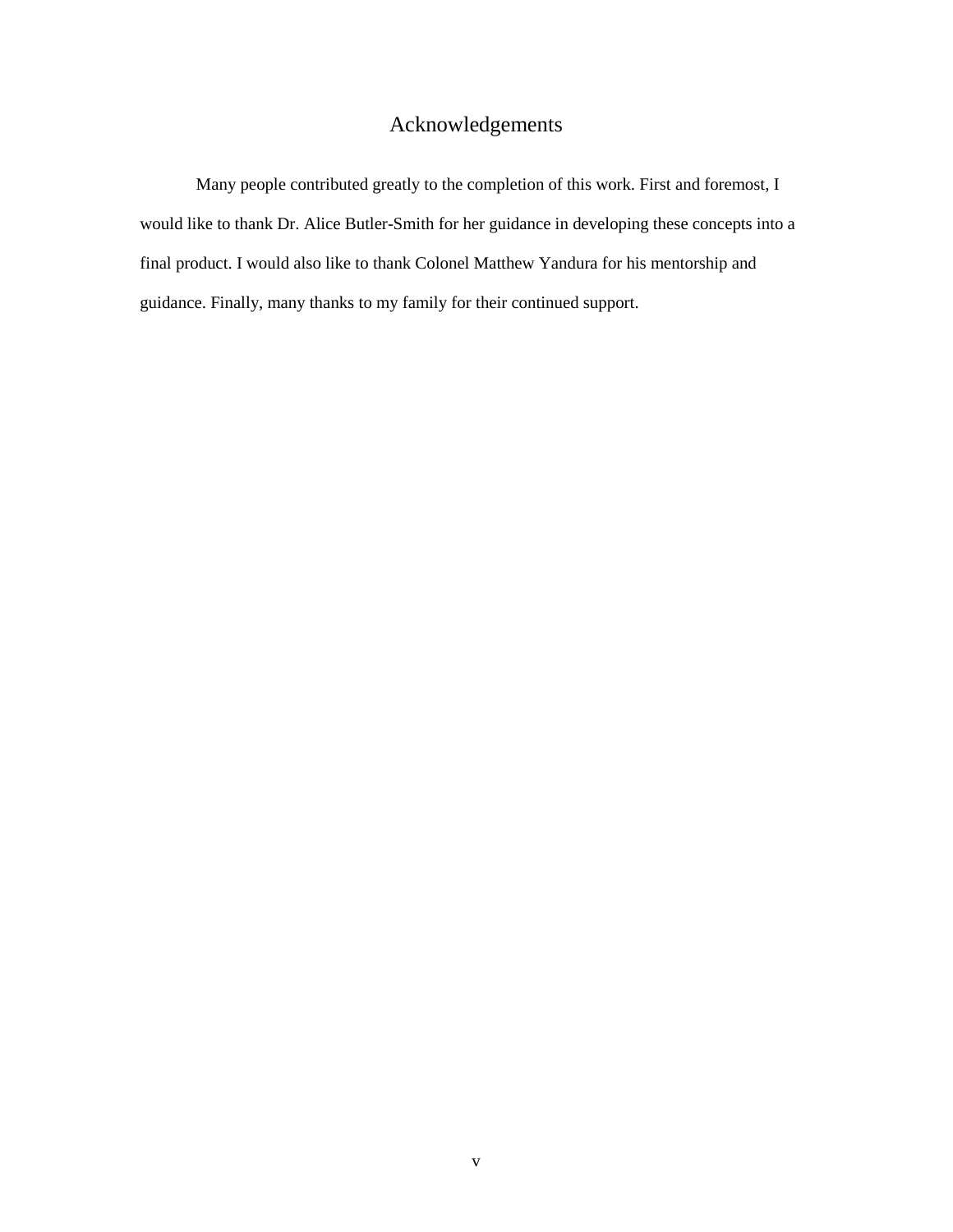# Acknowledgements

<span id="page-5-0"></span> would like to thank Dr. Alice Butler-Smith for her guidance in developing these concepts into a Many people contributed greatly to the completion of this work. First and foremost, I final product. I would also like to thank Colonel Matthew Yandura for his mentorship and guidance. Finally, many thanks to my family for their continued support.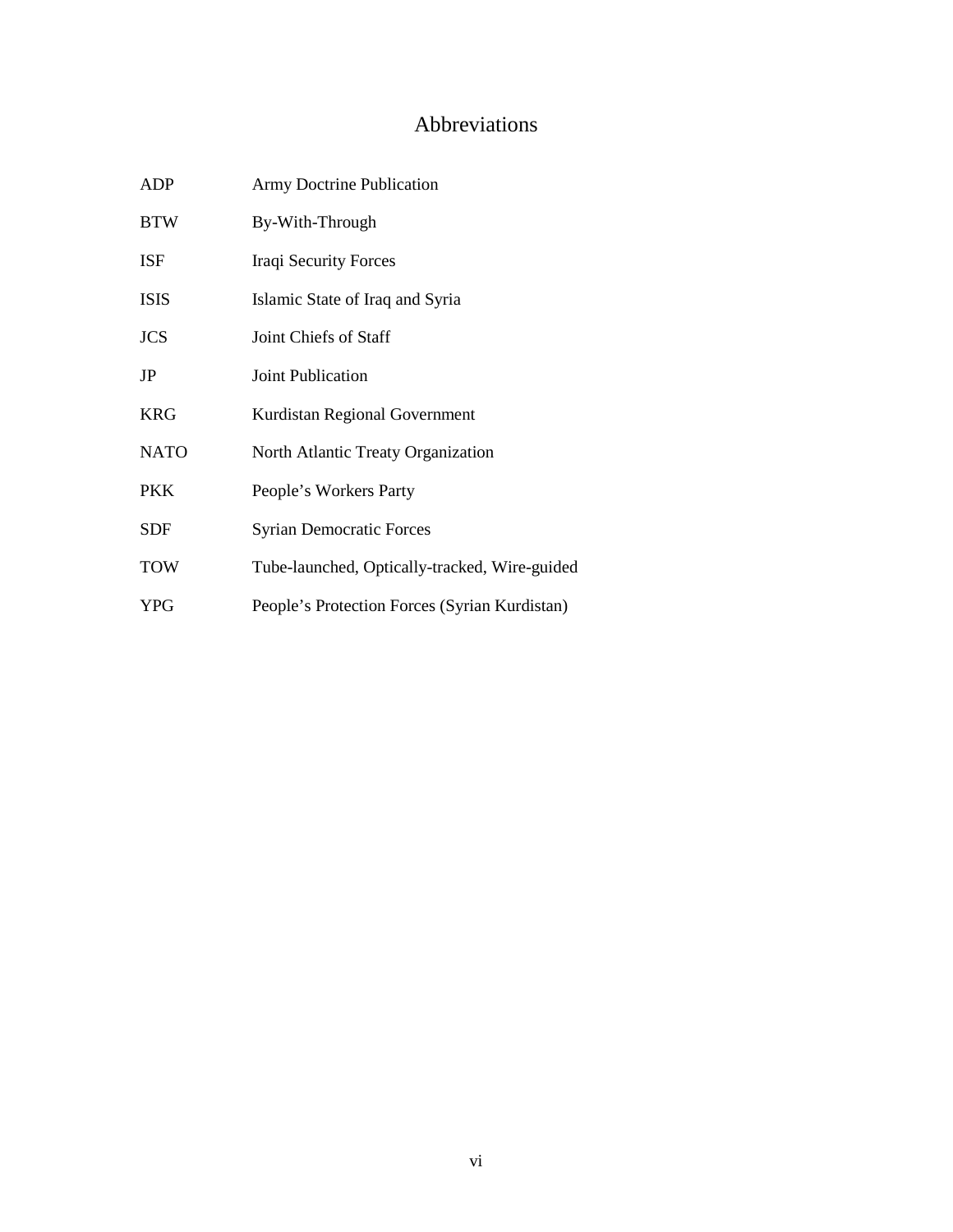## Abbreviations

<span id="page-6-0"></span>

| <b>ADP</b>  | <b>Army Doctrine Publication</b>              |  |  |  |  |
|-------------|-----------------------------------------------|--|--|--|--|
| <b>BTW</b>  | By-With-Through                               |  |  |  |  |
| <b>ISF</b>  | Iraqi Security Forces                         |  |  |  |  |
| <b>ISIS</b> | Islamic State of Iraq and Syria               |  |  |  |  |
| <b>JCS</b>  | Joint Chiefs of Staff                         |  |  |  |  |
| JP          | Joint Publication                             |  |  |  |  |
| <b>KRG</b>  | Kurdistan Regional Government                 |  |  |  |  |
| <b>NATO</b> | North Atlantic Treaty Organization            |  |  |  |  |
| <b>PKK</b>  | People's Workers Party                        |  |  |  |  |
| <b>SDF</b>  | <b>Syrian Democratic Forces</b>               |  |  |  |  |
| <b>TOW</b>  | Tube-launched, Optically-tracked, Wire-guided |  |  |  |  |
| <b>YPG</b>  | People's Protection Forces (Syrian Kurdistan) |  |  |  |  |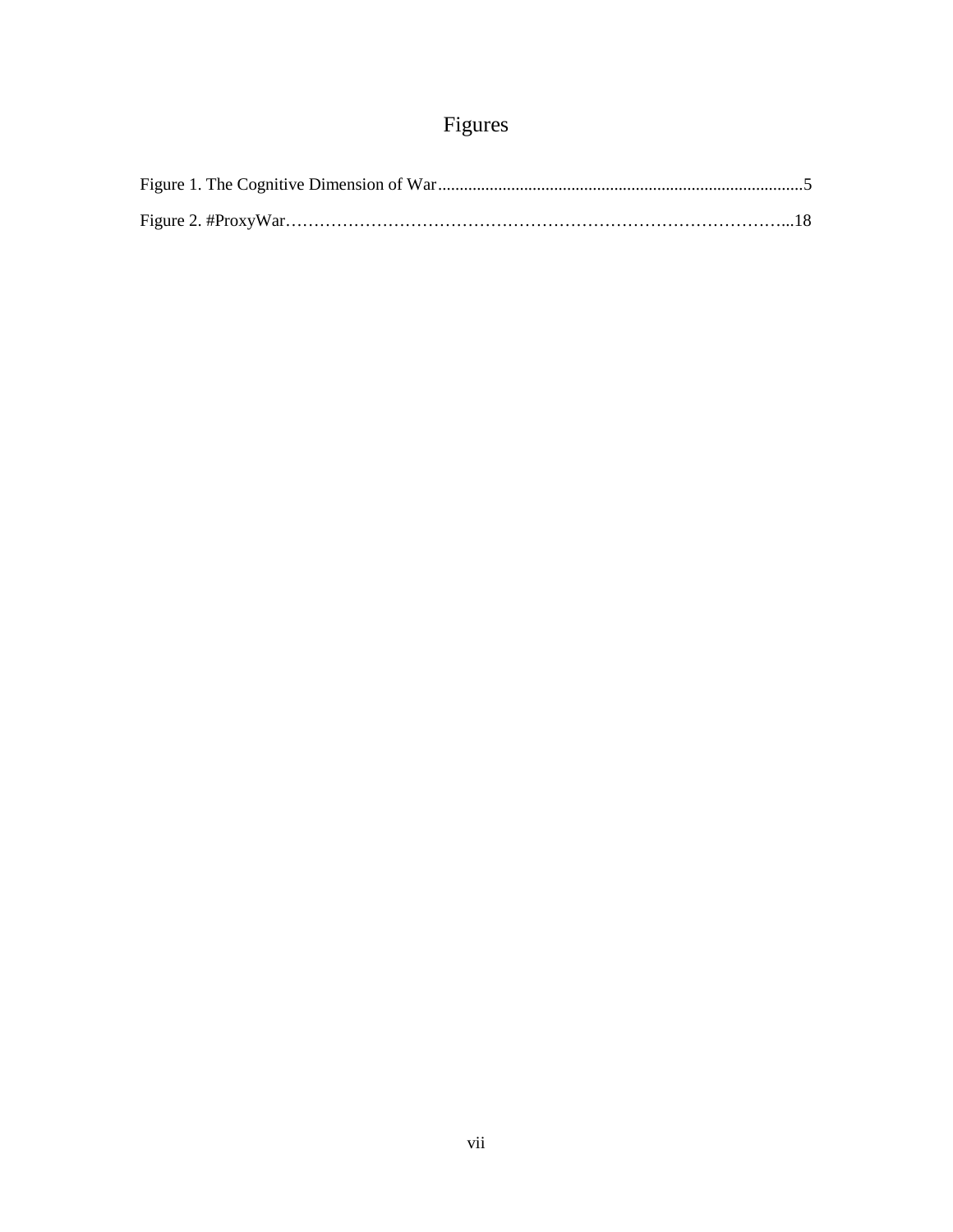# Figures

<span id="page-7-0"></span>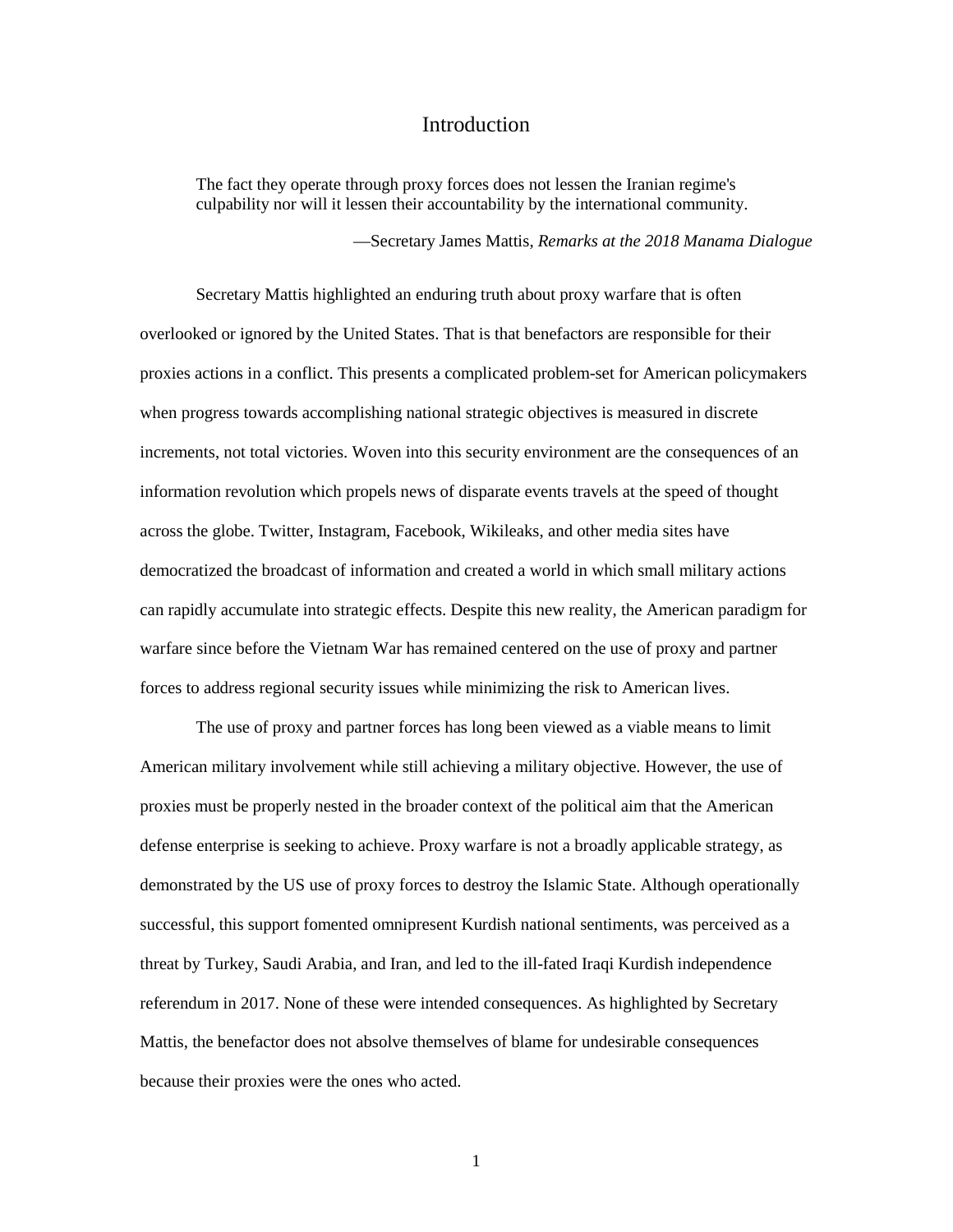### Introduction

<span id="page-8-0"></span>The fact they operate through proxy forces does not lessen the Iranian regime's culpability nor will it lessen their accountability by the international community.

—Secretary James Mattis, *Remarks at the 2018 Manama Dialogue* 

 Secretary Mattis highlighted an enduring truth about proxy warfare that is often overlooked or ignored by the United States. That is that benefactors are responsible for their proxies actions in a conflict. This presents a complicated problem-set for American policymakers can rapidly accumulate into strategic effects. Despite this new reality, the American paradigm for warfare since before the Vietnam War has remained centered on the use of proxy and partner when progress towards accomplishing national strategic objectives is measured in discrete increments, not total victories. Woven into this security environment are the consequences of an information revolution which propels news of disparate events travels at the speed of thought across the globe. Twitter, Instagram, Facebook, Wikileaks, and other media sites have democratized the broadcast of information and created a world in which small military actions forces to address regional security issues while minimizing the risk to American lives.

 The use of proxy and partner forces has long been viewed as a viable means to limit proxies must be properly nested in the broader context of the political aim that the American defense enterprise is seeking to achieve. Proxy warfare is not a broadly applicable strategy, as demonstrated by the US use of proxy forces to destroy the Islamic State. Although operationally threat by Turkey, Saudi Arabia, and Iran, and led to the ill-fated Iraqi Kurdish independence American military involvement while still achieving a military objective. However, the use of successful, this support fomented omnipresent Kurdish national sentiments, was perceived as a referendum in 2017. None of these were intended consequences. As highlighted by Secretary Mattis, the benefactor does not absolve themselves of blame for undesirable consequences because their proxies were the ones who acted.

1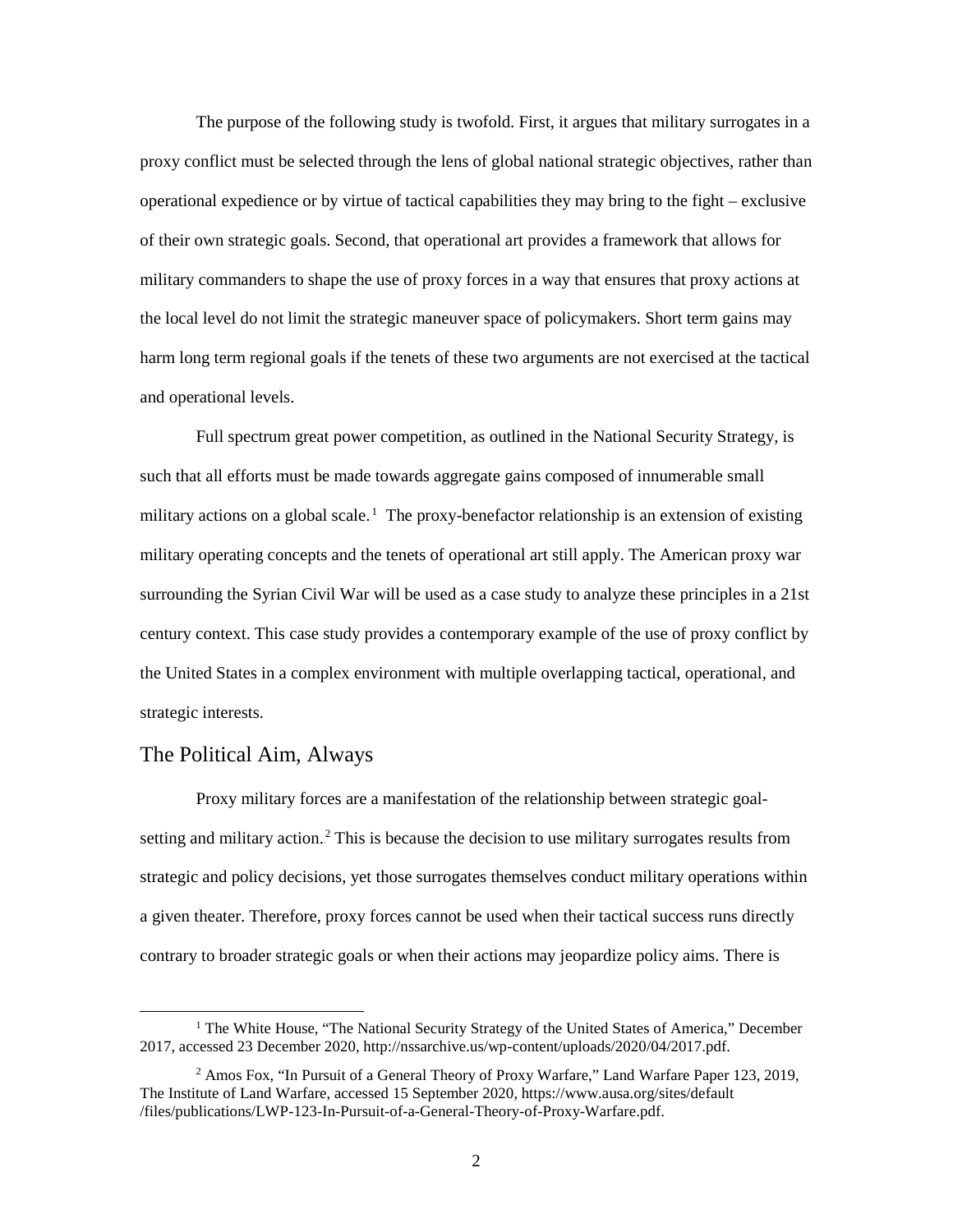operational expedience or by virtue of tactical capabilities they may bring to the fight – exclusive the local level do not limit the strategic maneuver space of policymakers. Short term gains may The purpose of the following study is twofold. First, it argues that military surrogates in a proxy conflict must be selected through the lens of global national strategic objectives, rather than of their own strategic goals. Second, that operational art provides a framework that allows for military commanders to shape the use of proxy forces in a way that ensures that proxy actions at harm long term regional goals if the tenets of these two arguments are not exercised at the tactical and operational levels.

 Full spectrum great power competition, as outlined in the National Security Strategy, is military actions on a global scale.<sup>1</sup> The proxy-benefactor relationship is an extension of existing military operating concepts and the tenets of operational art still apply. The American proxy war surrounding the Syrian Civil War will be used as a case study to analyze these principles in a 21st such that all efforts must be made towards aggregate gains composed of innumerable small century context. This case study provides a contemporary example of the use of proxy conflict by the United States in a complex environment with multiple overlapping tactical, operational, and strategic interests.

#### <span id="page-9-0"></span>The Political Aim, Always

<u>.</u>

setting and military action.<sup>2</sup> This is because the decision to use military surrogates results from contrary to broader strategic goals or when their actions may jeopardize policy aims. There is Proxy military forces are a manifestation of the relationship between strategic goalstrategic and policy decisions, yet those surrogates themselves conduct military operations within a given theater. Therefore, proxy forces cannot be used when their tactical success runs directly

<sup>&</sup>lt;sup>1</sup> The White House, "The National Security Strategy of the United States of America," December 2017, accessed 23 December 2020[, http://nssarchive.us/wp-content/uploads/2020/04/2017.pdf.](http://nssarchive.us/wp-content/uploads/2020/04/2017.pdf)

<sup>2</sup> Amos Fox, "In Pursuit of a General Theory of Proxy Warfare," Land Warfare Paper 123, 2019, The Institute of Land Warfare, accessed 15 September 2020, [https://www.ausa.org/sites/default](https://www.ausa.org/sites/default%20/files/publications/LWP-123-In-Pursuit-of-a-General-Theory-of-Proxy-Warfare.pdf)  [/files/publications/LWP-123-In-Pursuit-of-a-General-Theory-of-Proxy-Warfare.pdf.](https://www.ausa.org/sites/default%20/files/publications/LWP-123-In-Pursuit-of-a-General-Theory-of-Proxy-Warfare.pdf)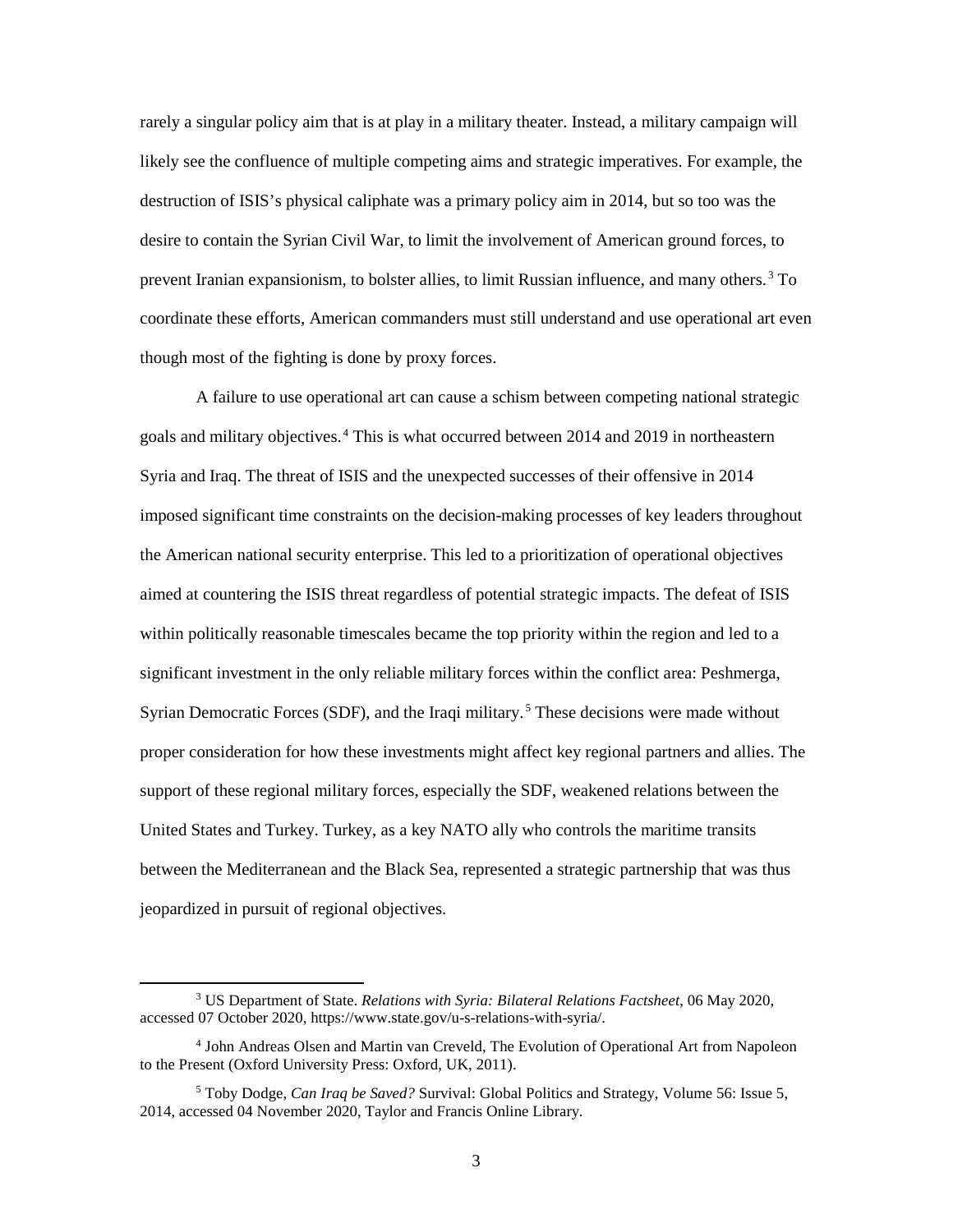rarely a singular policy aim that is at play in a military theater. Instead, a military campaign will likely see the confluence of multiple competing aims and strategic imperatives. For example, the destruction of ISIS's physical caliphate was a primary policy aim in 2014, but so too was the desire to contain the Syrian Civil War, to limit the involvement of American ground forces, to prevent Iranian expansionism, to bolster allies, to limit Russian influence, and many others.<sup>3</sup> To coordinate these efforts, American commanders must still understand and use operational art even though most of the fighting is done by proxy forces.

 A failure to use operational art can cause a schism between competing national strategic the American national security enterprise. This led to a prioritization of operational objectives within politically reasonable timescales became the top priority within the region and led to a significant investment in the only reliable military forces within the conflict area: Peshmerga, goals and military objectives.<sup>4</sup> This is what occurred between 2014 and 2019 in northeastern Syria and Iraq. The threat of ISIS and the unexpected successes of their offensive in 2014 imposed significant time constraints on the decision-making processes of key leaders throughout aimed at countering the ISIS threat regardless of potential strategic impacts. The defeat of ISIS Syrian Democratic Forces (SDF), and the Iraqi military.<sup>5</sup> These decisions were made without proper consideration for how these investments might affect key regional partners and allies. The support of these regional military forces, especially the SDF, weakened relations between the United States and Turkey. Turkey, as a key NATO ally who controls the maritime transits between the Mediterranean and the Black Sea, represented a strategic partnership that was thus jeopardized in pursuit of regional objectives.

 accessed 07 October 2020[, https://www.state.gov/u-s-relations-with-syria/.](https://www.state.gov/u-s-relations-with-syria/)  3 US Department of State. *Relations with Syria: Bilateral Relations Factsheet*, 06 May 2020,

<sup>4</sup> John Andreas Olsen and Martin van Creveld, The Evolution of Operational Art from Napoleon to the Present (Oxford University Press: Oxford, UK, 2011).

<sup>5</sup> Toby Dodge, *Can Iraq be Saved?* Survival: Global Politics and Strategy, Volume 56: Issue 5, 2014, accessed 04 November 2020, Taylor and Francis Online Library.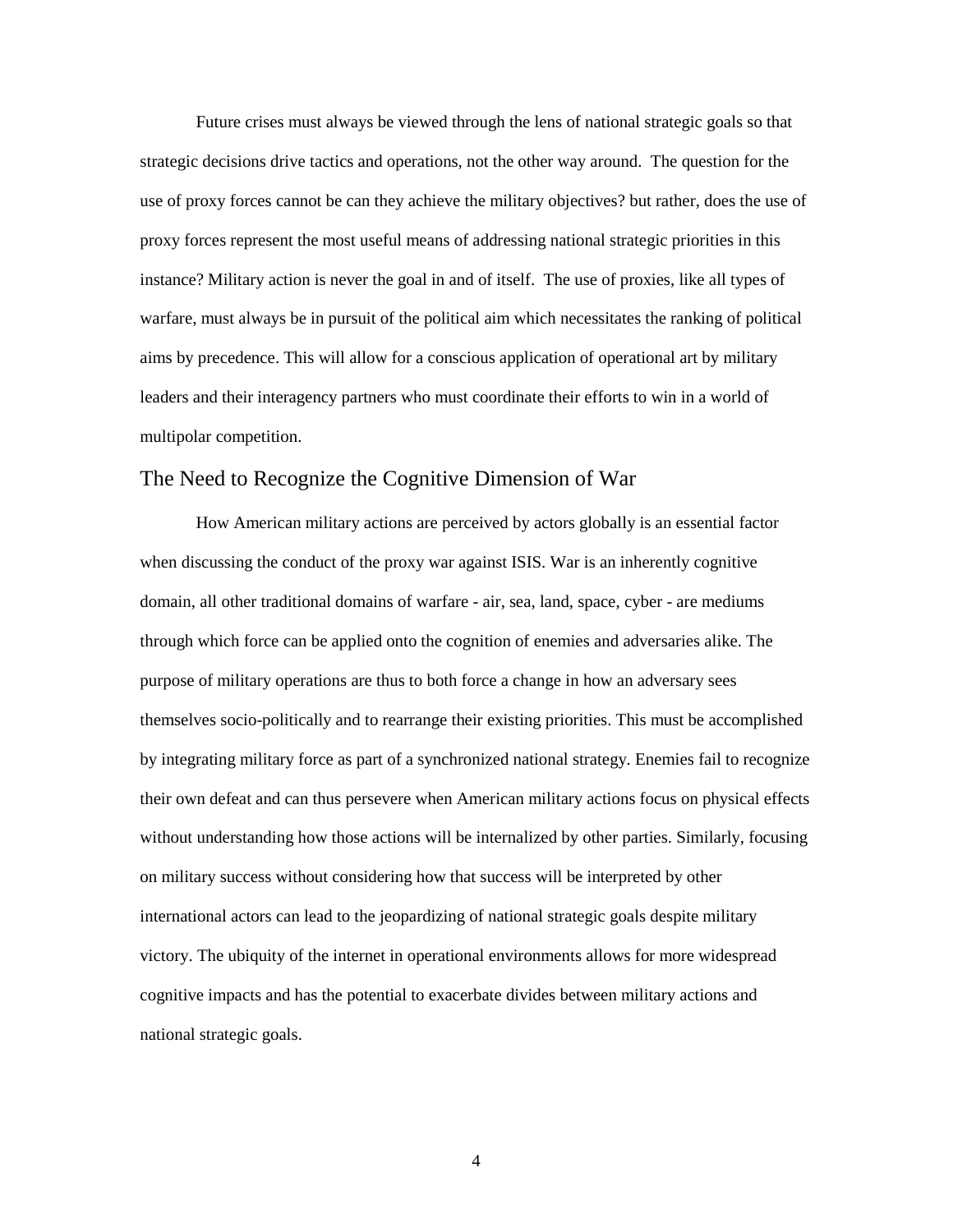strategic decisions drive tactics and operations, not the other way around. The question for the proxy forces represent the most useful means of addressing national strategic priorities in this instance? Military action is never the goal in and of itself. The use of proxies, like all types of warfare, must always be in pursuit of the political aim which necessitates the ranking of political aims by precedence. This will allow for a conscious application of operational art by military leaders and their interagency partners who must coordinate their efforts to win in a world of Future crises must always be viewed through the lens of national strategic goals so that use of proxy forces cannot be can they achieve the military objectives? but rather, does the use of multipolar competition.

#### <span id="page-11-0"></span>The Need to Recognize the Cognitive Dimension of War

 How American military actions are perceived by actors globally is an essential factor domain, all other traditional domains of warfare - air, sea, land, space, cyber - are mediums purpose of military operations are thus to both force a change in how an adversary sees their own defeat and can thus persevere when American military actions focus on physical effects without understanding how those actions will be internalized by other parties. Similarly, focusing victory. The ubiquity of the internet in operational environments allows for more widespread cognitive impacts and has the potential to exacerbate divides between military actions and national strategic goals. when discussing the conduct of the proxy war against ISIS. War is an inherently cognitive through which force can be applied onto the cognition of enemies and adversaries alike. The themselves socio-politically and to rearrange their existing priorities. This must be accomplished by integrating military force as part of a synchronized national strategy. Enemies fail to recognize on military success without considering how that success will be interpreted by other international actors can lead to the jeopardizing of national strategic goals despite military national strategic goals.<br>
4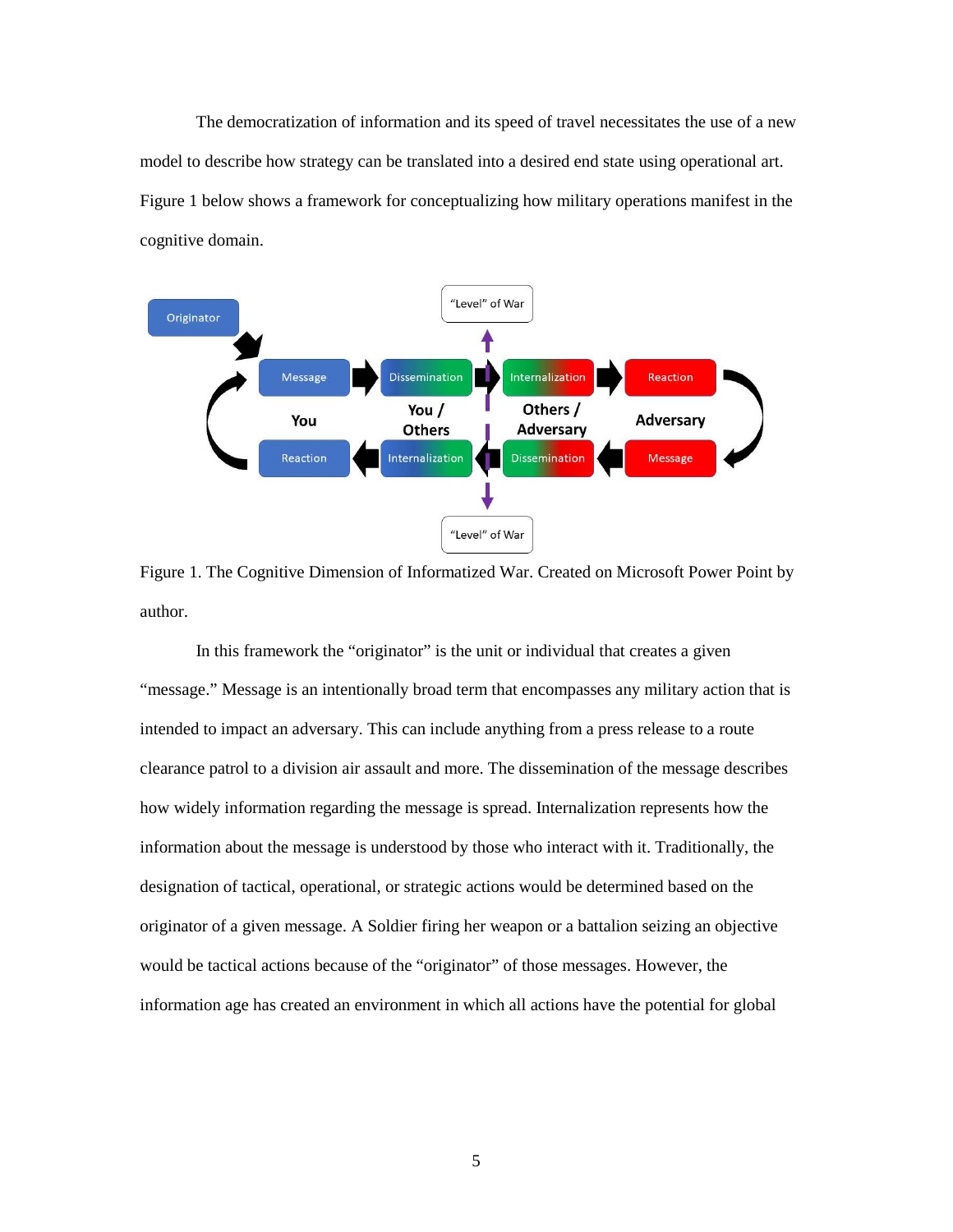<span id="page-12-0"></span> The democratization of information and its speed of travel necessitates the use of a new model to describe how strategy can be translated into a desired end state using operational art. Figure 1 below shows a framework for conceptualizing how military operations manifest in the cognitive domain.



Figure 1. The Cognitive Dimension of Informatized War. Created on Microsoft Power Point by author.

 In this framework the "originator" is the unit or individual that creates a given "message." Message is an intentionally broad term that encompasses any military action that is clearance patrol to a division air assault and more. The dissemination of the message describes how widely information regarding the message is spread. Internalization represents how the designation of tactical, operational, or strategic actions would be determined based on the originator of a given message. A Soldier firing her weapon or a battalion seizing an objective information age has created an environment in which all actions have the potential for global intended to impact an adversary. This can include anything from a press release to a route information about the message is understood by those who interact with it. Traditionally, the would be tactical actions because of the "originator" of those messages. However, the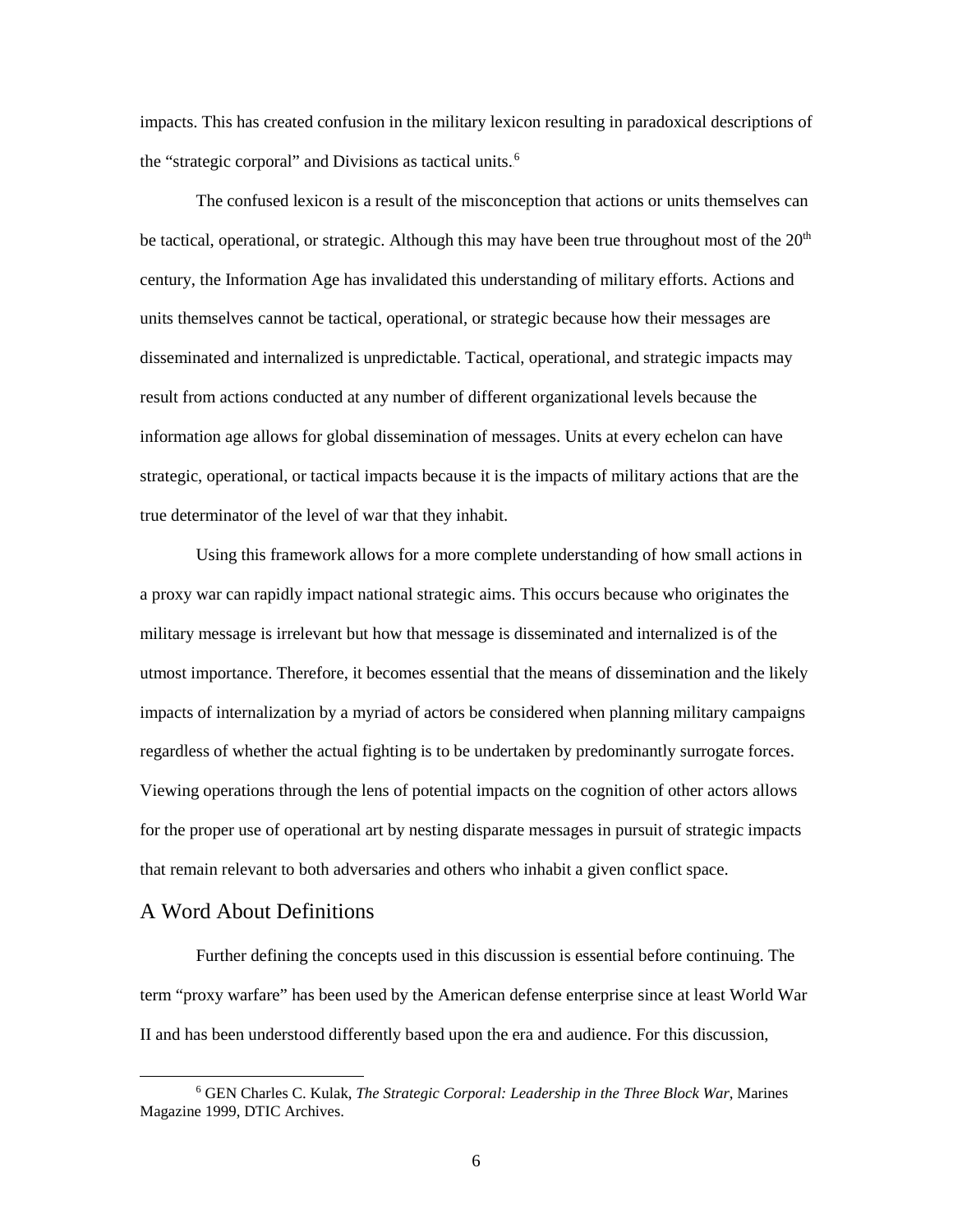impacts. This has created confusion in the military lexicon resulting in paradoxical descriptions of the "strategic corporal" and Divisions as tactical units.<sup>6</sup>

 The confused lexicon is a result of the misconception that actions or units themselves can strategic, operational, or tactical impacts because it is the impacts of military actions that are the true determinator of the level of war that they inhabit. be tactical, operational, or strategic. Although this may have been true throughout most of the  $20<sup>th</sup>$ century, the Information Age has invalidated this understanding of military efforts. Actions and units themselves cannot be tactical, operational, or strategic because how their messages are disseminated and internalized is unpredictable. Tactical, operational, and strategic impacts may result from actions conducted at any number of different organizational levels because the information age allows for global dissemination of messages. Units at every echelon can have

 military message is irrelevant but how that message is disseminated and internalized is of the utmost importance. Therefore, it becomes essential that the means of dissemination and the likely Viewing operations through the lens of potential impacts on the cognition of other actors allows for the proper use of operational art by nesting disparate messages in pursuit of strategic impacts Using this framework allows for a more complete understanding of how small actions in a proxy war can rapidly impact national strategic aims. This occurs because who originates the impacts of internalization by a myriad of actors be considered when planning military campaigns regardless of whether the actual fighting is to be undertaken by predominantly surrogate forces. that remain relevant to both adversaries and others who inhabit a given conflict space.

#### <span id="page-13-0"></span>A Word About Definitions

 $\overline{a}$ 

Further defining the concepts used in this discussion is essential before continuing. The term "proxy warfare" has been used by the American defense enterprise since at least World War II and has been understood differently based upon the era and audience. For this discussion,

Magazine 1999, DTIC Archives.<br>
6 6 GEN Charles C. Kulak, *The Strategic Corporal: Leadership in the Three Block War*, Marines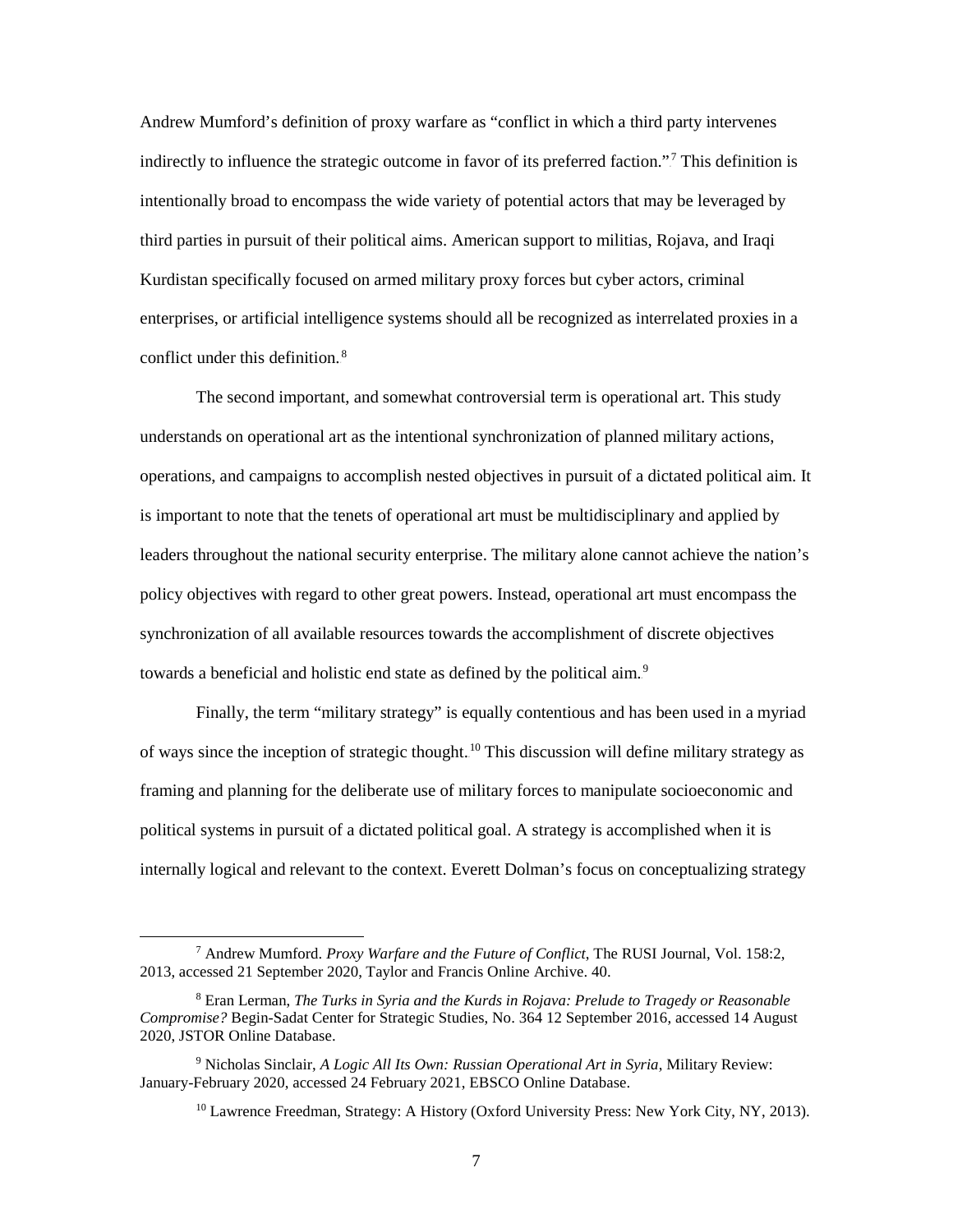third parties in pursuit of their political aims. American support to militias, Rojava, and Iraqi Kurdistan specifically focused on armed military proxy forces but cyber actors, criminal enterprises, or artificial intelligence systems should all be recognized as interrelated proxies in a conflict under this definition.<sup>8</sup> Andrew Mumford's definition of proxy warfare as "conflict in which a third party intervenes indirectly to influence the strategic outcome in favor of its preferred faction."<sup>7</sup> This definition is intentionally broad to encompass the wide variety of potential actors that may be leveraged by

 understands on operational art as the intentional synchronization of planned military actions, operations, and campaigns to accomplish nested objectives in pursuit of a dictated political aim. It leaders throughout the national security enterprise. The military alone cannot achieve the nation's towards a beneficial and holistic end state as defined by the political aim.<sup>9</sup> The second important, and somewhat controversial term is operational art. This study is important to note that the tenets of operational art must be multidisciplinary and applied by policy objectives with regard to other great powers. Instead, operational art must encompass the synchronization of all available resources towards the accomplishment of discrete objectives

 Finally, the term "military strategy" is equally contentious and has been used in a myriad internally logical and relevant to the context. Everett Dolman's focus on conceptualizing strategy of ways since the inception of strategic thought.<sup>10</sup> This discussion will define military strategy as framing and planning for the deliberate use of military forces to manipulate socioeconomic and political systems in pursuit of a dictated political goal. A strategy is accomplished when it is

-

<sup>7</sup> Andrew Mumford. *Proxy Warfare and the Future of Conflict*, The RUSI Journal, Vol. 158:2, 2013, accessed 21 September 2020, Taylor and Francis Online Archive. 40.

<sup>8</sup> Eran Lerman, *The Turks in Syria and the Kurds in Rojava: Prelude to Tragedy or Reasonable Compromise?* Begin-Sadat Center for Strategic Studies, No. 364 12 September 2016, accessed 14 August 2020, JSTOR Online Database.

<sup>9</sup> Nicholas Sinclair, *A Logic All Its Own: Russian Operational Art in Syria*, Military Review: January-February 2020, accessed 24 February 2021, EBSCO Online Database.

<sup>&</sup>lt;sup>10</sup> Lawrence Freedman, Strategy: A History (Oxford University Press: New York City, NY, 2013).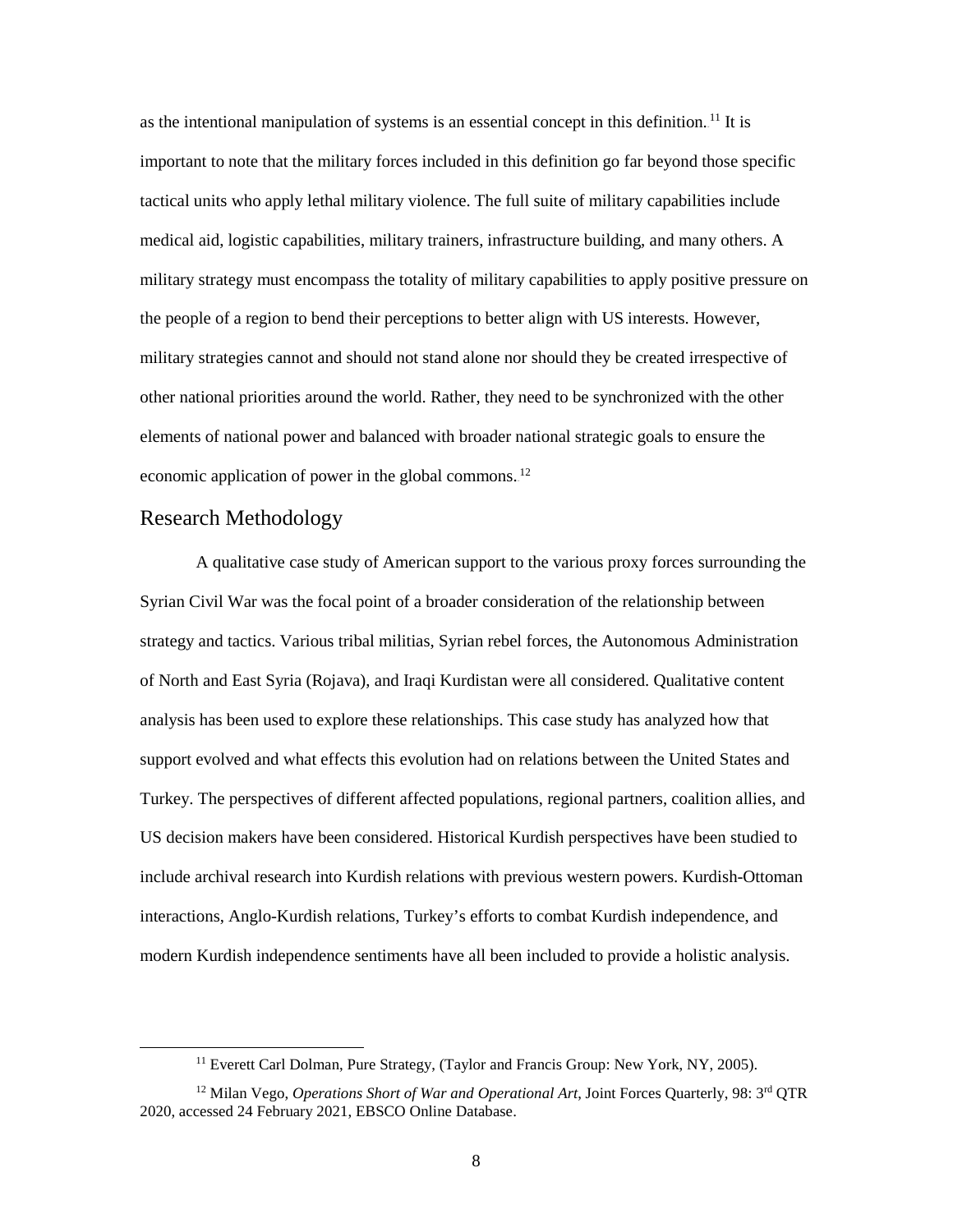important to note that the military forces included in this definition go far beyond those specific medical aid, logistic capabilities, military trainers, infrastructure building, and many others. A the people of a region to bend their perceptions to better align with US interests. However, military strategies cannot and should not stand alone nor should they be created irrespective of economic application of power in the global commons. $^{12}$ as the intentional manipulation of systems is an essential concept in this definition.<sup>11</sup> It is tactical units who apply lethal military violence. The full suite of military capabilities include military strategy must encompass the totality of military capabilities to apply positive pressure on other national priorities around the world. Rather, they need to be synchronized with the other elements of national power and balanced with broader national strategic goals to ensure the

#### <span id="page-15-0"></span>Research Methodology

 $\overline{a}$ 

 Syrian Civil War was the focal point of a broader consideration of the relationship between analysis has been used to explore these relationships. This case study has analyzed how that A qualitative case study of American support to the various proxy forces surrounding the strategy and tactics. Various tribal militias, Syrian rebel forces, the Autonomous Administration of North and East Syria (Rojava), and Iraqi Kurdistan were all considered. Qualitative content support evolved and what effects this evolution had on relations between the United States and Turkey. The perspectives of different affected populations, regional partners, coalition allies, and US decision makers have been considered. Historical Kurdish perspectives have been studied to include archival research into Kurdish relations with previous western powers. Kurdish-Ottoman interactions, Anglo-Kurdish relations, Turkey's efforts to combat Kurdish independence, and modern Kurdish independence sentiments have all been included to provide a holistic analysis.

<sup>&</sup>lt;sup>11</sup> Everett Carl Dolman, Pure Strategy, (Taylor and Francis Group: New York, NY, 2005).

<sup>12</sup> Milan Vego, *Operations Short of War and Operational Art*, Joint Forces Quarterly, 98: 3rd QTR 2020, accessed 24 February 2021, EBSCO Online Database.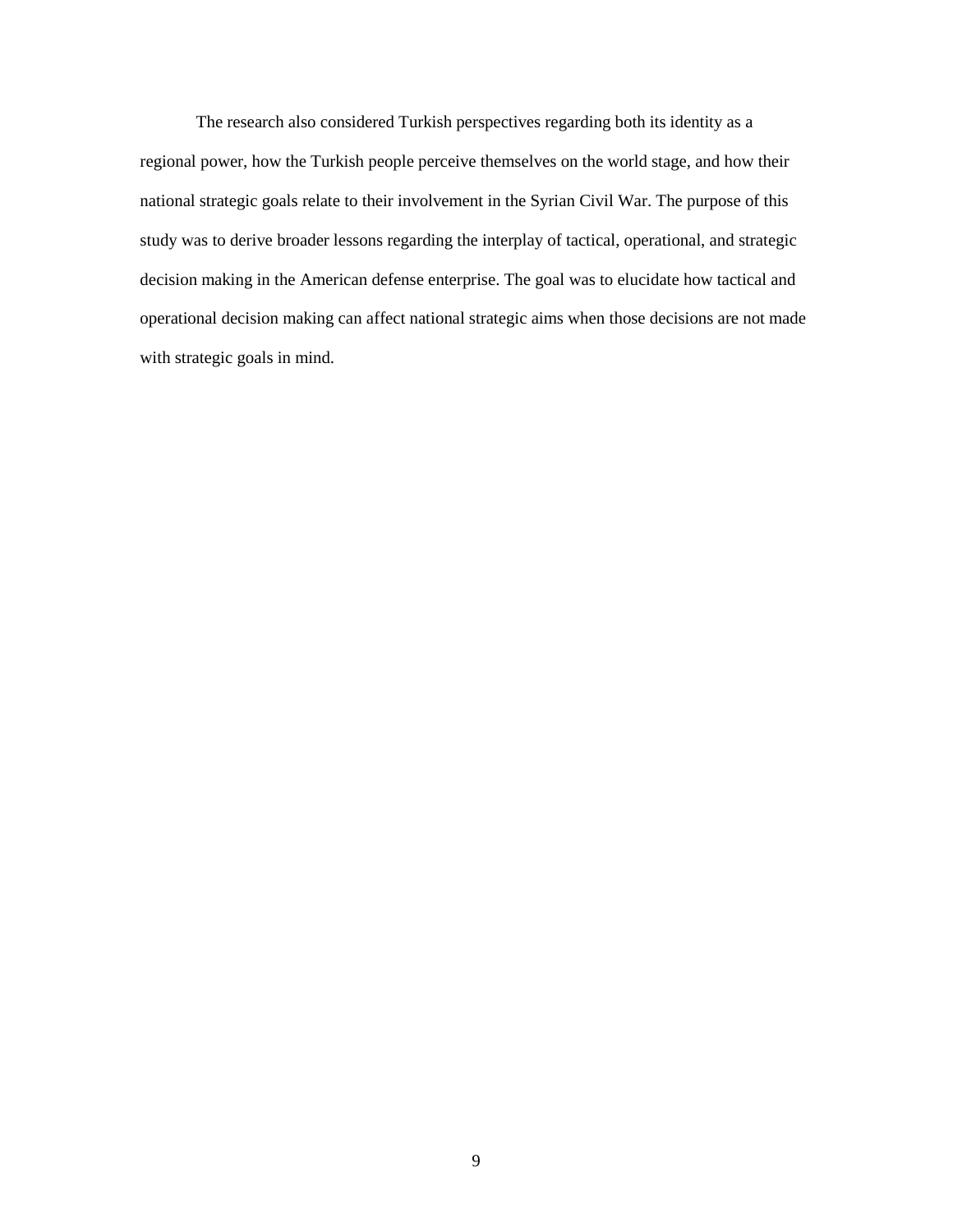The research also considered Turkish perspectives regarding both its identity as a study was to derive broader lessons regarding the interplay of tactical, operational, and strategic regional power, how the Turkish people perceive themselves on the world stage, and how their national strategic goals relate to their involvement in the Syrian Civil War. The purpose of this decision making in the American defense enterprise. The goal was to elucidate how tactical and operational decision making can affect national strategic aims when those decisions are not made with strategic goals in mind.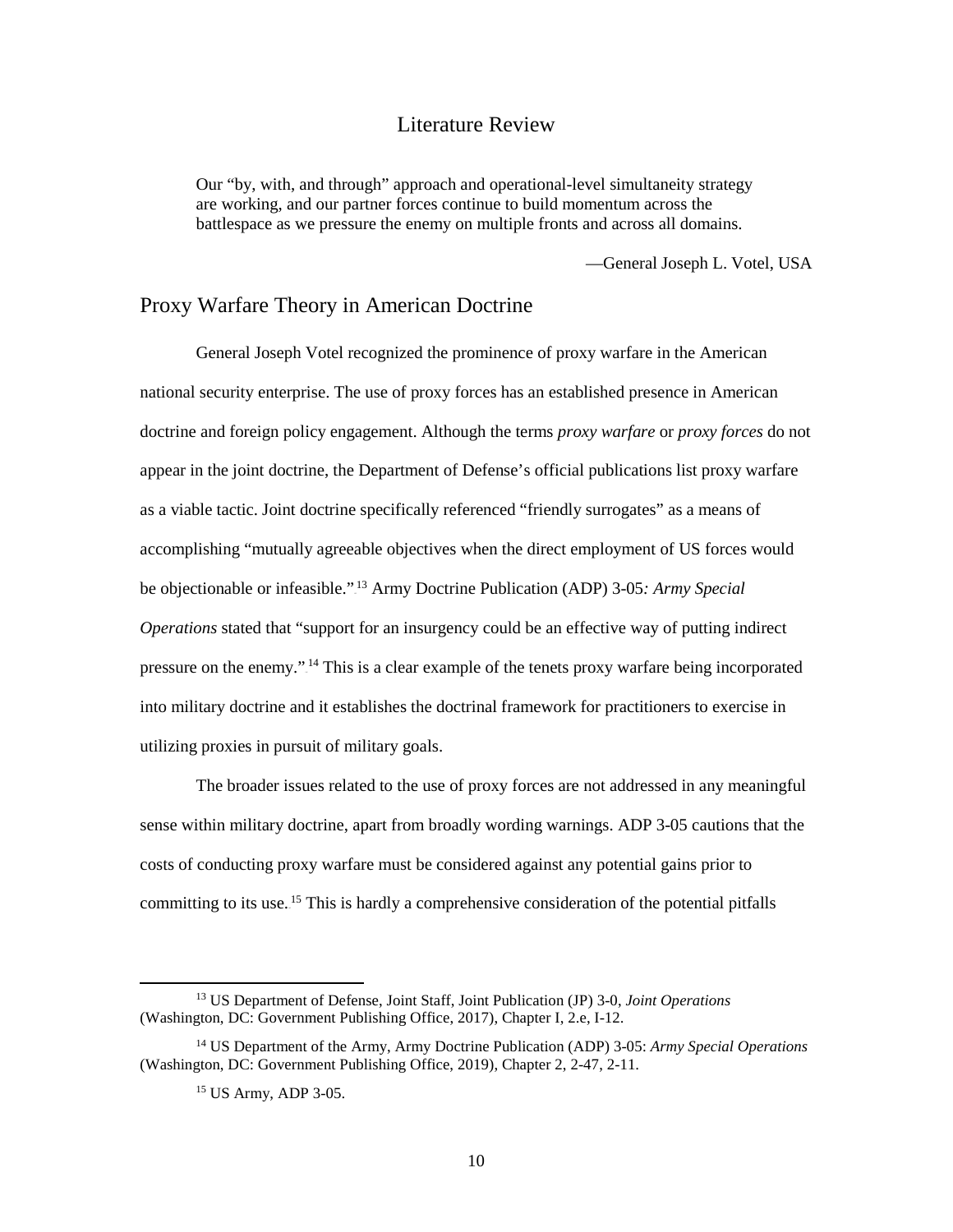#### Literature Review

<span id="page-17-0"></span>Our "by, with, and through" approach and operational-level simultaneity strategy are working, and our partner forces continue to build momentum across the battlespace as we pressure the enemy on multiple fronts and across all domains.

—General Joseph L. Votel, USA

#### Proxy Warfare Theory in American Doctrine

Proxy Warfare Theory in American Doctrine<br>General Joseph Votel recognized the prominence of proxy warfare in the American be objectionable or infeasible."<sup>13</sup> Army Doctrine Publication (ADP) 3-05*: Army Special Operations* stated that "support for an insurgency could be an effective way of putting indirect utilizing proxies in pursuit of military goals. national security enterprise. The use of proxy forces has an established presence in American doctrine and foreign policy engagement. Although the terms *proxy warfare* or *proxy forces* do not appear in the joint doctrine, the Department of Defense's official publications list proxy warfare as a viable tactic. Joint doctrine specifically referenced "friendly surrogates" as a means of accomplishing "mutually agreeable objectives when the direct employment of US forces would pressure on the enemy."<sup>14</sup> This is a clear example of the tenets proxy warfare being incorporated into military doctrine and it establishes the doctrinal framework for practitioners to exercise in

 costs of conducting proxy warfare must be considered against any potential gains prior to The broader issues related to the use of proxy forces are not addressed in any meaningful sense within military doctrine, apart from broadly wording warnings. ADP 3-05 cautions that the committing to its use.<sup>15</sup> This is hardly a comprehensive consideration of the potential pitfalls

<sup>13</sup> US Department of Defense, Joint Staff, Joint Publication (JP) 3-0, *Joint Operations*  (Washington, DC: Government Publishing Office, 2017), Chapter I, 2.e, I-12.

<sup>14</sup> US Department of the Army, Army Doctrine Publication (ADP) 3-05: *Army Special Operations*  (Washington, DC: Government Publishing Office, 2019), Chapter 2, 2-47, 2-11.

<sup>15</sup> US Army, ADP 3-05.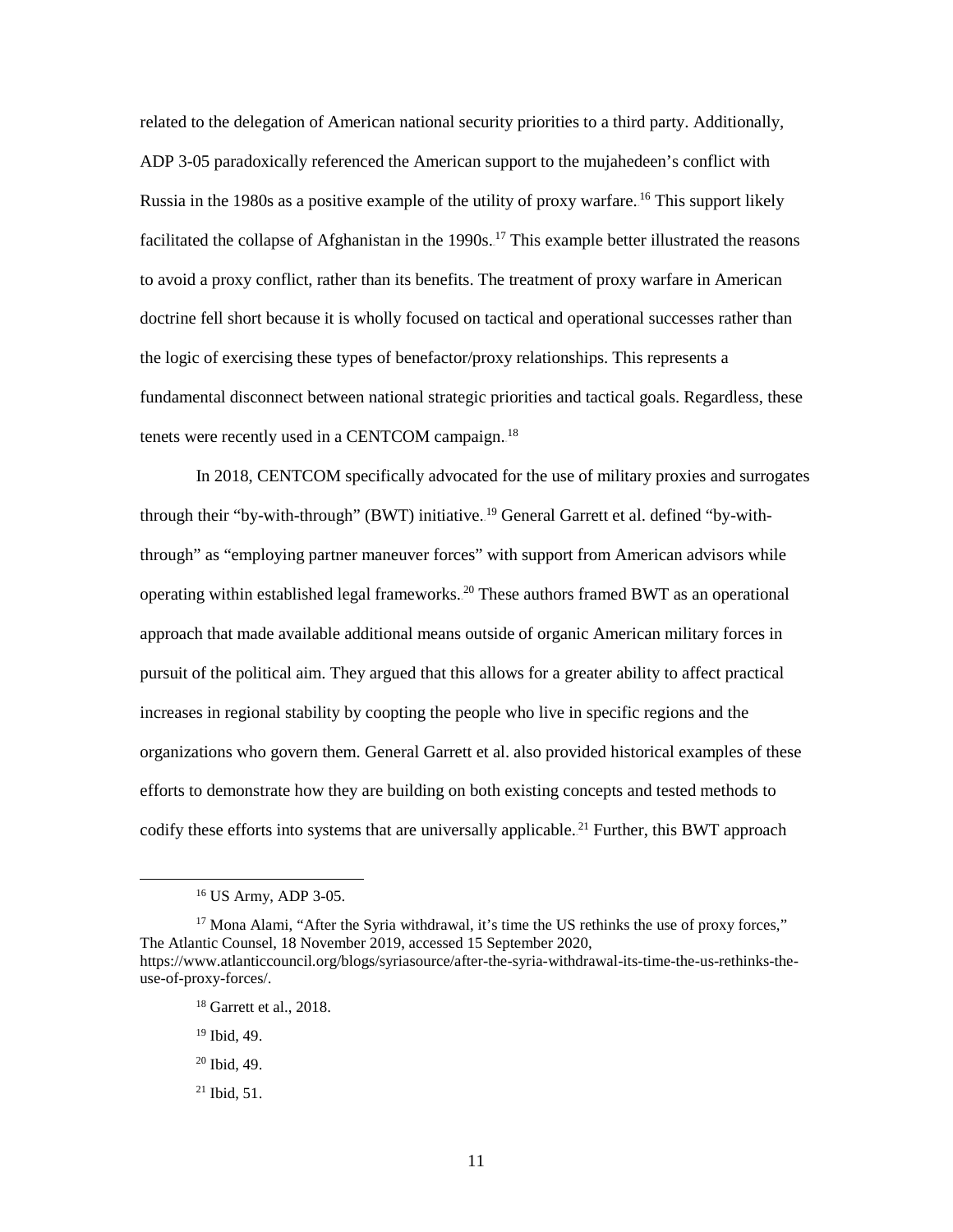related to the delegation of American national security priorities to a third party. Additionally, ADP 3-05 paradoxically referenced the American support to the mujahedeen's conflict with Russia in the 1980s as a positive example of the utility of proxy warfare. <sup>16</sup> This support likely facilitated the collapse of Afghanistan in the 1990s.<sup>17</sup> This example better illustrated the reasons to avoid a proxy conflict, rather than its benefits. The treatment of proxy warfare in American doctrine fell short because it is wholly focused on tactical and operational successes rather than the logic of exercising these types of benefactor/proxy relationships. This represents a fundamental disconnect between national strategic priorities and tactical goals. Regardless, these tenets were recently used in a CENTCOM campaign. $^{18}$ 

 In 2018, CENTCOM specifically advocated for the use of military proxies and surrogates through their "by-with-through" (BWT) initiative.<sup>19</sup> General Garrett et al. defined "by-withthrough" as "employing partner maneuver forces" with support from American advisors while operating within established legal frameworks.<sup>20</sup> These authors framed BWT as an operational approach that made available additional means outside of organic American military forces in pursuit of the political aim. They argued that this allows for a greater ability to affect practical increases in regional stability by coopting the people who live in specific regions and the organizations who govern them. General Garrett et al. also provided historical examples of these efforts to demonstrate how they are building on both existing concepts and tested methods to codify these efforts into systems that are universally applicable.<sup>21</sup> Further, this BWT approach

 $\overline{a}$ 

 $21$  Ibid, 51.

<sup>16</sup> US Army, ADP 3-05.

 $17$  Mona Alami, "After the Syria withdrawal, it's time the US rethinks the use of proxy forces," The Atlantic Counsel, 18 November 2019, accessed 15 September 2020, [https://www.atlanticcouncil.org/blogs/syriasource/after-the-syria-withdrawal-its-time-the-us-rethinks-the](https://www.atlanticcouncil.org/blogs/syriasource/after-the-syria-withdrawal-its-time-the-us-rethinks-the-use-of-proxy-forces/)[use-of-proxy-forces/.](https://www.atlanticcouncil.org/blogs/syriasource/after-the-syria-withdrawal-its-time-the-us-rethinks-the-use-of-proxy-forces/)

 $18$  Garrett et al., 2018.

<sup>19</sup> Ibid, 49.

 $20$  Ibid,  $49$ .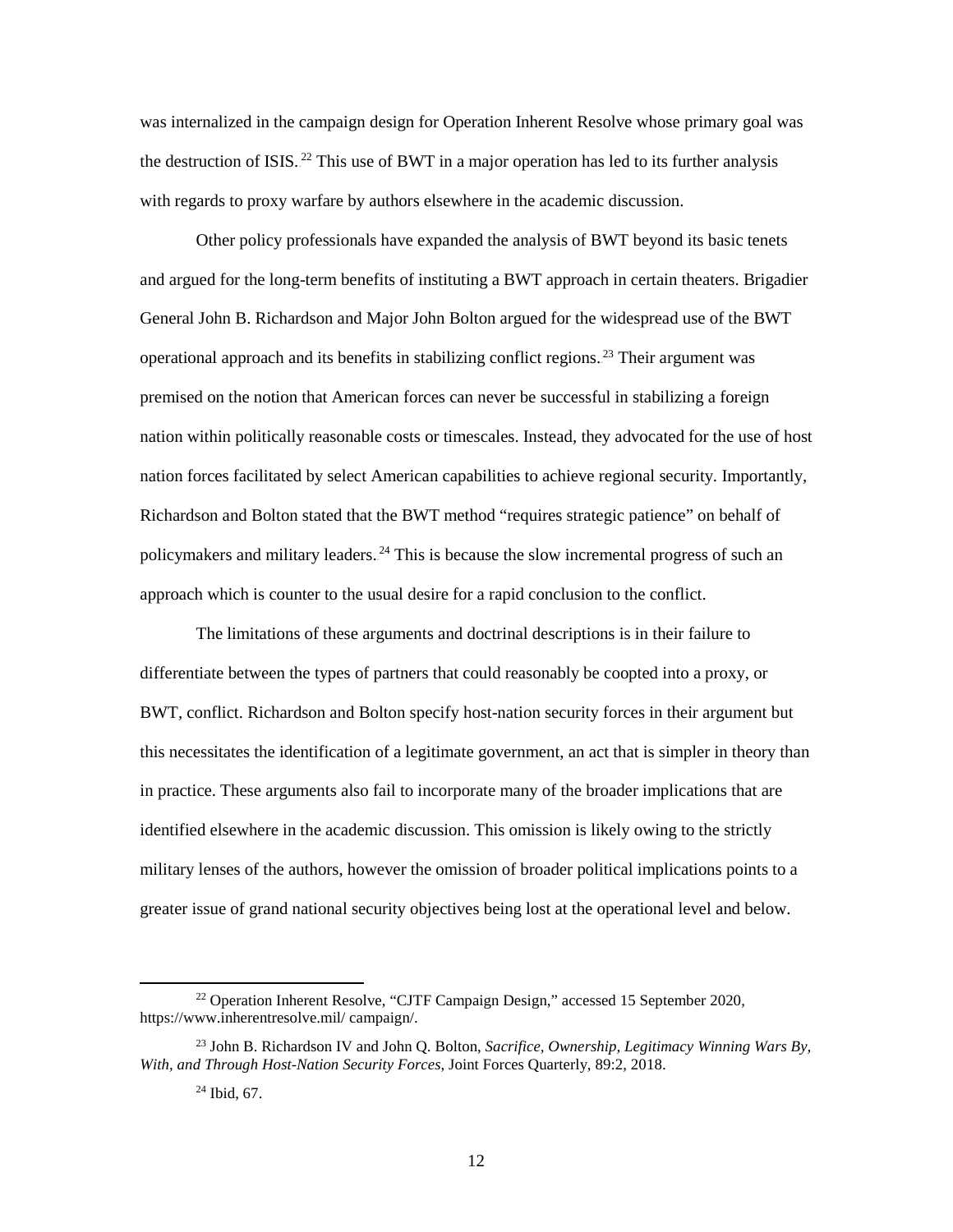was internalized in the campaign design for Operation Inherent Resolve whose primary goal was the destruction of ISIS.<sup>22</sup> This use of BWT in a major operation has led to its further analysis with regards to proxy warfare by authors elsewhere in the academic discussion.

 General John B. Richardson and Major John Bolton argued for the widespread use of the BWT premised on the notion that American forces can never be successful in stabilizing a foreign Richardson and Bolton stated that the BWT method "requires strategic patience" on behalf of approach which is counter to the usual desire for a rapid conclusion to the conflict. Other policy professionals have expanded the analysis of BWT beyond its basic tenets and argued for the long-term benefits of instituting a BWT approach in certain theaters. Brigadier operational approach and its benefits in stabilizing conflict regions.<sup>23</sup> Their argument was nation within politically reasonable costs or timescales. Instead, they advocated for the use of host nation forces facilitated by select American capabilities to achieve regional security. Importantly, policymakers and military leaders.<sup>24</sup> This is because the slow incremental progress of such an

 differentiate between the types of partners that could reasonably be coopted into a proxy, or BWT, conflict. Richardson and Bolton specify host-nation security forces in their argument but identified elsewhere in the academic discussion. This omission is likely owing to the strictly greater issue of grand national security objectives being lost at the operational level and below. The limitations of these arguments and doctrinal descriptions is in their failure to this necessitates the identification of a legitimate government, an act that is simpler in theory than in practice. These arguments also fail to incorporate many of the broader implications that are military lenses of the authors, however the omission of broader political implications points to a

<sup>22</sup> Operation Inherent Resolve, "CJTF Campaign Design," accessed 15 September 2020, [https://www.inherentresolve.mil/ campaign/.](https://www.inherentresolve.mil/%20campaign/) 

<sup>23</sup> John B. Richardson IV and John Q. Bolton, *Sacrifice, Ownership, Legitimacy Winning Wars By, With, and Through Host-Nation Security Forces*, Joint Forces Quarterly, 89:2, 2018.

 $24$  Ibid, 67.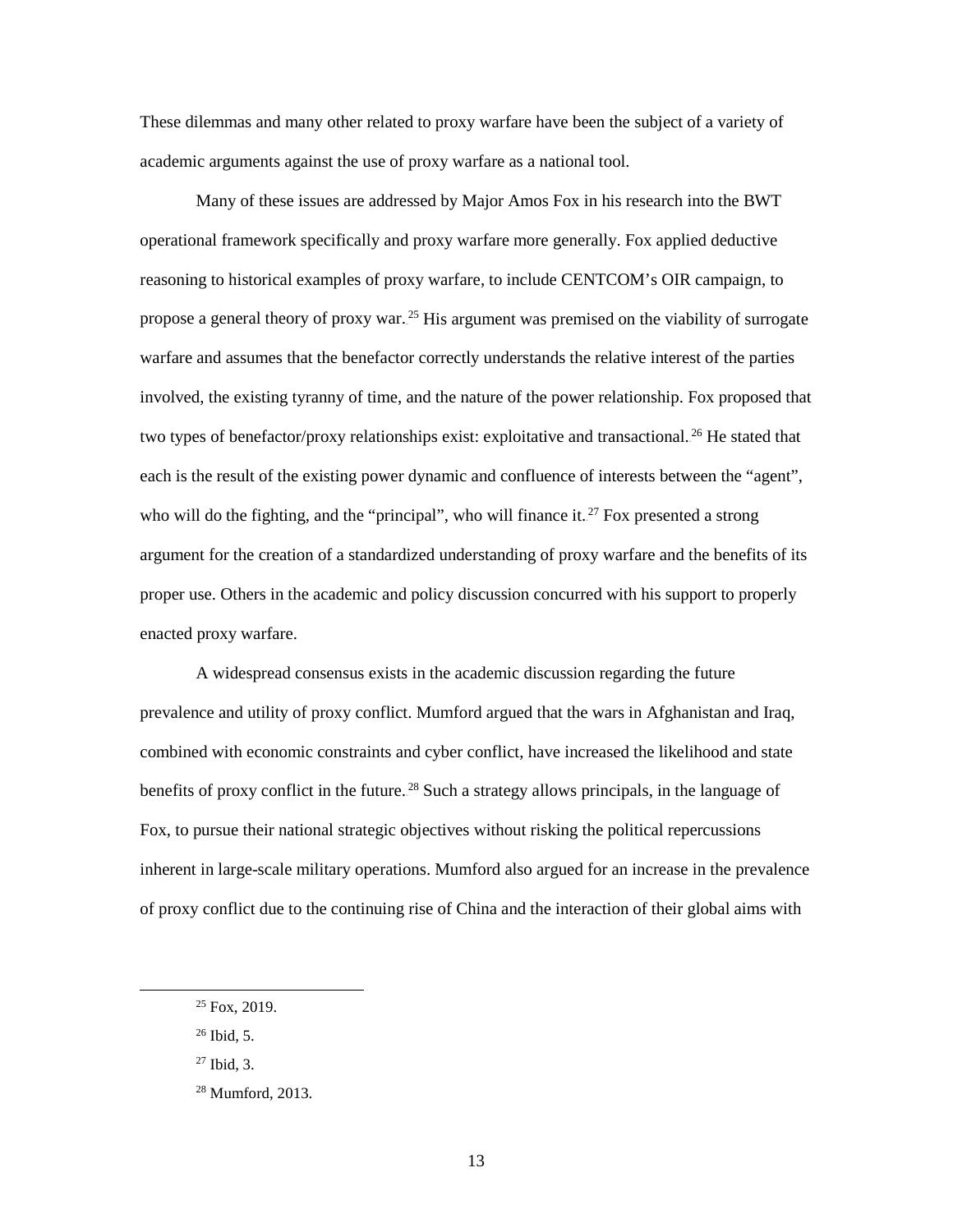These dilemmas and many other related to proxy warfare have been the subject of a variety of academic arguments against the use of proxy warfare as a national tool.

 Many of these issues are addressed by Major Amos Fox in his research into the BWT propose a general theory of proxy war.<sup>25</sup> His argument was premised on the viability of surrogate each is the result of the existing power dynamic and confluence of interests between the "agent", who will do the fighting, and the "principal", who will finance it.<sup>27</sup> Fox presented a strong argument for the creation of a standardized understanding of proxy warfare and the benefits of its operational framework specifically and proxy warfare more generally. Fox applied deductive reasoning to historical examples of proxy warfare, to include CENTCOM's OIR campaign, to warfare and assumes that the benefactor correctly understands the relative interest of the parties involved, the existing tyranny of time, and the nature of the power relationship. Fox proposed that two types of benefactor/proxy relationships exist: exploitative and transactional.<sup>26</sup> He stated that proper use. Others in the academic and policy discussion concurred with his support to properly enacted proxy warfare.

benefits of proxy conflict in the future.<sup>28</sup> Such a strategy allows principals, in the language of inherent in large-scale military operations. Mumford also argued for an increase in the prevalence of proxy conflict due to the continuing rise of China and the interaction of their global aims with A widespread consensus exists in the academic discussion regarding the future prevalence and utility of proxy conflict. Mumford argued that the wars in Afghanistan and Iraq, combined with economic constraints and cyber conflict, have increased the likelihood and state Fox, to pursue their national strategic objectives without risking the political repercussions

-

 $25$  Fox, 2019.

 $^{26}$  Ibid, 5.

 $27$  Ibid, 3.

<sup>28</sup> Mumford, 2013.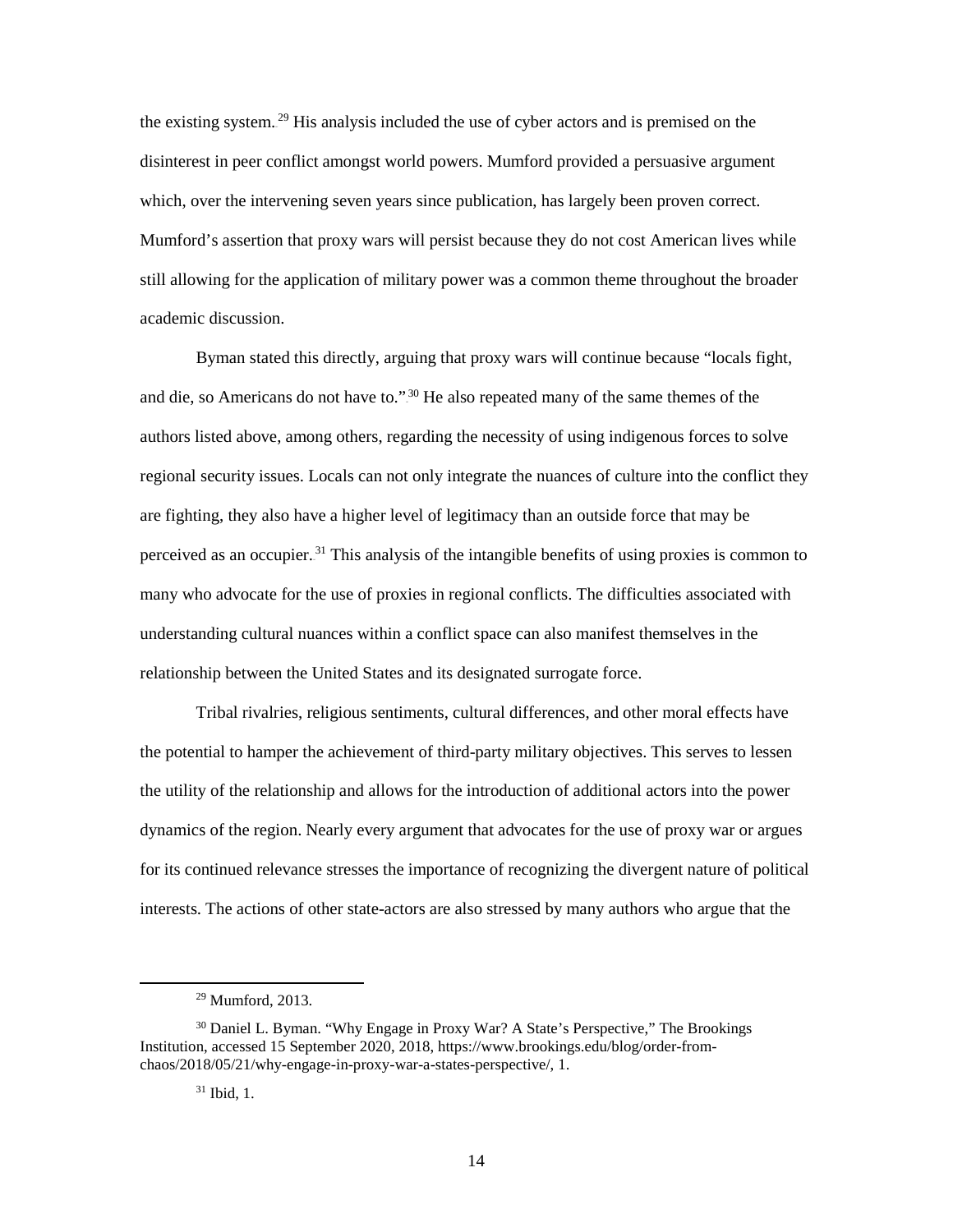disinterest in peer conflict amongst world powers. Mumford provided a persuasive argument the existing system.<sup>29</sup> His analysis included the use of cyber actors and is premised on the which, over the intervening seven years since publication, has largely been proven correct. Mumford's assertion that proxy wars will persist because they do not cost American lives while still allowing for the application of military power was a common theme throughout the broader academic discussion.

and die, so Americans do not have to."<sup>30</sup> He also repeated many of the same themes of the regional security issues. Locals can not only integrate the nuances of culture into the conflict they are fighting, they also have a higher level of legitimacy than an outside force that may be many who advocate for the use of proxies in regional conflicts. The difficulties associated with understanding cultural nuances within a conflict space can also manifest themselves in the Byman stated this directly, arguing that proxy wars will continue because "locals fight, authors listed above, among others, regarding the necessity of using indigenous forces to solve perceived as an occupier.<sup>31</sup> This analysis of the intangible benefits of using proxies is common to relationship between the United States and its designated surrogate force.

 Tribal rivalries, religious sentiments, cultural differences, and other moral effects have the potential to hamper the achievement of third-party military objectives. This serves to lessen dynamics of the region. Nearly every argument that advocates for the use of proxy war or argues the utility of the relationship and allows for the introduction of additional actors into the power for its continued relevance stresses the importance of recognizing the divergent nature of political interests. The actions of other state-actors are also stressed by many authors who argue that the

<sup>29</sup> Mumford, 2013.

<sup>&</sup>lt;sup>30</sup> Daniel L. Byman. "Why Engage in Proxy War? A State's Perspective," The Brookings Institution, accessed 15 September 2020, 2018, [https://www.brookings.edu/blog/order-from](https://www.brookings.edu/blog/order-from-chaos/2018/05/21/why-engage-in-proxy-war-a-states-perspective/)[chaos/2018/05/21/why-engage-in-proxy-war-a-states-perspective/,](https://www.brookings.edu/blog/order-from-chaos/2018/05/21/why-engage-in-proxy-war-a-states-perspective/) 1.

 31 Ibid, 1.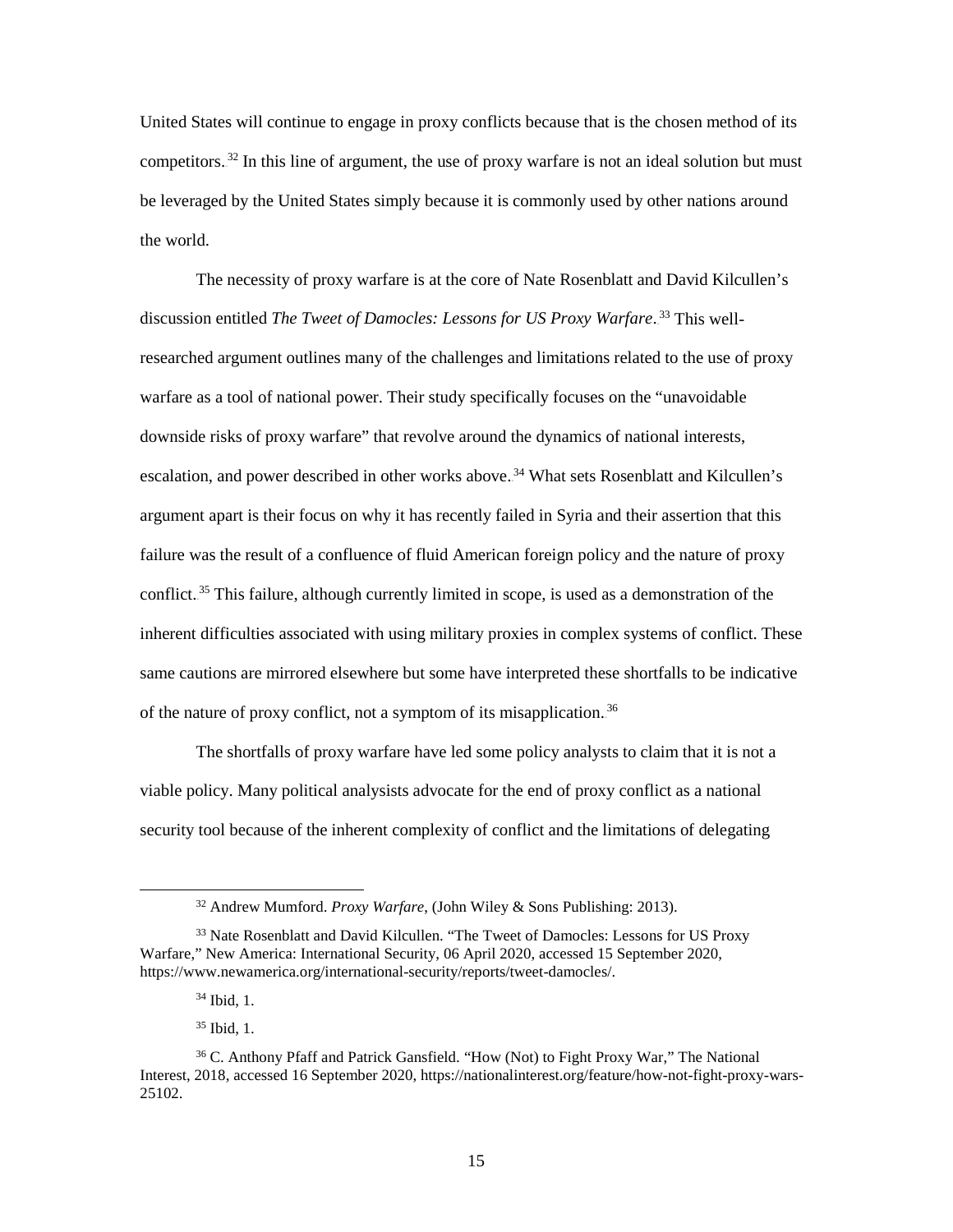competitors.<sup>32</sup> In this line of argument, the use of proxy warfare is not an ideal solution but must be leveraged by the United States simply because it is commonly used by other nations around United States will continue to engage in proxy conflicts because that is the chosen method of its the world.

 warfare as a tool of national power. Their study specifically focuses on the "unavoidable downside risks of proxy warfare" that revolve around the dynamics of national interests, escalation, and power described in other works above.<sup>34</sup> What sets Rosenblatt and Kilcullen's conflict.<sup>35</sup> This failure, although currently limited in scope, is used as a demonstration of the inherent difficulties associated with using military proxies in complex systems of conflict. These The necessity of proxy warfare is at the core of Nate Rosenblatt and David Kilcullen's discussion entitled *The Tweet of Damocles: Lessons for US Proxy Warfare*.<sup>33</sup> This wellresearched argument outlines many of the challenges and limitations related to the use of proxy argument apart is their focus on why it has recently failed in Syria and their assertion that this failure was the result of a confluence of fluid American foreign policy and the nature of proxy same cautions are mirrored elsewhere but some have interpreted these shortfalls to be indicative of the nature of proxy conflict, not a symptom of its misapplication.<sup>36</sup>

 The shortfalls of proxy warfare have led some policy analysts to claim that it is not a viable policy. Many political analysists advocate for the end of proxy conflict as a national security tool because of the inherent complexity of conflict and the limitations of delegating

-

<sup>32</sup> Andrew Mumford. *Proxy Warfare*, (John Wiley & Sons Publishing: 2013).

 Warfare," New America: International Security, 06 April 2020, accessed 15 September 2020, <sup>33</sup> Nate Rosenblatt and David Kilcullen. "The Tweet of Damocles: Lessons for US Proxy [https://www.newamerica.org/international-security/reports/tweet-damocles/.](https://www.newamerica.org/international-security/reports/tweet-damocles/)

<sup>34</sup> Ibid, 1.

<sup>35</sup> Ibid, 1.

<sup>36</sup> C. Anthony Pfaff and Patrick Gansfield. "How (Not) to Fight Proxy War," The National Interest, 2018, accessed 16 September 2020, [https://nationalinterest.org/feature/how-not-fight-proxy-wars-](https://nationalinterest.org/feature/how-not-fight-proxy-wars-25102)[25102.](https://nationalinterest.org/feature/how-not-fight-proxy-wars-25102)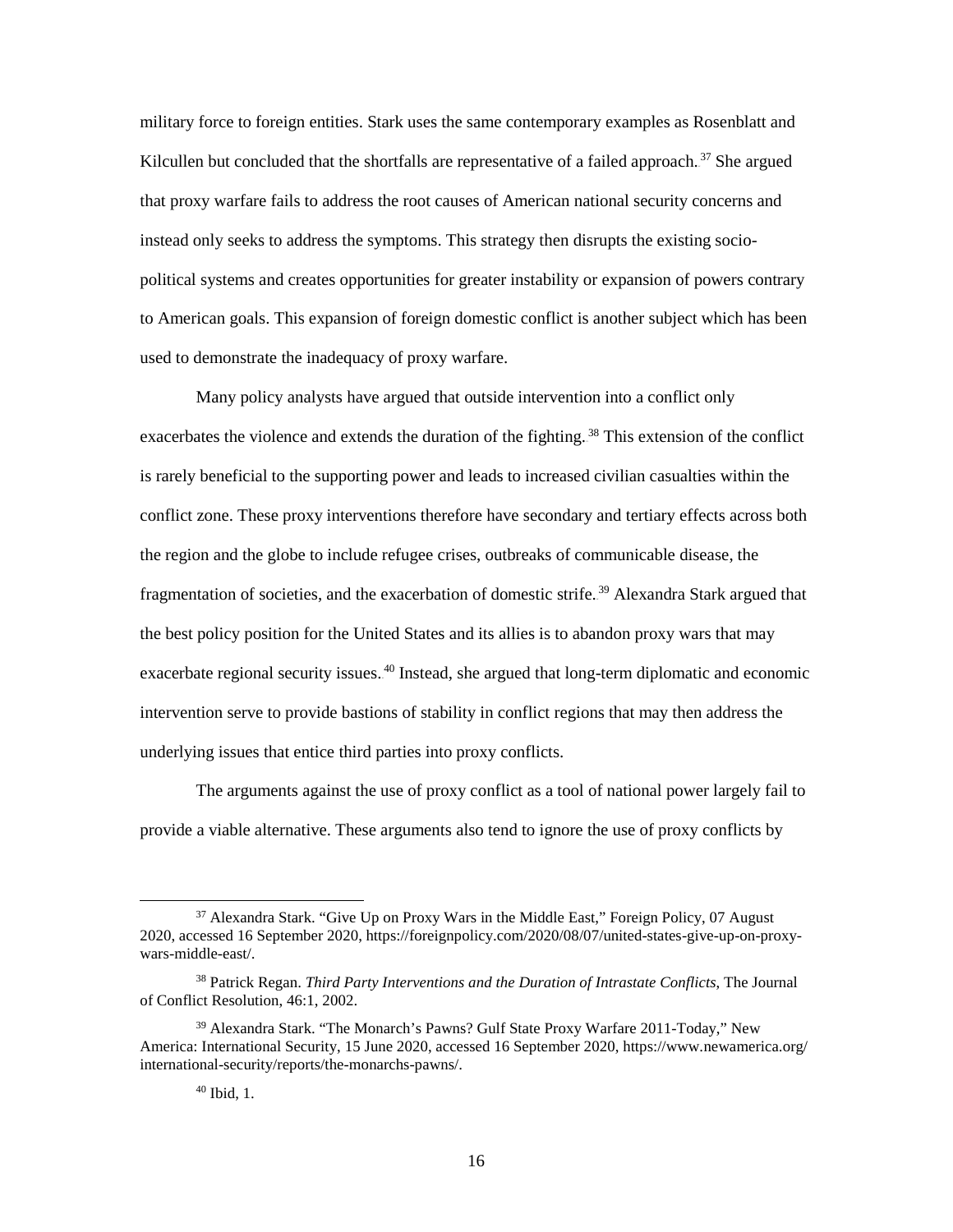instead only seeks to address the symptoms. This strategy then disrupts the existing sociomilitary force to foreign entities. Stark uses the same contemporary examples as Rosenblatt and Kilcullen but concluded that the shortfalls are representative of a failed approach.<sup>37</sup> She argued that proxy warfare fails to address the root causes of American national security concerns and political systems and creates opportunities for greater instability or expansion of powers contrary to American goals. This expansion of foreign domestic conflict is another subject which has been used to demonstrate the inadequacy of proxy warfare.

 Many policy analysts have argued that outside intervention into a conflict only exacerbates the violence and extends the duration of the fighting.<sup>38</sup> This extension of the conflict is rarely beneficial to the supporting power and leads to increased civilian casualties within the the best policy position for the United States and its allies is to abandon proxy wars that may exacerbate regional security issues.<sup>40</sup> Instead, she argued that long-term diplomatic and economic intervention serve to provide bastions of stability in conflict regions that may then address the conflict zone. These proxy interventions therefore have secondary and tertiary effects across both the region and the globe to include refugee crises, outbreaks of communicable disease, the fragmentation of societies, and the exacerbation of domestic strife.<sup>39</sup> Alexandra Stark argued that underlying issues that entice third parties into proxy conflicts.

 The arguments against the use of proxy conflict as a tool of national power largely fail to provide a viable alternative. These arguments also tend to ignore the use of proxy conflicts by

<sup>37</sup> Alexandra Stark. "Give Up on Proxy Wars in the Middle East," Foreign Policy, 07 August 2020, accessed 16 September 2020, [https://foreignpolicy.com/2020/08/07/united-states-give-up-on-proxy](https://foreignpolicy.com/2020/08/07/united-states-give-up-on-proxy-wars-middle-east/)[wars-middle-east/.](https://foreignpolicy.com/2020/08/07/united-states-give-up-on-proxy-wars-middle-east/) 

<sup>38</sup> Patrick Regan. *Third Party Interventions and the Duration of Intrastate Conflicts*, The Journal of Conflict Resolution, 46:1, 2002.

<sup>39</sup> Alexandra Stark. "The Monarch's Pawns? Gulf State Proxy Warfare 2011-Today," New America: International Security, 15 June 2020, accessed 16 September 2020, [https://www.newamerica.org/](https://www.newamerica.org/%20international-security/reports/the-monarchs-pawns/)  [international-security/reports/the-monarchs-pawns/.](https://www.newamerica.org/%20international-security/reports/the-monarchs-pawns/)

 40 Ibid, 1.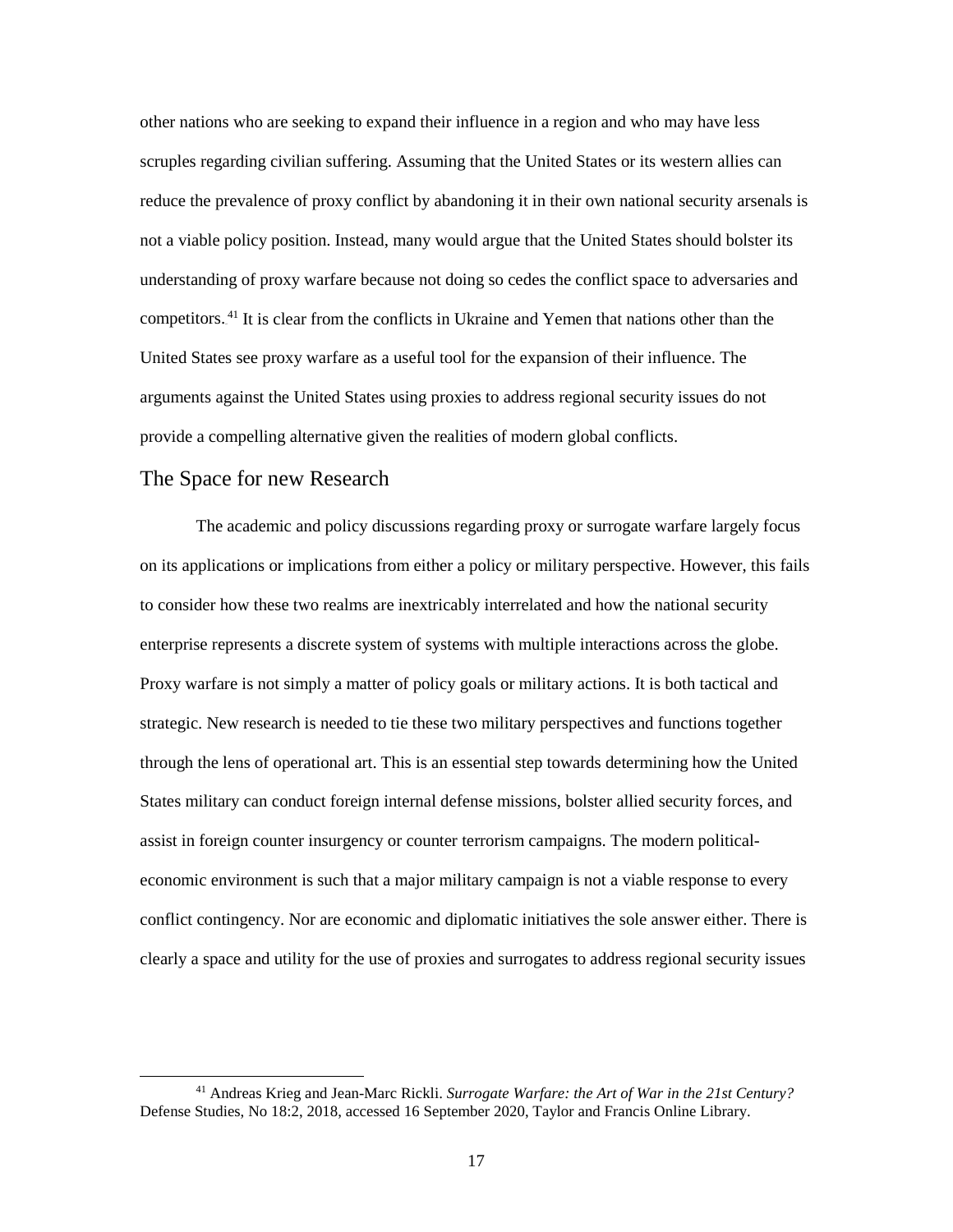reduce the prevalence of proxy conflict by abandoning it in their own national security arsenals is United States see proxy warfare as a useful tool for the expansion of their influence. The other nations who are seeking to expand their influence in a region and who may have less scruples regarding civilian suffering. Assuming that the United States or its western allies can not a viable policy position. Instead, many would argue that the United States should bolster its understanding of proxy warfare because not doing so cedes the conflict space to adversaries and competitors.<sup>41</sup> It is clear from the conflicts in Ukraine and Yemen that nations other than the arguments against the United States using proxies to address regional security issues do not provide a compelling alternative given the realities of modern global conflicts.

#### The Space for new Research

 $\overline{a}$ 

 Proxy warfare is not simply a matter of policy goals or military actions. It is both tactical and strategic. New research is needed to tie these two military perspectives and functions together through the lens of operational art. This is an essential step towards determining how the United clearly a space and utility for the use of proxies and surrogates to address regional security issues The academic and policy discussions regarding proxy or surrogate warfare largely focus on its applications or implications from either a policy or military perspective. However, this fails to consider how these two realms are inextricably interrelated and how the national security enterprise represents a discrete system of systems with multiple interactions across the globe. States military can conduct foreign internal defense missions, bolster allied security forces, and assist in foreign counter insurgency or counter terrorism campaigns. The modern politicaleconomic environment is such that a major military campaign is not a viable response to every conflict contingency. Nor are economic and diplomatic initiatives the sole answer either. There is

<sup>41</sup> Andreas Krieg and Jean-Marc Rickli. *Surrogate Warfare: the Art of War in the 21st Century?*  Defense Studies, No 18:2, 2018, accessed 16 September 2020, Taylor and Francis Online Library.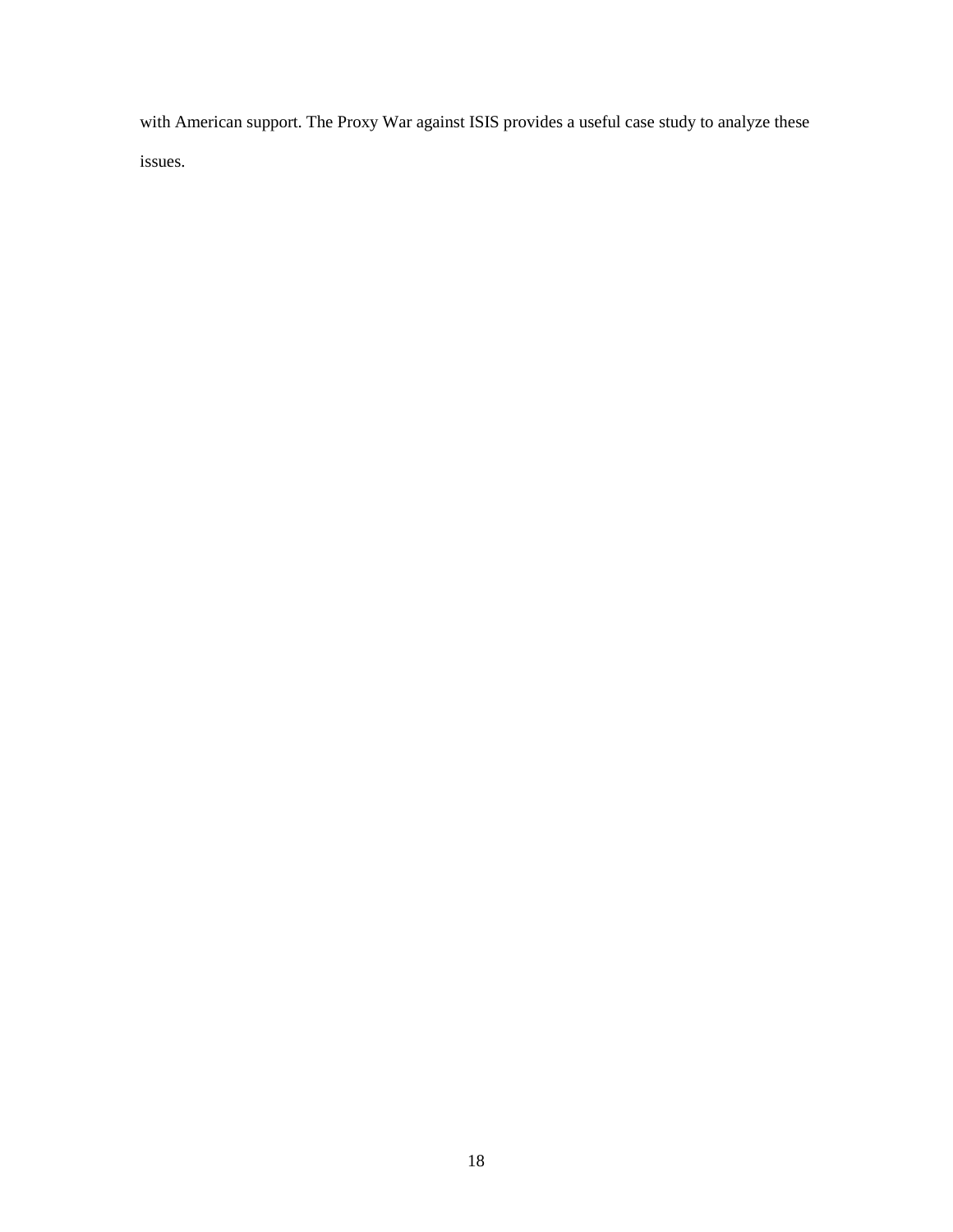<span id="page-25-0"></span>with American support. The Proxy War against ISIS provides a useful case study to analyze these issues.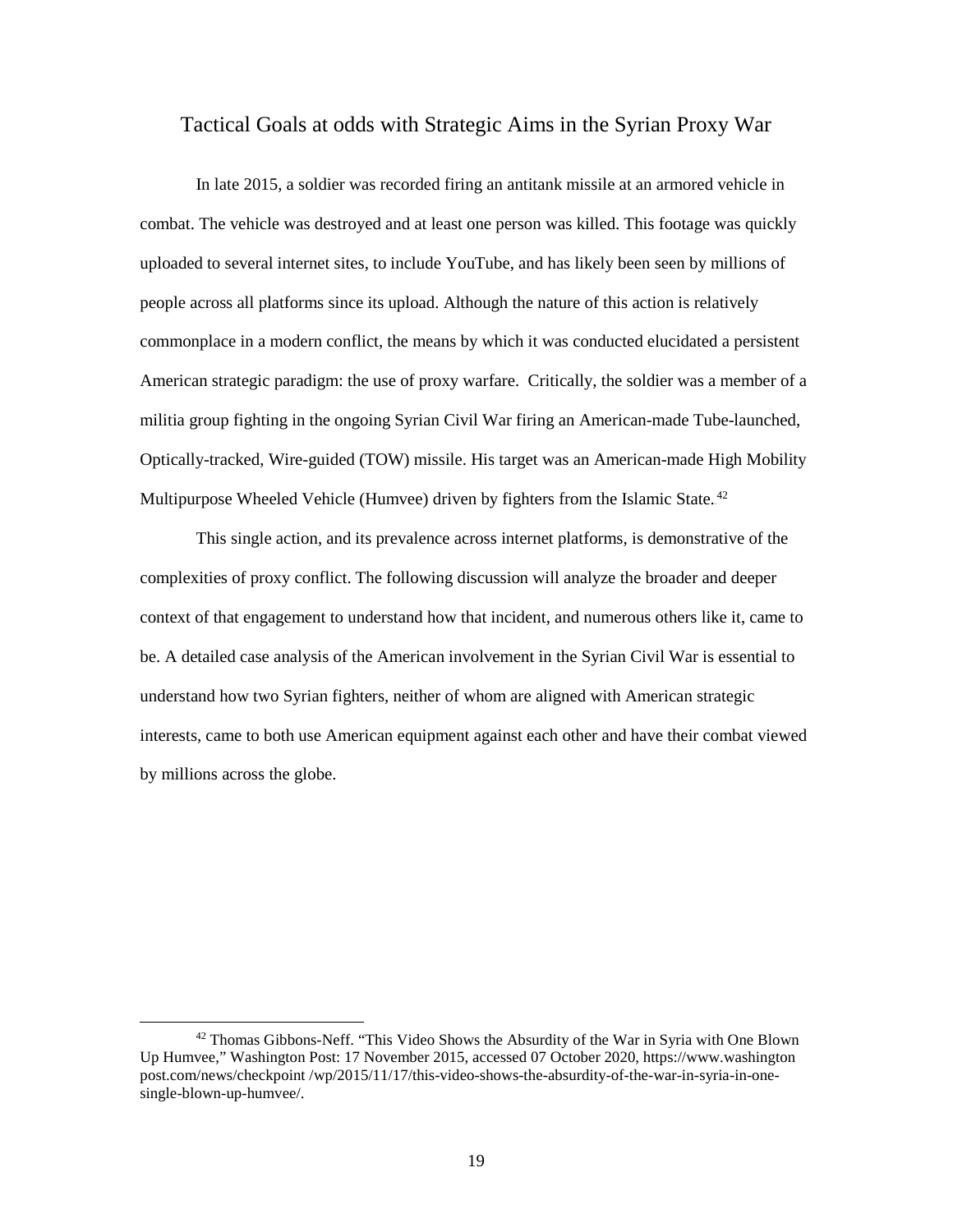#### <span id="page-26-0"></span>Tactical Goals at odds with Strategic Aims in the Syrian Proxy War

 In late 2015, a soldier was recorded firing an antitank missile at an armored vehicle in combat. The vehicle was destroyed and at least one person was killed. This footage was quickly uploaded to several internet sites, to include YouTube, and has likely been seen by millions of militia group fighting in the ongoing Syrian Civil War firing an American-made Tube-launched, Multipurpose Wheeled Vehicle (Humvee) driven by fighters from the Islamic State.<sup>42</sup> people across all platforms since its upload. Although the nature of this action is relatively commonplace in a modern conflict, the means by which it was conducted elucidated a persistent American strategic paradigm: the use of proxy warfare. Critically, the soldier was a member of a Optically-tracked, Wire-guided (TOW) missile. His target was an American-made High Mobility

 This single action, and its prevalence across internet platforms, is demonstrative of the be. A detailed case analysis of the American involvement in the Syrian Civil War is essential to by millions across the globe. complexities of proxy conflict. The following discussion will analyze the broader and deeper context of that engagement to understand how that incident, and numerous others like it, came to understand how two Syrian fighters, neither of whom are aligned with American strategic interests, came to both use American equipment against each other and have their combat viewed by millions across the globe.<br>
<sup>42</sup> Thomas Gibbons-Neff. "This Video Shows the Absurdity of the War in Syria with One Blown

 $\ddot{\phantom{a}}$ 

Up Humvee," Washington Post: 17 November 2015, accessed 07 October 2020,<https://www.washington> [post.com/news/checkpoint](https://post.com/news/checkpoint) /wp/2015/11/17/this-video-shows-the-absurdity-of-the-war-in-syria-in-onesingle-blown-up-humvee/.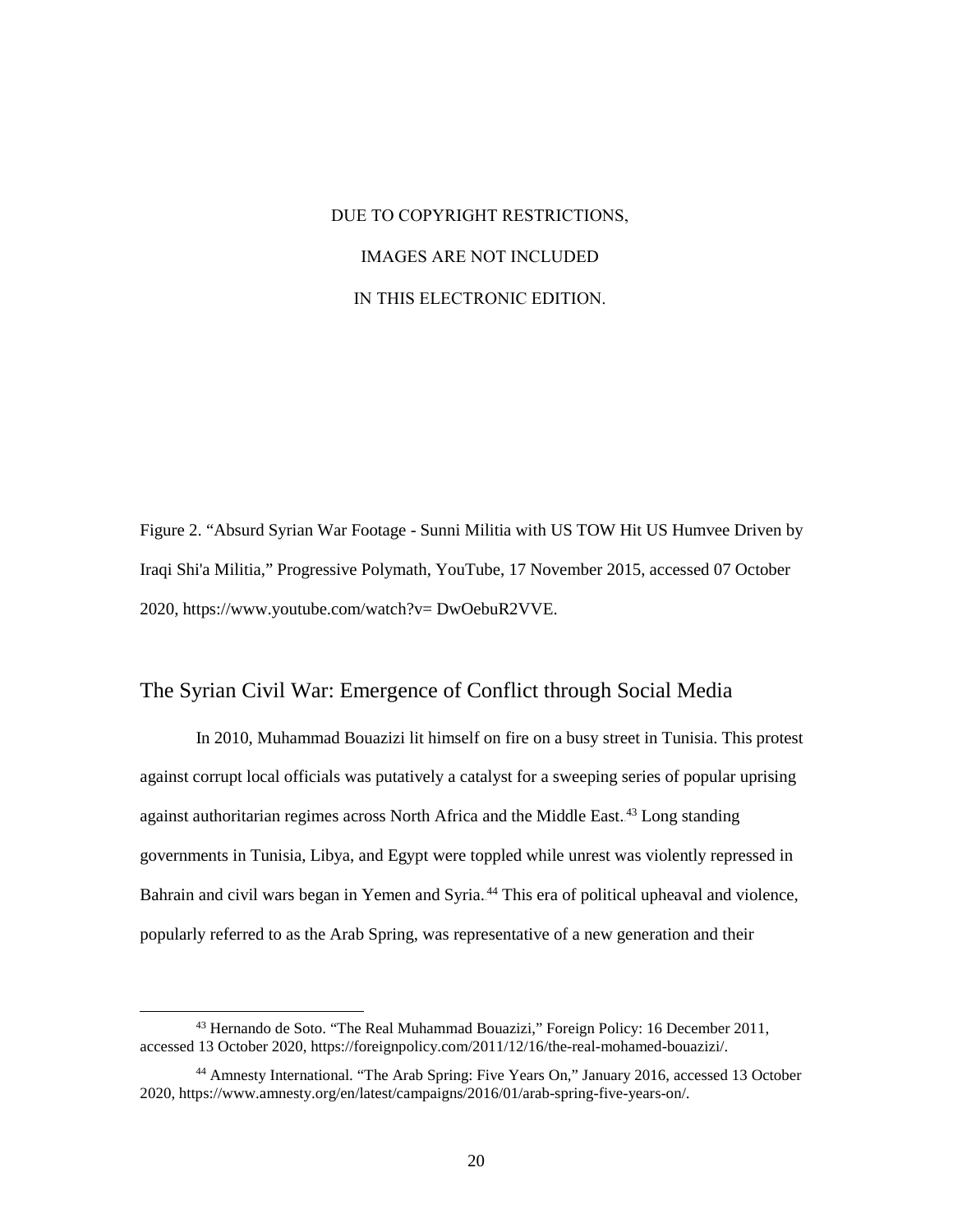# DUE TO COPYRIGHT RESTRICTIONS, IMAGES ARE NOT INCLUDED IN THIS ELECTRONIC EDITION.

 Figure 2. "Absurd Syrian War Footage - Sunni Militia with US TOW Hit US Humvee Driven by Iraqi Shi'a Militia," Progressive Polymath, YouTube, 17 November 2015, accessed 07 October 2020, [https://www.youtube.com/watch?v= DwOebuR2VVE.](https://www.youtube.com/watch?v=%20DwOebuR2VVE)

#### The Syrian Civil War: Emergence of Conflict through Social Media

 In 2010, Muhammad Bouazizi lit himself on fire on a busy street in Tunisia. This protest governments in Tunisia, Libya, and Egypt were toppled while unrest was violently repressed in against corrupt local officials was putatively a catalyst for a sweeping series of popular uprising against authoritarian regimes across North Africa and the Middle East.<sup>43</sup> Long standing Bahrain and civil wars began in Yemen and Syria.<sup>44</sup> This era of political upheaval and violence, popularly referred to as the Arab Spring, was representative of a new generation and their

 accessed 13 October 2020[, https://foreignpolicy.com/2011/12/16/the-real-mohamed-bouazizi/.](https://foreignpolicy.com/2011/12/16/the-real-mohamed-bouazizi/)  43 Hernando de Soto. "The Real Muhammad Bouazizi," Foreign Policy: 16 December 2011,

<sup>2020,</sup> [https://www.amnesty.org/en/latest/campaigns/2016/01/arab-spring-five-years-on/.](https://www.amnesty.org/en/latest/campaigns/2016/01/arab-spring-five-years-on/)<br>20 44 Amnesty International. "The Arab Spring: Five Years On," January 2016, accessed 13 October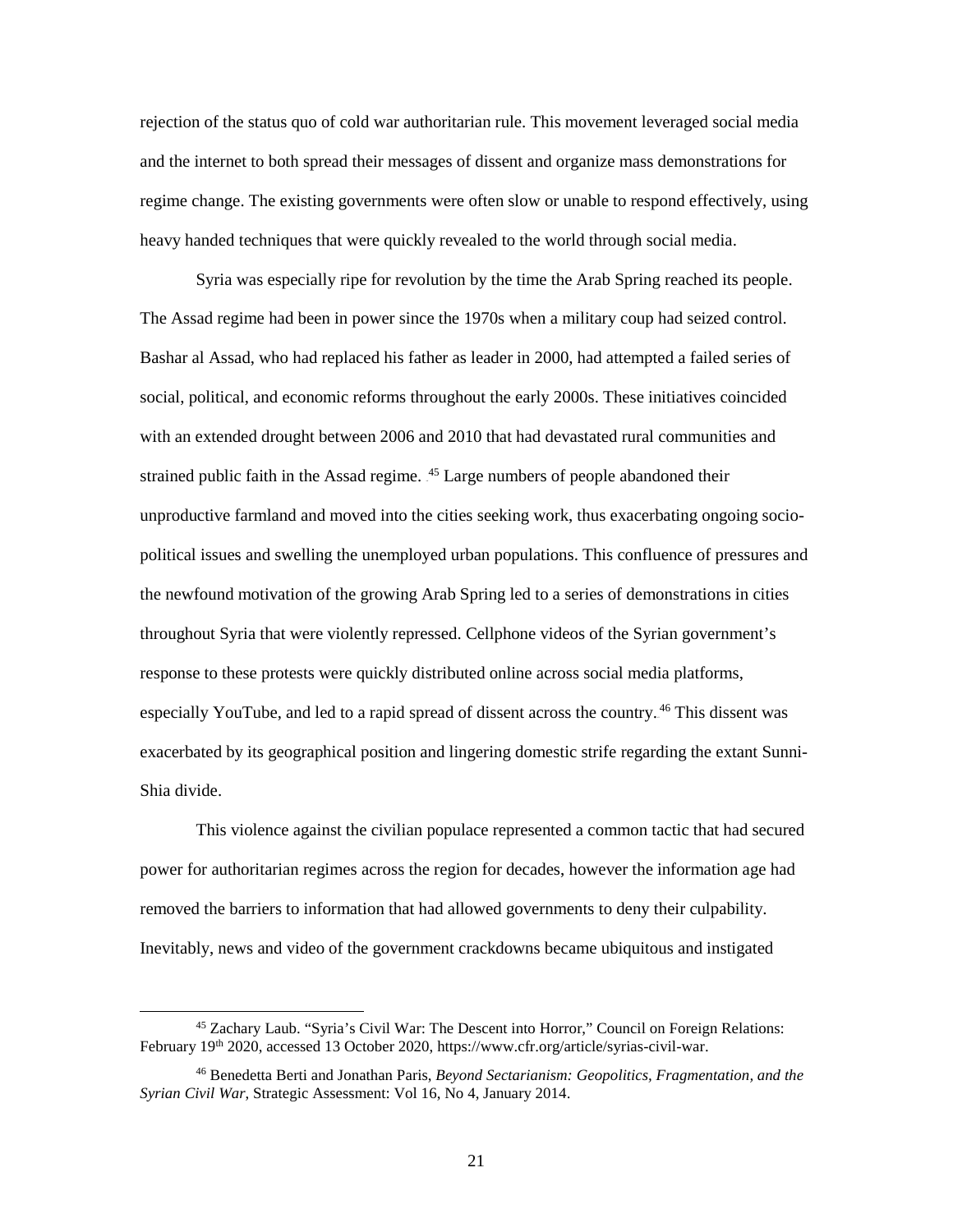regime change. The existing governments were often slow or unable to respond effectively, using rejection of the status quo of cold war authoritarian rule. This movement leveraged social media and the internet to both spread their messages of dissent and organize mass demonstrations for heavy handed techniques that were quickly revealed to the world through social media.

 Syria was especially ripe for revolution by the time the Arab Spring reached its people. Bashar al Assad, who had replaced his father as leader in 2000, had attempted a failed series of with an extended drought between 2006 and 2010 that had devastated rural communities and strained public faith in the Assad regime.  $45$  Large numbers of people abandoned their the newfound motivation of the growing Arab Spring led to a series of demonstrations in cities throughout Syria that were violently repressed. Cellphone videos of the Syrian government's The Assad regime had been in power since the 1970s when a military coup had seized control. social, political, and economic reforms throughout the early 2000s. These initiatives coincided unproductive farmland and moved into the cities seeking work, thus exacerbating ongoing sociopolitical issues and swelling the unemployed urban populations. This confluence of pressures and response to these protests were quickly distributed online across social media platforms, especially YouTube, and led to a rapid spread of dissent across the country.<sup>46</sup> This dissent was exacerbated by its geographical position and lingering domestic strife regarding the extant Sunni-Shia divide.

This violence against the civilian populace represented a common tactic that had secured power for authoritarian regimes across the region for decades, however the information age had removed the barriers to information that had allowed governments to deny their culpability. Inevitably, news and video of the government crackdowns became ubiquitous and instigated

<sup>45</sup> Zachary Laub. "Syria's Civil War: The Descent into Horror," Council on Foreign Relations: February 19<sup>th</sup> 2020, accessed 13 October 2020, [https://www.cfr.org/article/syrias-civil-war.](https://www.cfr.org/article/syrias-civil-war)

 46 Benedetta Berti and Jonathan Paris, *Beyond Sectarianism: Geopolitics, Fragmentation, and the Syrian Civil War*, Strategic Assessment: Vol 16, No 4, January 2014.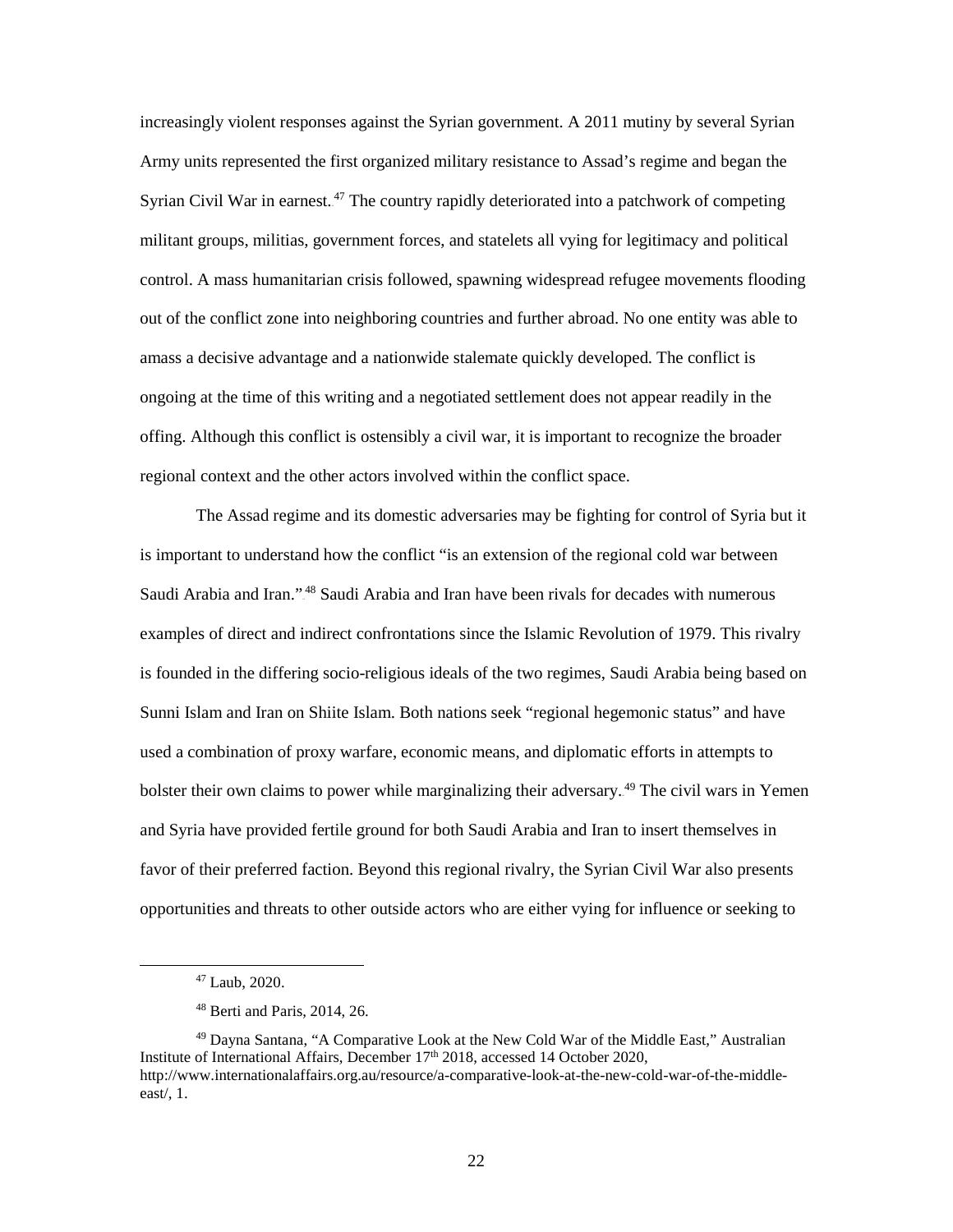Syrian Civil War in earnest.<sup>47</sup> The country rapidly deteriorated into a patchwork of competing offing. Although this conflict is ostensibly a civil war, it is important to recognize the broader regional context and the other actors involved within the conflict space. increasingly violent responses against the Syrian government. A 2011 mutiny by several Syrian Army units represented the first organized military resistance to Assad's regime and began the militant groups, militias, government forces, and statelets all vying for legitimacy and political control. A mass humanitarian crisis followed, spawning widespread refugee movements flooding out of the conflict zone into neighboring countries and further abroad. No one entity was able to amass a decisive advantage and a nationwide stalemate quickly developed. The conflict is ongoing at the time of this writing and a negotiated settlement does not appear readily in the

 The Assad regime and its domestic adversaries may be fighting for control of Syria but it is important to understand how the conflict "is an extension of the regional cold war between examples of direct and indirect confrontations since the Islamic Revolution of 1979. This rivalry bolster their own claims to power while marginalizing their adversary.<sup>49</sup> The civil wars in Yemen favor of their preferred faction. Beyond this regional rivalry, the Syrian Civil War also presents opportunities and threats to other outside actors who are either vying for influence or seeking to Saudi Arabia and Iran."<sup>48</sup> Saudi Arabia and Iran have been rivals for decades with numerous is founded in the differing socio-religious ideals of the two regimes, Saudi Arabia being based on Sunni Islam and Iran on Shiite Islam. Both nations seek "regional hegemonic status" and have used a combination of proxy warfare, economic means, and diplomatic efforts in attempts to and Syria have provided fertile ground for both Saudi Arabia and Iran to insert themselves in

<sup>47</sup> Laub, 2020.

<sup>48</sup> Berti and Paris, 2014, 26.

<sup>49</sup> Dayna Santana, "A Comparative Look at the New Cold War of the Middle East," Australian Institute of International Affairs, December 17<sup>th</sup> 2018, accessed 14 October 2020, [http://www.internationalaffairs.org.au/resource/a-comparative-look-at-the-new-cold-war-of-the-middle](http://www.internationalaffairs.org.au/resource/a-comparative-look-at-the-new-cold-war-of-the-middle-east/)[east/,](http://www.internationalaffairs.org.au/resource/a-comparative-look-at-the-new-cold-war-of-the-middle-east/) 1.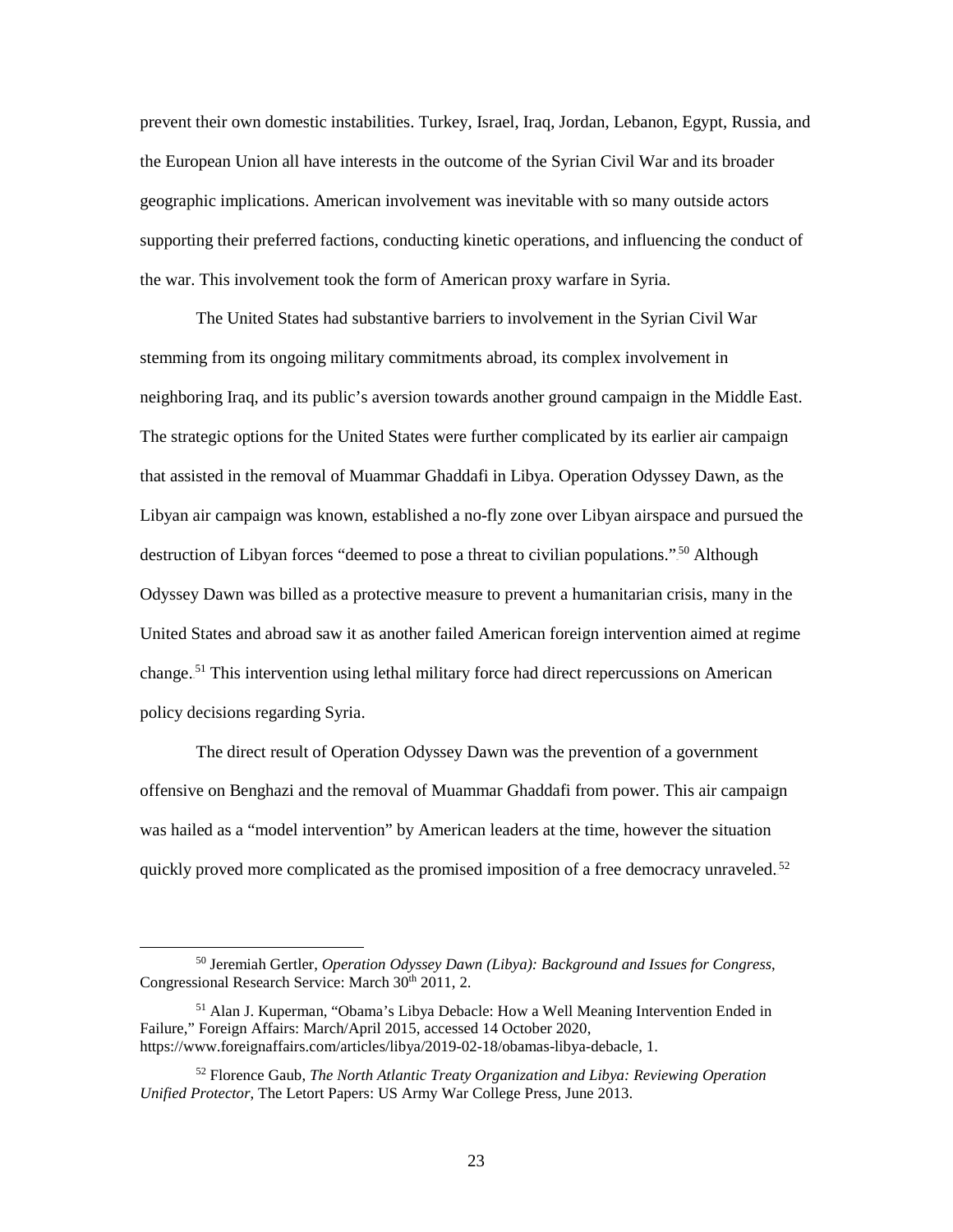the European Union all have interests in the outcome of the Syrian Civil War and its broader supporting their preferred factions, conducting kinetic operations, and influencing the conduct of the war. This involvement took the form of American proxy warfare in Syria. prevent their own domestic instabilities. Turkey, Israel, Iraq, Jordan, Lebanon, Egypt, Russia, and geographic implications. American involvement was inevitable with so many outside actors

 The strategic options for the United States were further complicated by its earlier air campaign that assisted in the removal of Muammar Ghaddafi in Libya. Operation Odyssey Dawn, as the policy decisions regarding Syria. The United States had substantive barriers to involvement in the Syrian Civil War stemming from its ongoing military commitments abroad, its complex involvement in neighboring Iraq, and its public's aversion towards another ground campaign in the Middle East. Libyan air campaign was known, established a no-fly zone over Libyan airspace and pursued the destruction of Libyan forces "deemed to pose a threat to civilian populations."<sup>50</sup> Although Odyssey Dawn was billed as a protective measure to prevent a humanitarian crisis, many in the United States and abroad saw it as another failed American foreign intervention aimed at regime change.<sup>51</sup> This intervention using lethal military force had direct repercussions on American

quickly proved more complicated as the promised imposition of a free democracy unraveled.<sup>52</sup> The direct result of Operation Odyssey Dawn was the prevention of a government offensive on Benghazi and the removal of Muammar Ghaddafi from power. This air campaign was hailed as a "model intervention" by American leaders at the time, however the situation

<sup>50</sup> Jeremiah Gertler, *Operation Odyssey Dawn (Libya): Background and Issues for Congress*, Congressional Research Service: March 30<sup>th</sup> 2011, 2.

<sup>51</sup> Alan J. Kuperman, "Obama's Libya Debacle: How a Well Meaning Intervention Ended in Failure," Foreign Affairs: March/April 2015, accessed 14 October 2020, [https://www.foreignaffairs.com/articles/libya/2019-02-18/obamas-libya-debacle,](https://www.foreignaffairs.com/articles/libya/2019-02-18/obamas-libya-debacle) 1.

<sup>52</sup> Florence Gaub, *The North Atlantic Treaty Organization and Libya: Reviewing Operation Unified Protector*, The Letort Papers: US Army War College Press, June 2013.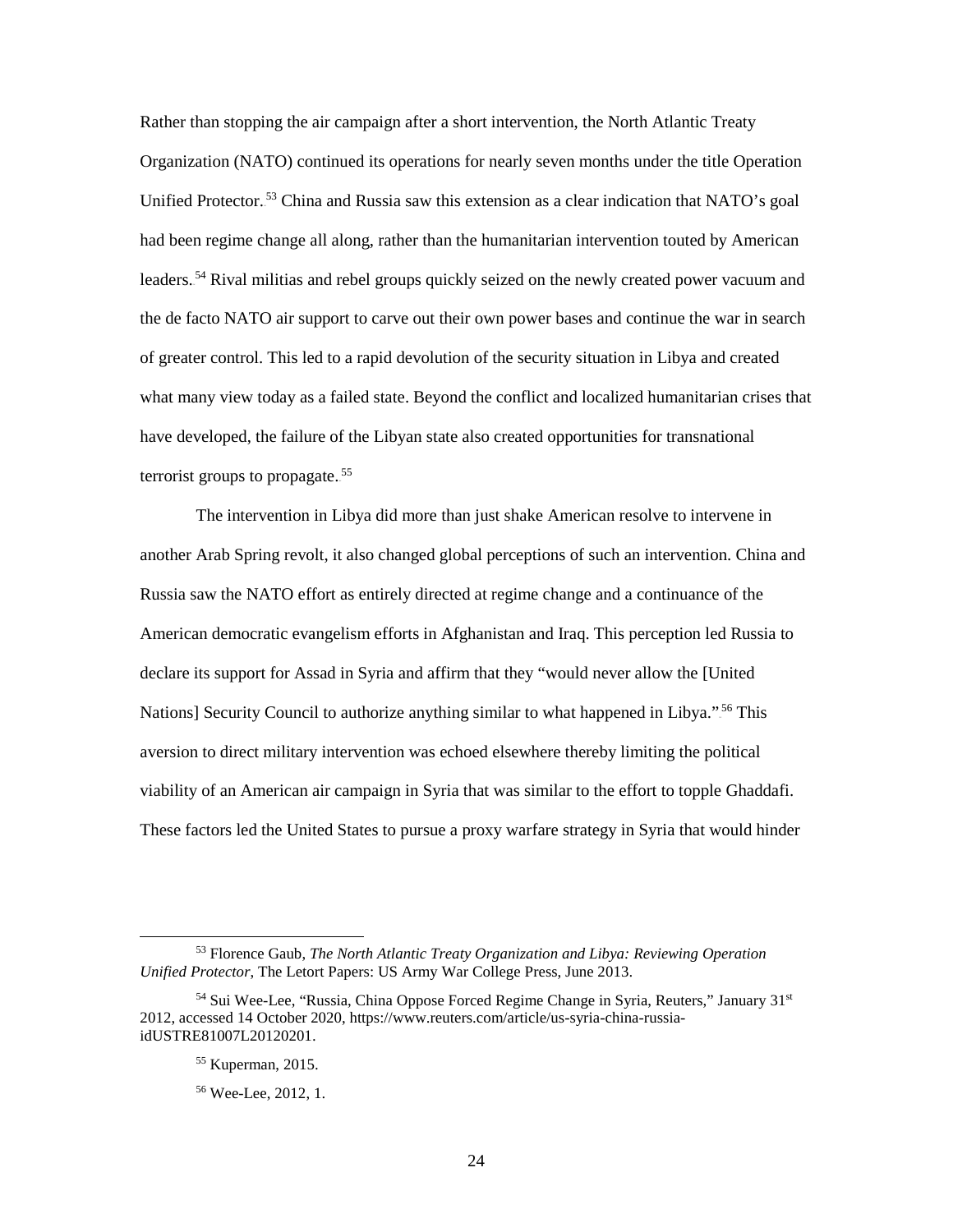Organization (NATO) continued its operations for nearly seven months under the title Operation the de facto NATO air support to carve out their own power bases and continue the war in search what many view today as a failed state. Beyond the conflict and localized humanitarian crises that have developed, the failure of the Libyan state also created opportunities for transnational Rather than stopping the air campaign after a short intervention, the North Atlantic Treaty Unified Protector.<sup>53</sup> China and Russia saw this extension as a clear indication that NATO's goal had been regime change all along, rather than the humanitarian intervention touted by American leaders.<sup>54</sup> Rival militias and rebel groups quickly seized on the newly created power vacuum and of greater control. This led to a rapid devolution of the security situation in Libya and created terrorist groups to propagate. $55$ 

 Russia saw the NATO effort as entirely directed at regime change and a continuance of the American democratic evangelism efforts in Afghanistan and Iraq. This perception led Russia to declare its support for Assad in Syria and affirm that they "would never allow the [United The intervention in Libya did more than just shake American resolve to intervene in another Arab Spring revolt, it also changed global perceptions of such an intervention. China and Nations] Security Council to authorize anything similar to what happened in Libya."<sup>56</sup> This aversion to direct military intervention was echoed elsewhere thereby limiting the political viability of an American air campaign in Syria that was similar to the effort to topple Ghaddafi. These factors led the United States to pursue a proxy warfare strategy in Syria that would hinder

-

<sup>53</sup> Florence Gaub, *The North Atlantic Treaty Organization and Libya: Reviewing Operation Unified Protector*, The Letort Papers: US Army War College Press, June 2013.

<sup>&</sup>lt;sup>54</sup> Sui Wee-Lee, "Russia, China Oppose Forced Regime Change in Syria, Reuters," January 31<sup>st</sup> 2012, accessed 14 October 2020[, https://www.reuters.com/article/us-syria-china-russia](https://www.reuters.com/article/us-syria-china-russia-idUSTRE81007L20120201)[idUSTRE81007L20120201.](https://www.reuters.com/article/us-syria-china-russia-idUSTRE81007L20120201)

<sup>55</sup> Kuperman, 2015.

<sup>56</sup> Wee-Lee, 2012, 1.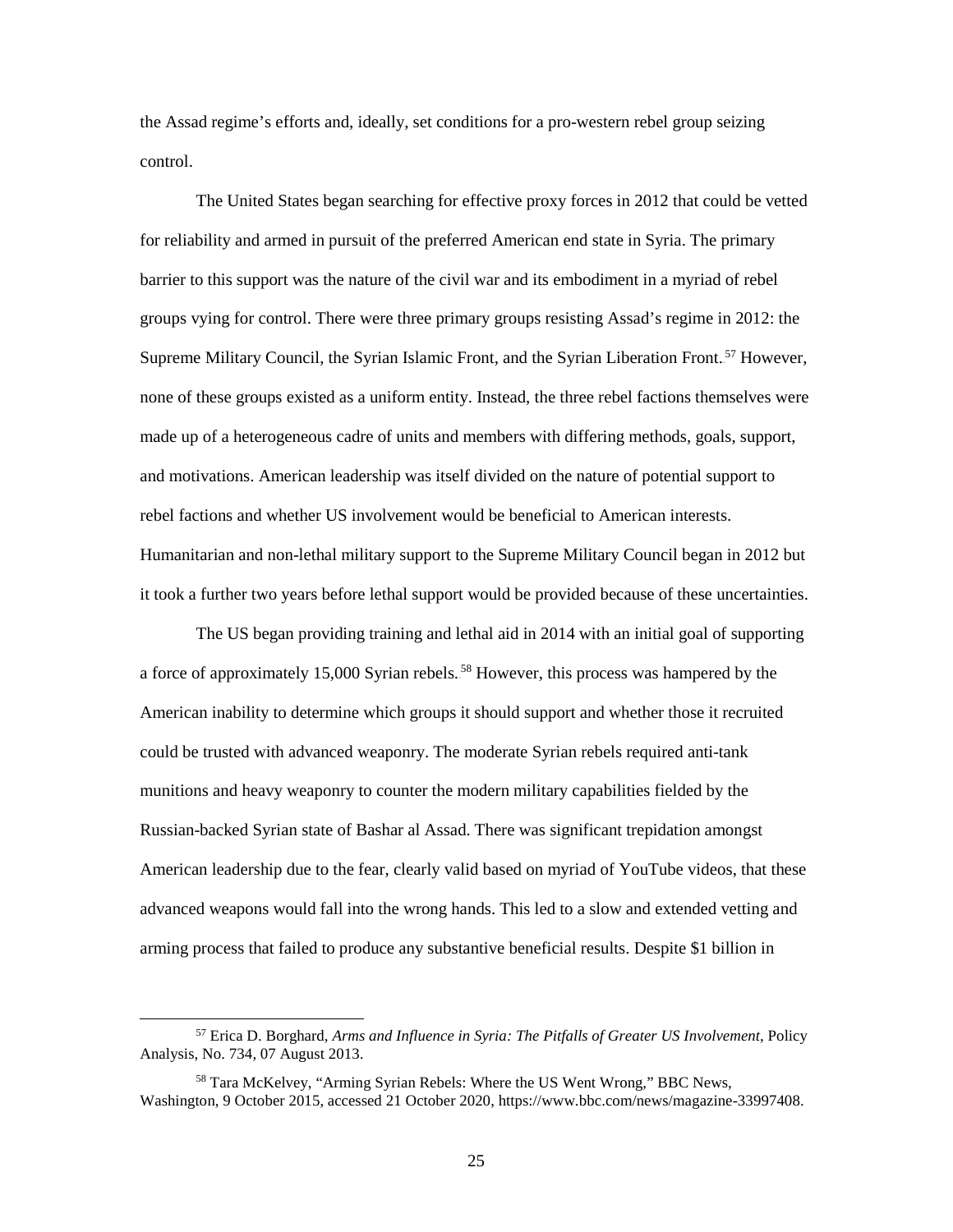the Assad regime's efforts and, ideally, set conditions for a pro-western rebel group seizing control.

 for reliability and armed in pursuit of the preferred American end state in Syria. The primary barrier to this support was the nature of the civil war and its embodiment in a myriad of rebel and motivations. American leadership was itself divided on the nature of potential support to The United States began searching for effective proxy forces in 2012 that could be vetted groups vying for control. There were three primary groups resisting Assad's regime in 2012: the Supreme Military Council, the Syrian Islamic Front, and the Syrian Liberation Front.<sup>57</sup> However, none of these groups existed as a uniform entity. Instead, the three rebel factions themselves were made up of a heterogeneous cadre of units and members with differing methods, goals, support, rebel factions and whether US involvement would be beneficial to American interests. Humanitarian and non-lethal military support to the Supreme Military Council began in 2012 but it took a further two years before lethal support would be provided because of these uncertainties.

 American inability to determine which groups it should support and whether those it recruited munitions and heavy weaponry to counter the modern military capabilities fielded by the Russian-backed Syrian state of Bashar al Assad. There was significant trepidation amongst advanced weapons would fall into the wrong hands. This led to a slow and extended vetting and arming process that failed to produce any substantive beneficial results. Despite \$1 billion in The US began providing training and lethal aid in 2014 with an initial goal of supporting a force of approximately 15,000 Syrian rebels.<sup>58</sup> However, this process was hampered by the could be trusted with advanced weaponry. The moderate Syrian rebels required anti-tank American leadership due to the fear, clearly valid based on myriad of YouTube videos, that these

<sup>57</sup> Erica D. Borghard, *Arms and Influence in Syria: The Pitfalls of Greater US Involvement*, Policy Analysis, No. 734, 07 August 2013.

 Washington, 9 October 2015, accessed 21 October 2020, [https://www.bbc.com/news/magazine-33997408.](https://www.bbc.com/news/magazine-33997408) 58 Tara McKelvey, "Arming Syrian Rebels: Where the US Went Wrong," BBC News,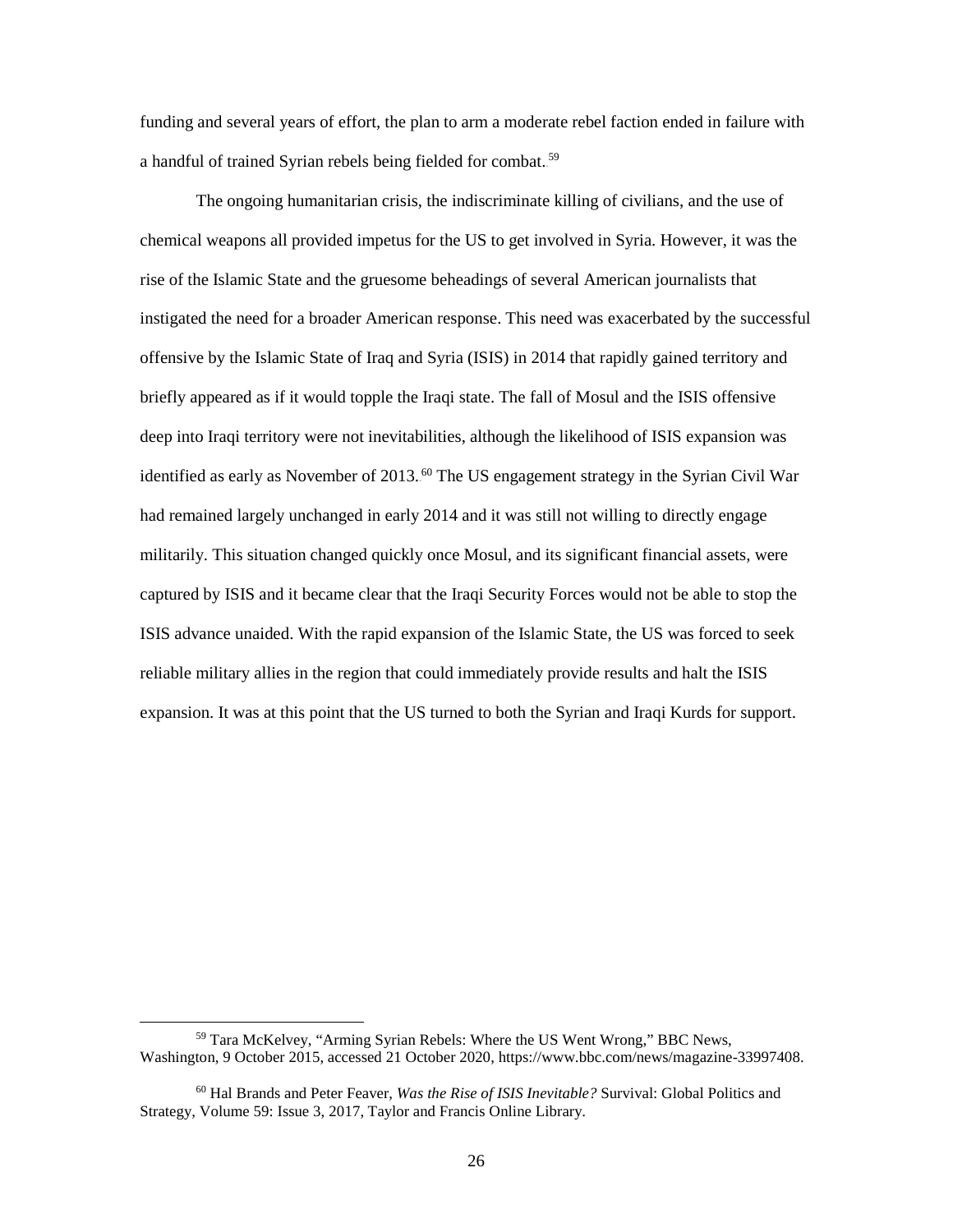a handful of trained Syrian rebels being fielded for combat.<sup>59</sup> funding and several years of effort, the plan to arm a moderate rebel faction ended in failure with

 chemical weapons all provided impetus for the US to get involved in Syria. However, it was the instigated the need for a broader American response. This need was exacerbated by the successful briefly appeared as if it would topple the Iraqi state. The fall of Mosul and the ISIS offensive militarily. This situation changed quickly once Mosul, and its significant financial assets, were captured by ISIS and it became clear that the Iraqi Security Forces would not be able to stop the ISIS advance unaided. With the rapid expansion of the Islamic State, the US was forced to seek reliable military allies in the region that could immediately provide results and halt the ISIS expansion. It was at this point that the US turned to both the Syrian and Iraqi Kurds for support. The ongoing humanitarian crisis, the indiscriminate killing of civilians, and the use of rise of the Islamic State and the gruesome beheadings of several American journalists that offensive by the Islamic State of Iraq and Syria (ISIS) in 2014 that rapidly gained territory and deep into Iraqi territory were not inevitabilities, although the likelihood of ISIS expansion was identified as early as November of 2013.<sup>60</sup> The US engagement strategy in the Syrian Civil War had remained largely unchanged in early 2014 and it was still not willing to directly engage

-

 Washington, 9 October 2015, accessed 21 October 2020, [https://www.bbc.com/news/magazine-33997408.](https://www.bbc.com/news/magazine-33997408) 59 Tara McKelvey, "Arming Syrian Rebels: Where the US Went Wrong," BBC News,

 Strategy, Volume 59: Issue 3, 2017, Taylor and Francis Online Library. 60 Hal Brands and Peter Feaver, *Was the Rise of ISIS Inevitable?* Survival: Global Politics and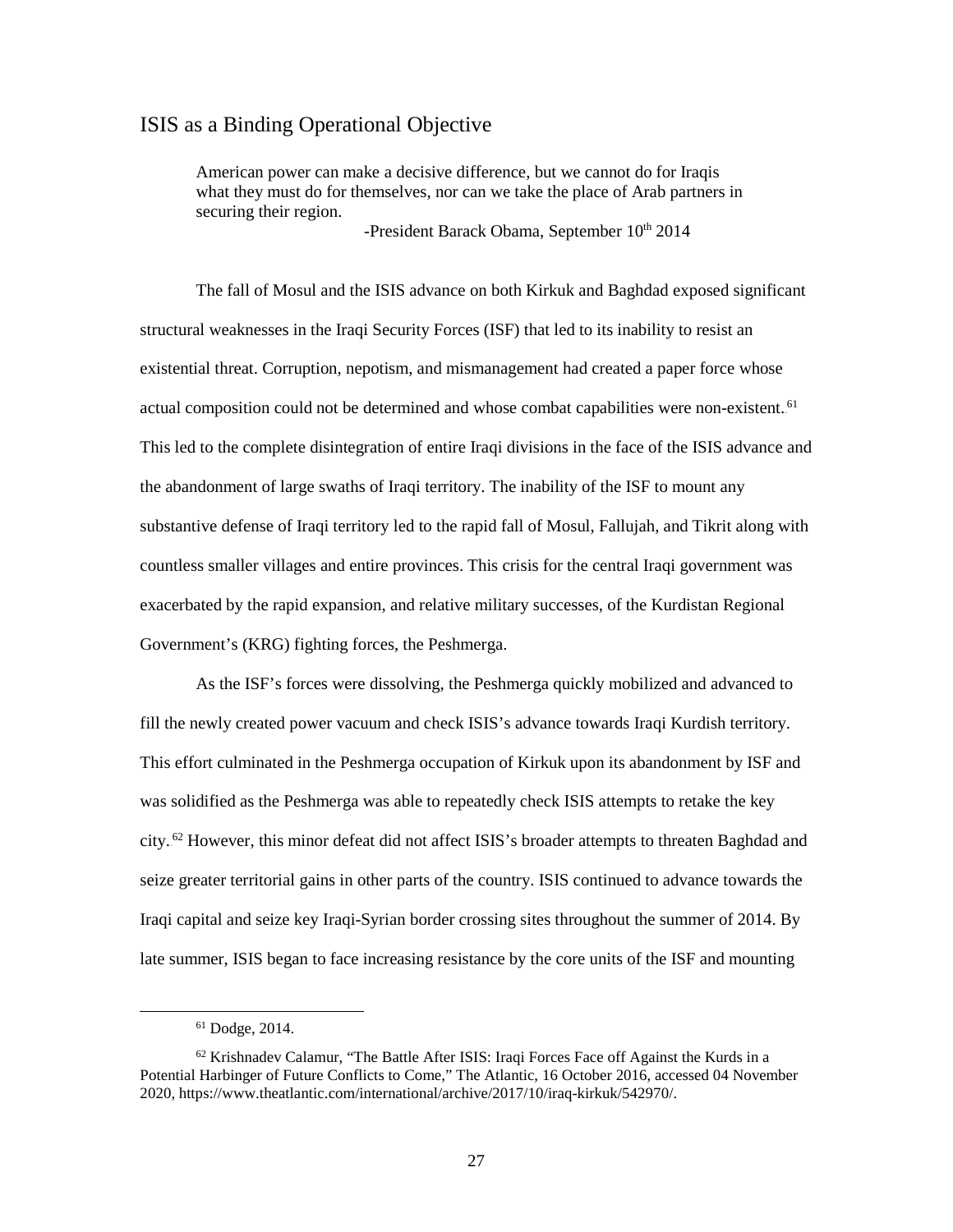#### ISIS as a Binding Operational Objective

American power can make a decisive difference, but we cannot do for Iraqis what they must do for themselves, nor can we take the place of Arab partners in securing their region.

-President Barack Obama, September 10th 2014

 The fall of Mosul and the ISIS advance on both Kirkuk and Baghdad exposed significant structural weaknesses in the Iraqi Security Forces (ISF) that led to its inability to resist an existential threat. Corruption, nepotism, and mismanagement had created a paper force whose This led to the complete disintegration of entire Iraqi divisions in the face of the ISIS advance and Government's (KRG) fighting forces, the Peshmerga. actual composition could not be determined and whose combat capabilities were non-existent.<sup>61</sup> the abandonment of large swaths of Iraqi territory. The inability of the ISF to mount any substantive defense of Iraqi territory led to the rapid fall of Mosul, Fallujah, and Tikrit along with countless smaller villages and entire provinces. This crisis for the central Iraqi government was exacerbated by the rapid expansion, and relative military successes, of the Kurdistan Regional

 As the ISF's forces were dissolving, the Peshmerga quickly mobilized and advanced to fill the newly created power vacuum and check ISIS's advance towards Iraqi Kurdish territory. This effort culminated in the Peshmerga occupation of Kirkuk upon its abandonment by ISF and seize greater territorial gains in other parts of the country. ISIS continued to advance towards the late summer, ISIS began to face increasing resistance by the core units of the ISF and mounting was solidified as the Peshmerga was able to repeatedly check ISIS attempts to retake the key city.<sup>62</sup> However, this minor defeat did not affect ISIS's broader attempts to threaten Baghdad and Iraqi capital and seize key Iraqi-Syrian border crossing sites throughout the summer of 2014. By

<sup>61</sup> Dodge, 2014.

 2020, [https://www.theatlantic.com/international/archive/2017/10/iraq-kirkuk/542970/.](https://www.theatlantic.com/international/archive/2017/10/iraq-kirkuk/542970/) 27  $62$  Krishnadev Calamur, "The Battle After ISIS: Iraqi Forces Face off Against the Kurds in a Potential Harbinger of Future Conflicts to Come," The Atlantic, 16 October 2016, accessed 04 November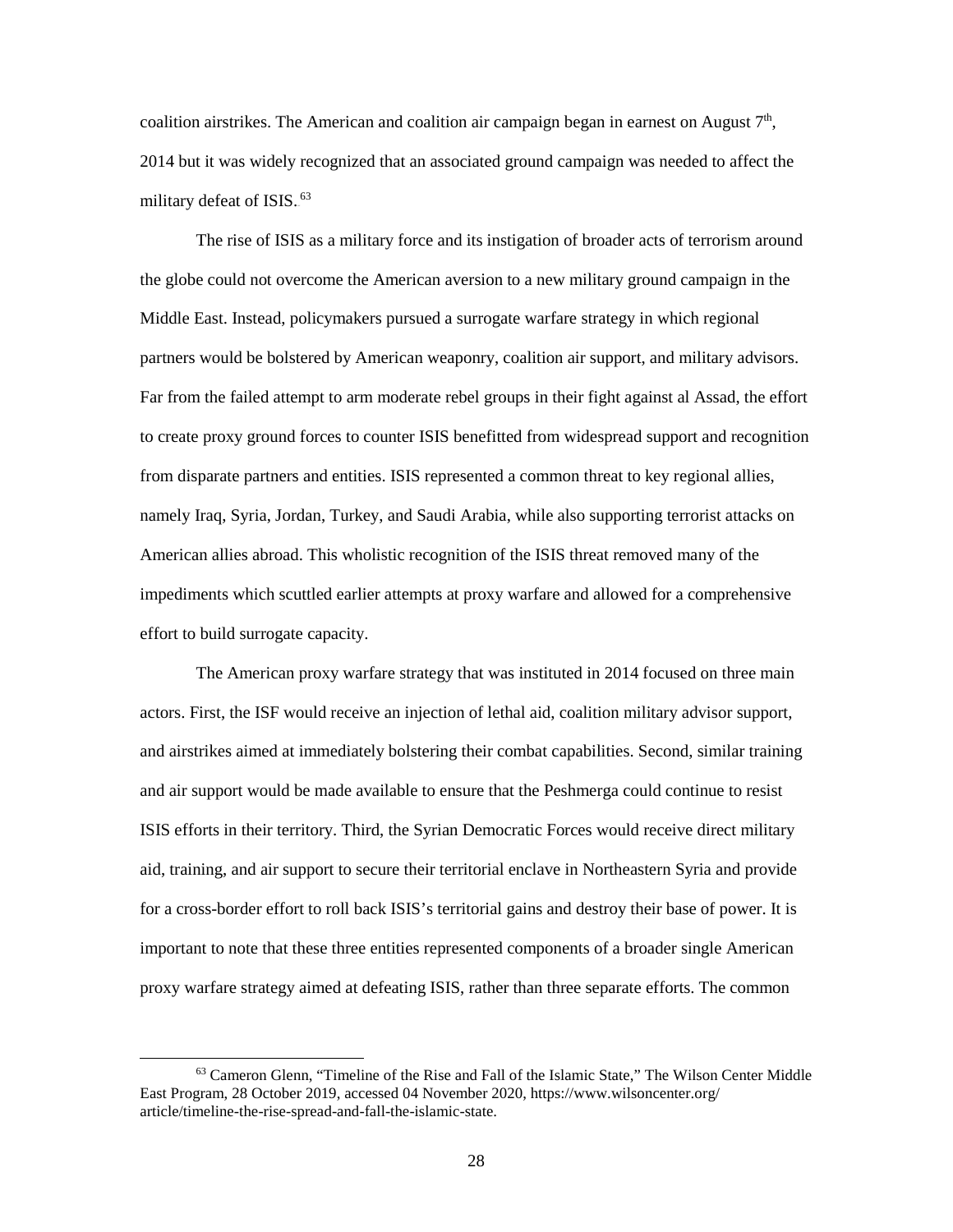2014 but it was widely recognized that an associated ground campaign was needed to affect the coalition airstrikes. The American and coalition air campaign began in earnest on August  $7<sup>th</sup>$ , military defeat of ISIS.<sup>63</sup>

 Middle East. Instead, policymakers pursued a surrogate warfare strategy in which regional Far from the failed attempt to arm moderate rebel groups in their fight against al Assad, the effort effort to build surrogate capacity. The rise of ISIS as a military force and its instigation of broader acts of terrorism around the globe could not overcome the American aversion to a new military ground campaign in the partners would be bolstered by American weaponry, coalition air support, and military advisors. to create proxy ground forces to counter ISIS benefitted from widespread support and recognition from disparate partners and entities. ISIS represented a common threat to key regional allies, namely Iraq, Syria, Jordan, Turkey, and Saudi Arabia, while also supporting terrorist attacks on American allies abroad. This wholistic recognition of the ISIS threat removed many of the impediments which scuttled earlier attempts at proxy warfare and allowed for a comprehensive

 and airstrikes aimed at immediately bolstering their combat capabilities. Second, similar training aid, training, and air support to secure their territorial enclave in Northeastern Syria and provide for a cross-border effort to roll back ISIS's territorial gains and destroy their base of power. It is important to note that these three entities represented components of a broader single American proxy warfare strategy aimed at defeating ISIS, rather than three separate efforts. The common The American proxy warfare strategy that was instituted in 2014 focused on three main actors. First, the ISF would receive an injection of lethal aid, coalition military advisor support, and air support would be made available to ensure that the Peshmerga could continue to resist ISIS efforts in their territory. Third, the Syrian Democratic Forces would receive direct military

<sup>63</sup> Cameron Glenn, "Timeline of the Rise and Fall of the Islamic State," The Wilson Center Middle East Program, 28 October 2019, accessed 04 November 2020, [https://www.wilsoncenter.org/](https://www.wilsoncenter.org/%20article/timeline-the-rise-spread-and-fall-the-islamic-state)  [article/timeline-the-rise-spread-and-fall-the-islamic-state.](https://www.wilsoncenter.org/%20article/timeline-the-rise-spread-and-fall-the-islamic-state)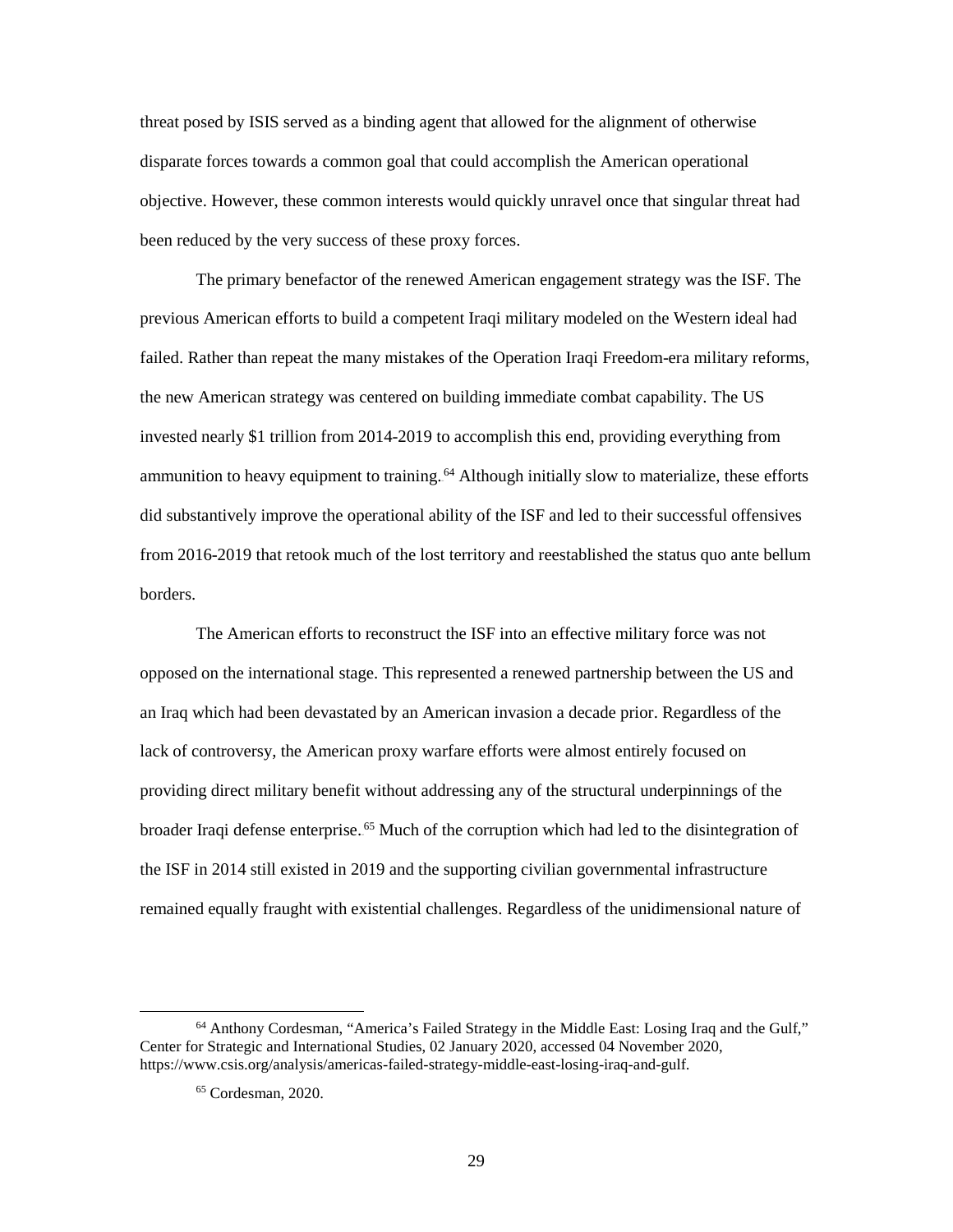threat posed by ISIS served as a binding agent that allowed for the alignment of otherwise disparate forces towards a common goal that could accomplish the American operational objective. However, these common interests would quickly unravel once that singular threat had been reduced by the very success of these proxy forces.

 previous American efforts to build a competent Iraqi military modeled on the Western ideal had failed. Rather than repeat the many mistakes of the Operation Iraqi Freedom-era military reforms, from 2016-2019 that retook much of the lost territory and reestablished the status quo ante bellum The primary benefactor of the renewed American engagement strategy was the ISF. The the new American strategy was centered on building immediate combat capability. The US invested nearly \$1 trillion from 2014-2019 to accomplish this end, providing everything from ammunition to heavy equipment to training.<sup>64</sup> Although initially slow to materialize, these efforts did substantively improve the operational ability of the ISF and led to their successful offensives borders.

 providing direct military benefit without addressing any of the structural underpinnings of the The American efforts to reconstruct the ISF into an effective military force was not opposed on the international stage. This represented a renewed partnership between the US and an Iraq which had been devastated by an American invasion a decade prior. Regardless of the lack of controversy, the American proxy warfare efforts were almost entirely focused on broader Iraqi defense enterprise.<sup>65</sup> Much of the corruption which had led to the disintegration of the ISF in 2014 still existed in 2019 and the supporting civilian governmental infrastructure remained equally fraught with existential challenges. Regardless of the unidimensional nature of

<sup>64</sup> Anthony Cordesman, "America's Failed Strategy in the Middle East: Losing Iraq and the Gulf," Center for Strategic and International Studies, 02 January 2020, accessed 04 November 2020, [https://www.csis.org/analysis/americas-failed-strategy-middle-east-losing-iraq-and-gulf.](https://www.csis.org/analysis/americas-failed-strategy-middle-east-losing-iraq-and-gulf)

<sup>65</sup> Cordesman, 2020.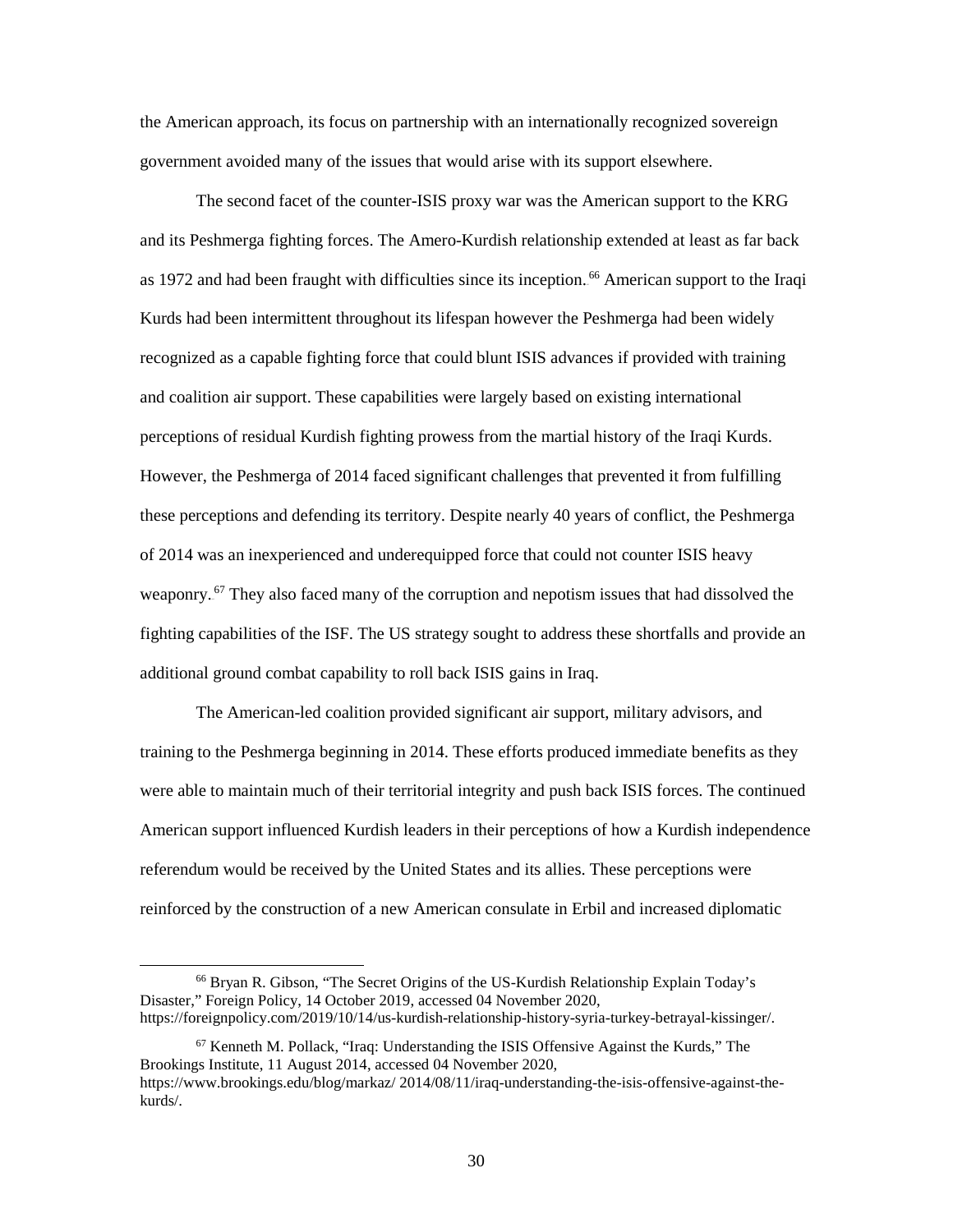government avoided many of the issues that would arise with its support elsewhere. the American approach, its focus on partnership with an internationally recognized sovereign

as 1972 and had been fraught with difficulties since its inception.<sup>66</sup> American support to the Iraqi and coalition air support. These capabilities were largely based on existing international perceptions of residual Kurdish fighting prowess from the martial history of the Iraqi Kurds. However, the Peshmerga of 2014 faced significant challenges that prevented it from fulfilling of 2014 was an inexperienced and underequipped force that could not counter ISIS heavy weaponry.<sup>67</sup> They also faced many of the corruption and nepotism issues that had dissolved the additional ground combat capability to roll back ISIS gains in Iraq. The second facet of the counter-ISIS proxy war was the American support to the KRG and its Peshmerga fighting forces. The Amero-Kurdish relationship extended at least as far back Kurds had been intermittent throughout its lifespan however the Peshmerga had been widely recognized as a capable fighting force that could blunt ISIS advances if provided with training these perceptions and defending its territory. Despite nearly 40 years of conflict, the Peshmerga fighting capabilities of the ISF. The US strategy sought to address these shortfalls and provide an

 American support influenced Kurdish leaders in their perceptions of how a Kurdish independence reinforced by the construction of a new American consulate in Erbil and increased diplomatic The American-led coalition provided significant air support, military advisors, and training to the Peshmerga beginning in 2014. These efforts produced immediate benefits as they were able to maintain much of their territorial integrity and push back ISIS forces. The continued referendum would be received by the United States and its allies. These perceptions were

-

<sup>66</sup> Bryan R. Gibson, "The Secret Origins of the US-Kurdish Relationship Explain Today's Disaster," Foreign Policy, 14 October 2019, accessed 04 November 2020, [https://foreignpolicy.com/2019/10/14/us-kurdish-relationship-history-syria-turkey-betrayal-kissinger/.](https://foreignpolicy.com/2019/10/14/us-kurdish-relationship-history-syria-turkey-betrayal-kissinger/)

 $67$  Kenneth M. Pollack, "Iraq: Understanding the ISIS Offensive Against the Kurds," The Brookings Institute, 11 August 2014, accessed 04 November 2020,

[https://www.brookings.edu/blog/markaz/ 2014/08/11/iraq-understanding-the-isis-offensive-against-the](https://www.brookings.edu/blog/markaz/%202014/08/11/iraq-understanding-the-isis-offensive-against-the-kurds/)[kurds/.](https://www.brookings.edu/blog/markaz/%202014/08/11/iraq-understanding-the-isis-offensive-against-the-kurds/)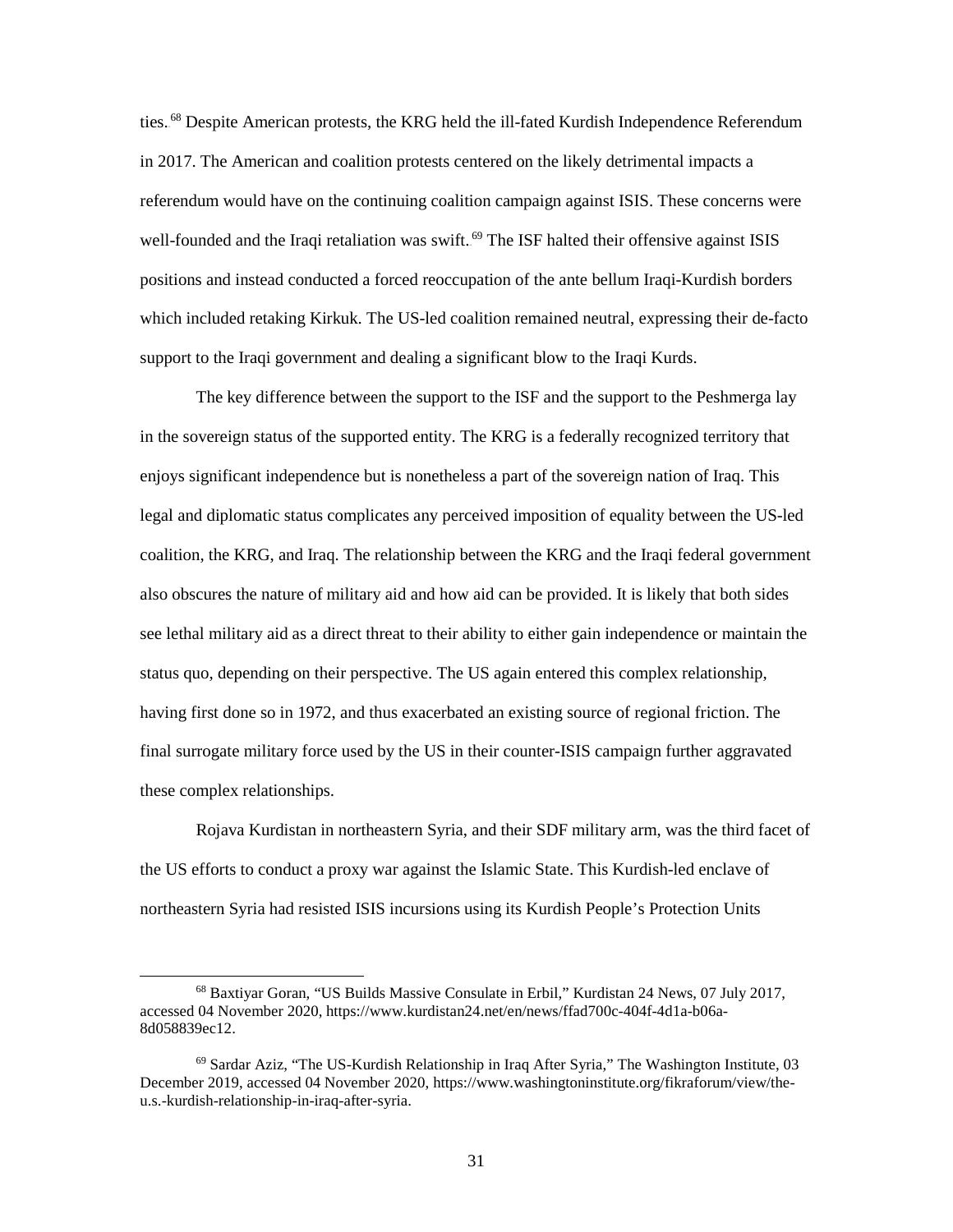ties.<sup>68</sup> Despite American protests, the KRG held the ill-fated Kurdish Independence Referendum in 2017. The American and coalition protests centered on the likely detrimental impacts a referendum would have on the continuing coalition campaign against ISIS. These concerns were well-founded and the Iraqi retaliation was swift.<sup>69</sup> The ISF halted their offensive against ISIS positions and instead conducted a forced reoccupation of the ante bellum Iraqi-Kurdish borders which included retaking Kirkuk. The US-led coalition remained neutral, expressing their de-facto support to the Iraqi government and dealing a significant blow to the Iraqi Kurds.

 in the sovereign status of the supported entity. The KRG is a federally recognized territory that legal and diplomatic status complicates any perceived imposition of equality between the US-led see lethal military aid as a direct threat to their ability to either gain independence or maintain the having first done so in 1972, and thus exacerbated an existing source of regional friction. The The key difference between the support to the ISF and the support to the Peshmerga lay enjoys significant independence but is nonetheless a part of the sovereign nation of Iraq. This coalition, the KRG, and Iraq. The relationship between the KRG and the Iraqi federal government also obscures the nature of military aid and how aid can be provided. It is likely that both sides status quo, depending on their perspective. The US again entered this complex relationship, final surrogate military force used by the US in their counter-ISIS campaign further aggravated these complex relationships.

 northeastern Syria had resisted ISIS incursions using its Kurdish People's Protection Units Rojava Kurdistan in northeastern Syria, and their SDF military arm, was the third facet of the US efforts to conduct a proxy war against the Islamic State. This Kurdish-led enclave of

-

<sup>8</sup>d058839ec12. 68 Baxtiyar Goran, "US Builds Massive Consulate in Erbil," Kurdistan 24 News, 07 July 2017, accessed 04 November 2020[, https://www.kurdistan24.net/en/news/ffad700c-404f-4d1a-b06a-](https://www.kurdistan24.net/en/news/ffad700c-404f-4d1a-b06a-8d058839ec12)

 $69$  Sardar Aziz, "The US-Kurdish Relationship in Iraq After Syria," The Washington Institute, 03 December 2019, accessed 04 November 2020, [https://www.washingtoninstitute.org/fikraforum/view/the](https://www.washingtoninstitute.org/fikraforum/view/the-u.s.-kurdish-relationship-in-iraq-after-syria)[u.s.-kurdish-relationship-in-iraq-after-syria.](https://www.washingtoninstitute.org/fikraforum/view/the-u.s.-kurdish-relationship-in-iraq-after-syria)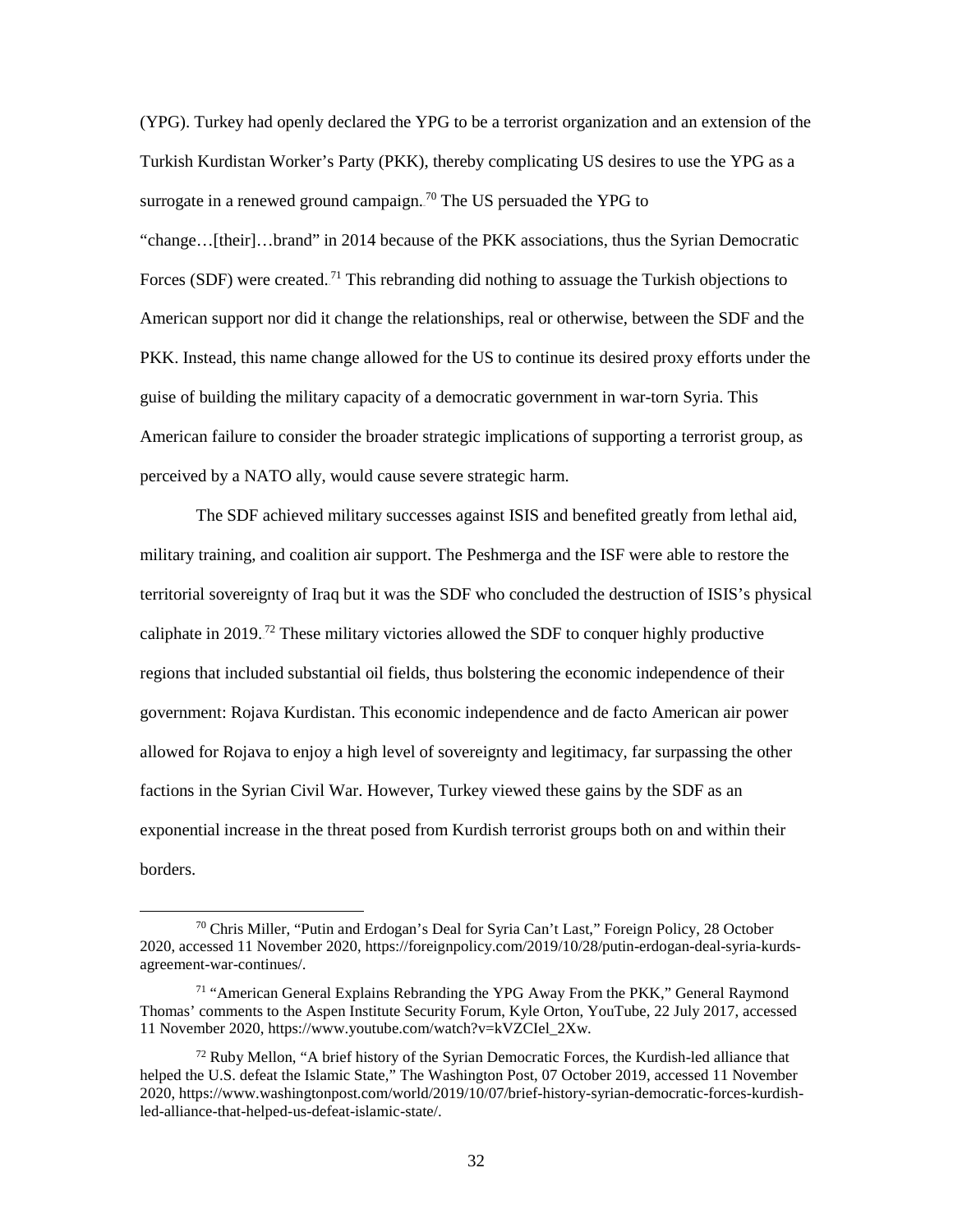surrogate in a renewed ground campaign.<sup>70</sup> The US persuaded the YPG to "change…[their]…brand" in 2014 because of the PKK associations, thus the Syrian Democratic Forces (SDF) were created.<sup>71</sup> This rebranding did nothing to assuage the Turkish objections to PKK. Instead, this name change allowed for the US to continue its desired proxy efforts under the American failure to consider the broader strategic implications of supporting a terrorist group, as (YPG). Turkey had openly declared the YPG to be a terrorist organization and an extension of the Turkish Kurdistan Worker's Party (PKK), thereby complicating US desires to use the YPG as a American support nor did it change the relationships, real or otherwise, between the SDF and the guise of building the military capacity of a democratic government in war-torn Syria. This perceived by a NATO ally, would cause severe strategic harm.

 territorial sovereignty of Iraq but it was the SDF who concluded the destruction of ISIS's physical allowed for Rojava to enjoy a high level of sovereignty and legitimacy, far surpassing the other The SDF achieved military successes against ISIS and benefited greatly from lethal aid, military training, and coalition air support. The Peshmerga and the ISF were able to restore the caliphate in 2019.<sup>72</sup> These military victories allowed the SDF to conquer highly productive regions that included substantial oil fields, thus bolstering the economic independence of their government: Rojava Kurdistan. This economic independence and de facto American air power factions in the Syrian Civil War. However, Turkey viewed these gains by the SDF as an exponential increase in the threat posed from Kurdish terrorist groups both on and within their borders.

<sup>70</sup> Chris Miller, "Putin and Erdogan's Deal for Syria Can't Last," Foreign Policy, 28 October 2020, accessed 11 November 2020[, https://foreignpolicy.com/2019/10/28/putin-erdogan-deal-syria-kurds](https://foreignpolicy.com/2019/10/28/putin-erdogan-deal-syria-kurds-agreement-war-continues/)[agreement-war-continues/.](https://foreignpolicy.com/2019/10/28/putin-erdogan-deal-syria-kurds-agreement-war-continues/) 

 Thomas' comments to the Aspen Institute Security Forum, Kyle Orton, YouTube, 22 July 2017, accessed 71 "American General Explains Rebranding the YPG Away From the PKK," General Raymond 11 November 2020, [https://www.youtube.com/watch?v=kVZCIel\\_2Xw.](https://www.youtube.com/watch?v=kVZCIel_2Xw)

 $72$  Ruby Mellon, "A brief history of the Syrian Democratic Forces, the Kurdish-led alliance that helped the U.S. defeat the Islamic State," The Washington Post, 07 October 2019, accessed 11 November 2020, [https://www.washingtonpost.com/world/2019/10/07/brief-history-syrian-democratic-forces-kurdish](https://www.washingtonpost.com/world/2019/10/07/brief-history-syrian-democratic-forces-kurdish-led-alliance-that-helped-us-defeat-islamic-state/)[led-alliance-that-helped-us-defeat-islamic-state/.](https://www.washingtonpost.com/world/2019/10/07/brief-history-syrian-democratic-forces-kurdish-led-alliance-that-helped-us-defeat-islamic-state/)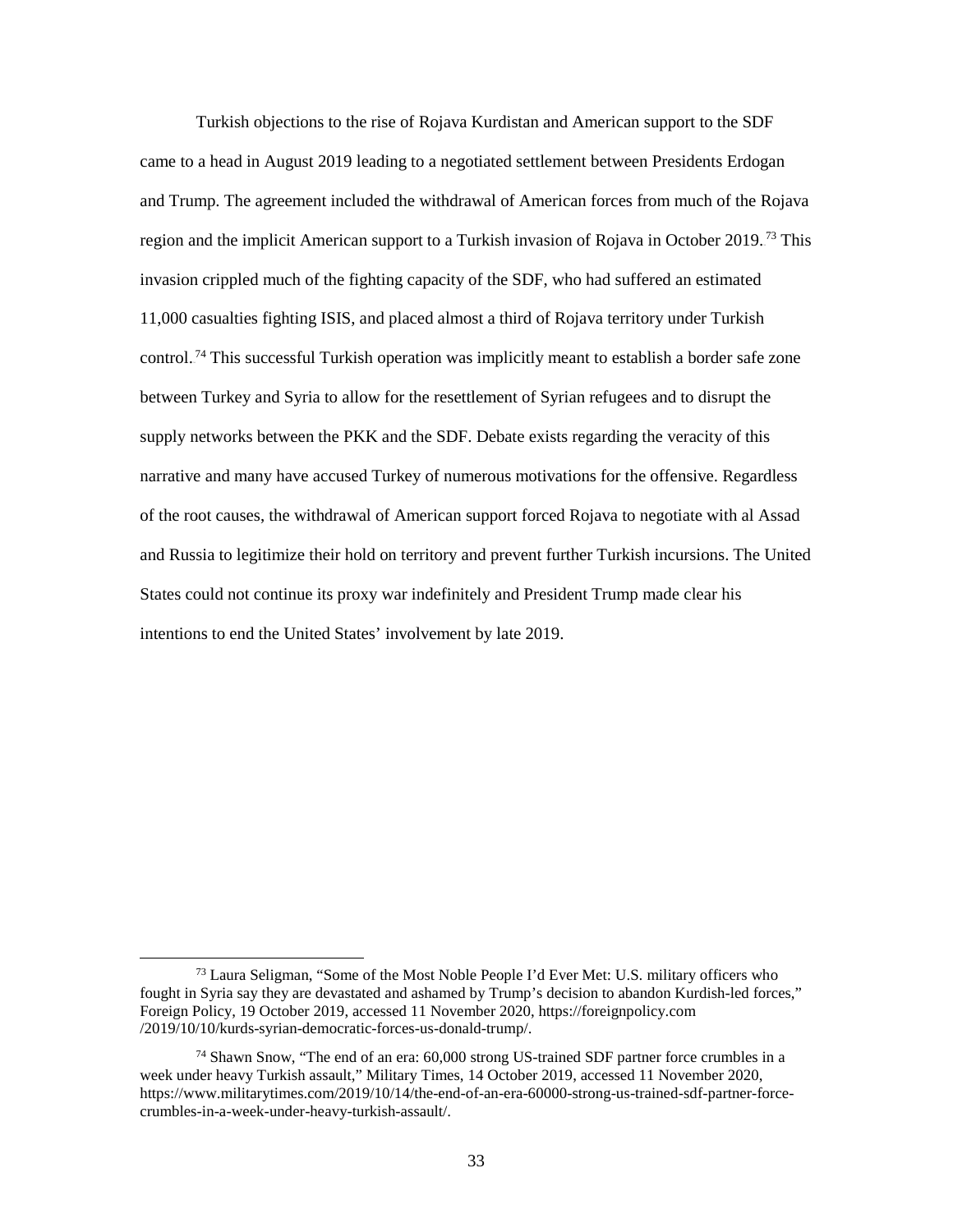Turkish objections to the rise of Rojava Kurdistan and American support to the SDF and Trump. The agreement included the withdrawal of American forces from much of the Rojava region and the implicit American support to a Turkish invasion of Rojava in October 2019.<sup>73</sup> This narrative and many have accused Turkey of numerous motivations for the offensive. Regardless of the root causes, the withdrawal of American support forced Rojava to negotiate with al Assad intentions to end the United States' involvement by late 2019. came to a head in August 2019 leading to a negotiated settlement between Presidents Erdogan invasion crippled much of the fighting capacity of the SDF, who had suffered an estimated 11,000 casualties fighting ISIS, and placed almost a third of Rojava territory under Turkish control.<sup>74</sup> This successful Turkish operation was implicitly meant to establish a border safe zone between Turkey and Syria to allow for the resettlement of Syrian refugees and to disrupt the supply networks between the PKK and the SDF. Debate exists regarding the veracity of this and Russia to legitimize their hold on territory and prevent further Turkish incursions. The United States could not continue its proxy war indefinitely and President Trump made clear his

<sup>73</sup> Laura Seligman, "Some of the Most Noble People I'd Ever Met: U.S. military officers who intentions to end the United States' involvement by late 2019.<br>
73 Laura Seligman, "Some of the Most Noble People I'd Ever Met: U.S. military officers who fought in Syria say they are devastated and ashamed by Trump's decision to abandon Kurdish-led forces," Foreign Policy, 19 October 2019, accessed 11 November 2020,<https://foreignpolicy.com> /2019/10/10/kurds-syrian-democratic-forces-us-donald-trump/.

crumbles-in-a-week-under-heavy-turkish-assault/.<br>33  $74$  Shawn Snow, "The end of an era: 60,000 strong US-trained SDF partner force crumbles in a week under heavy Turkish assault," Military Times, 14 October 2019, accessed 11 November 2020, [https://www.militarytimes.com/2019/10/14/the-end-of-an-era-60000-strong-us-trained-sdf-partner-force-](https://www.militarytimes.com/2019/10/14/the-end-of-an-era-60000-strong-us-trained-sdf-partner-force-crumbles-in-a-week-under-heavy-turkish-assault/)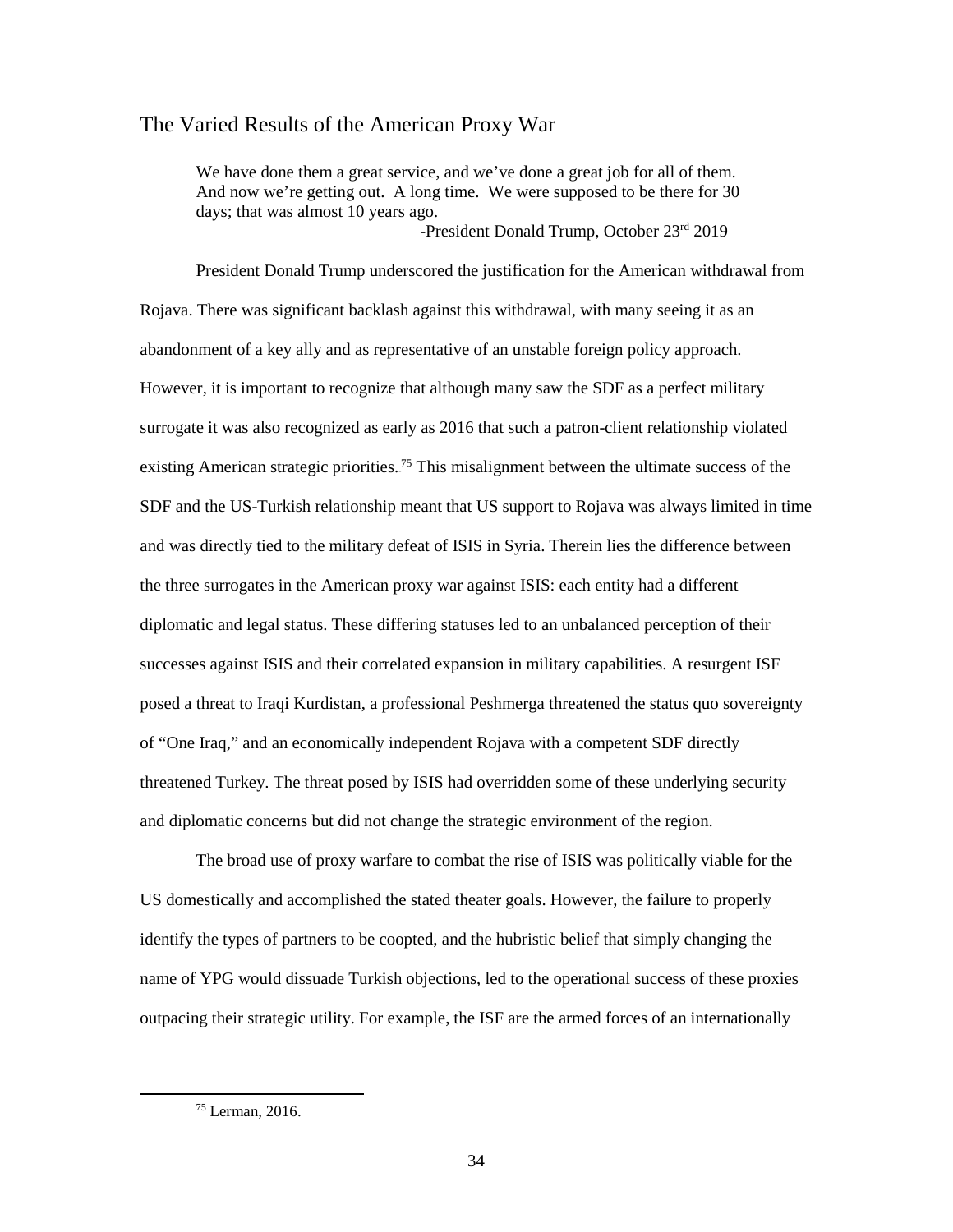#### The Varied Results of the American Proxy War

 We have done them a great service, and we've done a great job for all of them. And now we're getting out. A long time. We were supposed to be there for 30 days; that was almost 10 years ago.

-President Donald Trump, October 23rd 2019

 Rojava. There was significant backlash against this withdrawal, with many seeing it as an However, it is important to recognize that although many saw the SDF as a perfect military surrogate it was also recognized as early as 2016 that such a patron-client relationship violated SDF and the US-Turkish relationship meant that US support to Rojava was always limited in time and was directly tied to the military defeat of ISIS in Syria. Therein lies the difference between the three surrogates in the American proxy war against ISIS: each entity had a different diplomatic and legal status. These differing statuses led to an unbalanced perception of their posed a threat to Iraqi Kurdistan, a professional Peshmerga threatened the status quo sovereignty and diplomatic concerns but did not change the strategic environment of the region. President Donald Trump underscored the justification for the American withdrawal from abandonment of a key ally and as representative of an unstable foreign policy approach. existing American strategic priorities.<sup>75</sup> This misalignment between the ultimate success of the successes against ISIS and their correlated expansion in military capabilities. A resurgent ISF of "One Iraq," and an economically independent Rojava with a competent SDF directly threatened Turkey. The threat posed by ISIS had overridden some of these underlying security

 identify the types of partners to be coopted, and the hubristic belief that simply changing the The broad use of proxy warfare to combat the rise of ISIS was politically viable for the US domestically and accomplished the stated theater goals. However, the failure to properly name of YPG would dissuade Turkish objections, led to the operational success of these proxies outpacing their strategic utility. For example, the ISF are the armed forces of an internationally

<sup>75</sup> Lerman, 2016.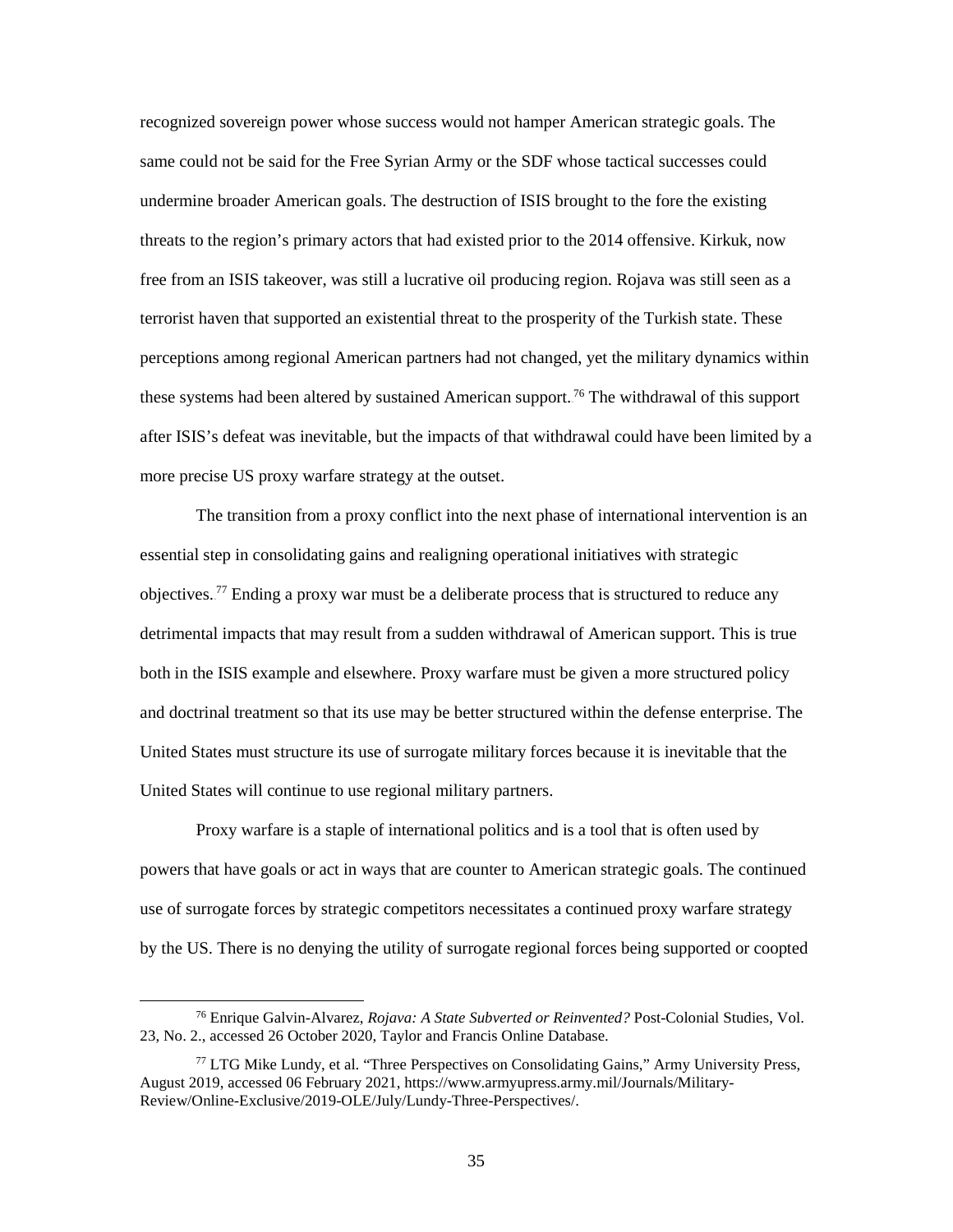recognized sovereign power whose success would not hamper American strategic goals. The same could not be said for the Free Syrian Army or the SDF whose tactical successes could undermine broader American goals. The destruction of ISIS brought to the fore the existing threats to the region's primary actors that had existed prior to the 2014 offensive. Kirkuk, now more precise US proxy warfare strategy at the outset. free from an ISIS takeover, was still a lucrative oil producing region. Rojava was still seen as a terrorist haven that supported an existential threat to the prosperity of the Turkish state. These perceptions among regional American partners had not changed, yet the military dynamics within these systems had been altered by sustained American support.<sup>76</sup> The withdrawal of this support after ISIS's defeat was inevitable, but the impacts of that withdrawal could have been limited by a

The transition from a proxy conflict into the next phase of international intervention is an essential step in consolidating gains and realigning operational initiatives with strategic objectives.<sup>77</sup> Ending a proxy war must be a deliberate process that is structured to reduce any detrimental impacts that may result from a sudden withdrawal of American support. This is true both in the ISIS example and elsewhere. Proxy warfare must be given a more structured policy and doctrinal treatment so that its use may be better structured within the defense enterprise. The United States must structure its use of surrogate military forces because it is inevitable that the United States will continue to use regional military partners.

 Proxy warfare is a staple of international politics and is a tool that is often used by powers that have goals or act in ways that are counter to American strategic goals. The continued use of surrogate forces by strategic competitors necessitates a continued proxy warfare strategy by the US. There is no denying the utility of surrogate regional forces being supported or coopted

<sup>76</sup> Enrique Galvin-Alvarez, *Rojava: A State Subverted or Reinvented?* Post-Colonial Studies, Vol. 23, No. 2., accessed 26 October 2020, Taylor and Francis Online Database.

 $77$  LTG Mike Lundy, et al. "Three Perspectives on Consolidating Gains," Army University Press, August 2019, accessed 06 February 2021, [https://www.armyupress.army.mil/Journals/Military-](https://www.armyupress.army.mil/Journals/Military-Review/Online-Exclusive/2019-OLE/July/Lundy-Three-Perspectives/)[Review/Online-Exclusive/2019-OLE/July/Lundy-Three-Perspectives/.](https://www.armyupress.army.mil/Journals/Military-Review/Online-Exclusive/2019-OLE/July/Lundy-Three-Perspectives/)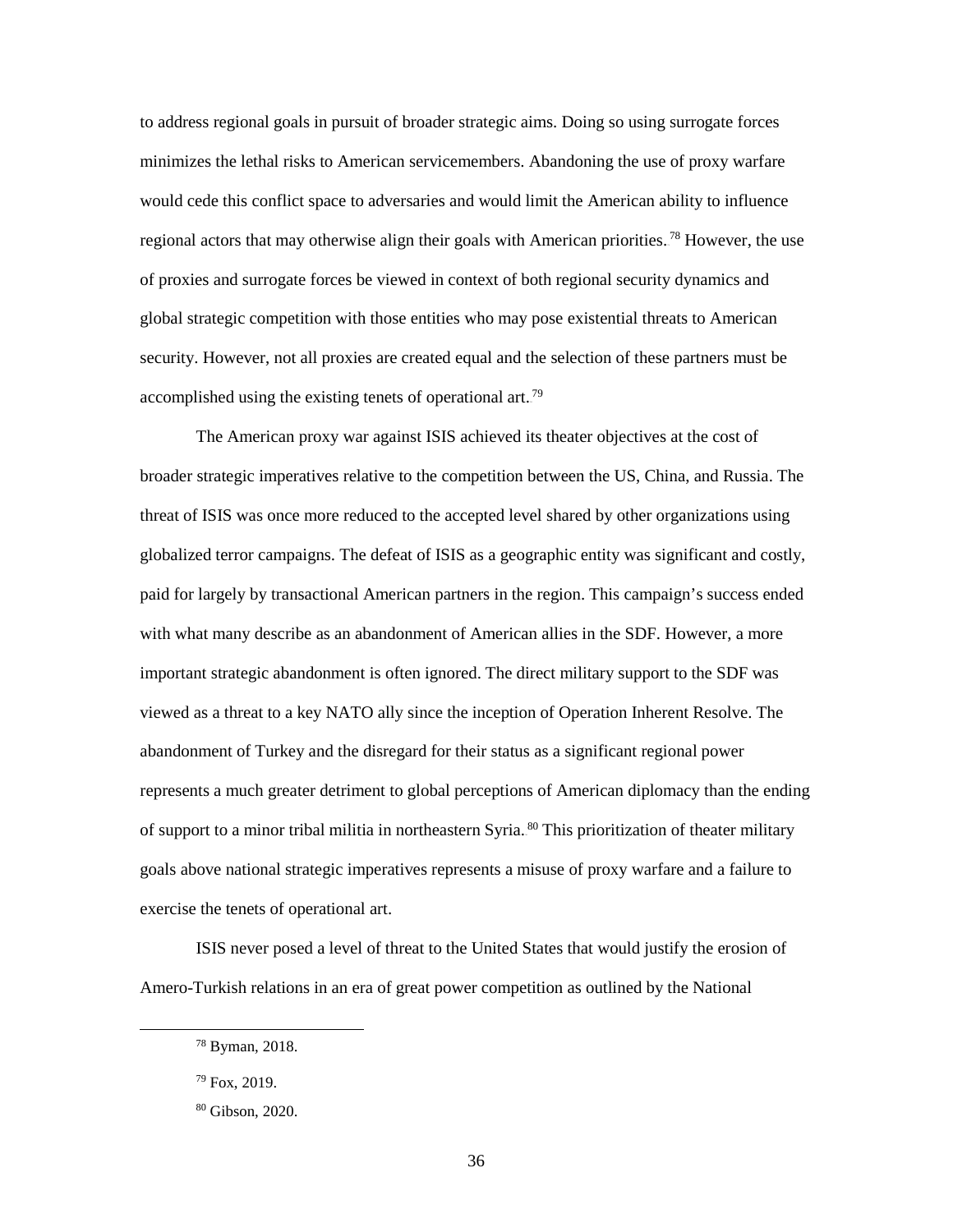global strategic competition with those entities who may pose existential threats to American security. However, not all proxies are created equal and the selection of these partners must be accomplished using the existing tenets of operational art.<sup>79</sup> to address regional goals in pursuit of broader strategic aims. Doing so using surrogate forces minimizes the lethal risks to American servicemembers. Abandoning the use of proxy warfare would cede this conflict space to adversaries and would limit the American ability to influence regional actors that may otherwise align their goals with American priorities.<sup>78</sup> However, the use of proxies and surrogate forces be viewed in context of both regional security dynamics and

 The American proxy war against ISIS achieved its theater objectives at the cost of with what many describe as an abandonment of American allies in the SDF. However, a more important strategic abandonment is often ignored. The direct military support to the SDF was viewed as a threat to a key NATO ally since the inception of Operation Inherent Resolve. The abandonment of Turkey and the disregard for their status as a significant regional power of support to a minor tribal militia in northeastern Syria. <sup>80</sup> This prioritization of theater military exercise the tenets of operational art. exercise the tenets of operational art.<br>ISIS never posed a level of threat to the United States that would justify the erosion of broader strategic imperatives relative to the competition between the US, China, and Russia. The threat of ISIS was once more reduced to the accepted level shared by other organizations using globalized terror campaigns. The defeat of ISIS as a geographic entity was significant and costly, paid for largely by transactional American partners in the region. This campaign's success ended represents a much greater detriment to global perceptions of American diplomacy than the ending goals above national strategic imperatives represents a misuse of proxy warfare and a failure to

Amero-Turkish relations in an era of great power competition as outlined by the National

<sup>78</sup> Byman, 2018.

 $79$  Fox, 2019.

<sup>80</sup> Gibson, 2020.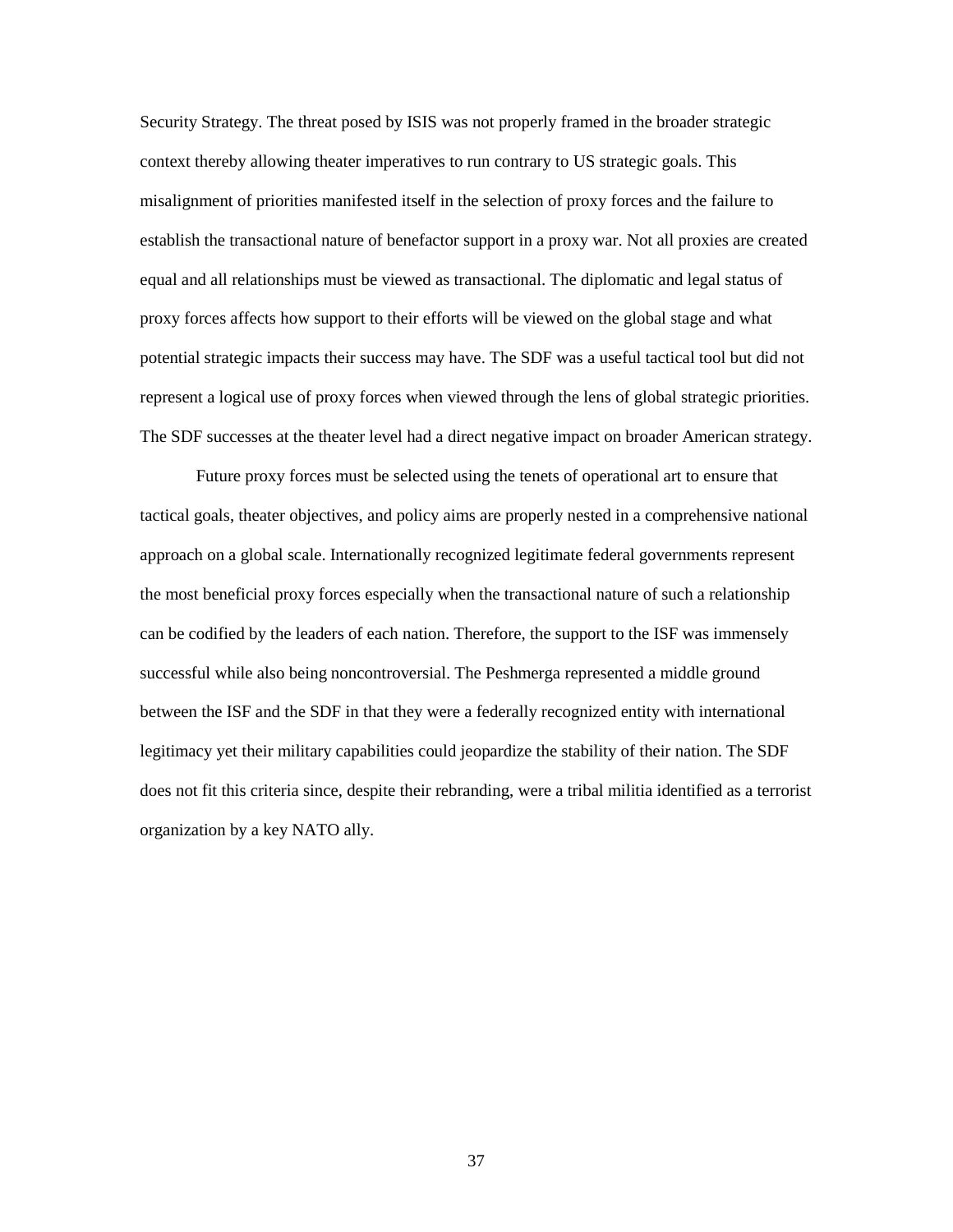context thereby allowing theater imperatives to run contrary to US strategic goals. This misalignment of priorities manifested itself in the selection of proxy forces and the failure to establish the transactional nature of benefactor support in a proxy war. Not all proxies are created proxy forces affects how support to their efforts will be viewed on the global stage and what The SDF successes at the theater level had a direct negative impact on broader American strategy. Security Strategy. The threat posed by ISIS was not properly framed in the broader strategic equal and all relationships must be viewed as transactional. The diplomatic and legal status of potential strategic impacts their success may have. The SDF was a useful tactical tool but did not represent a logical use of proxy forces when viewed through the lens of global strategic priorities.

 Future proxy forces must be selected using the tenets of operational art to ensure that does not fit this criteria since, despite their rebranding, were a tribal militia identified as a terrorist tactical goals, theater objectives, and policy aims are properly nested in a comprehensive national approach on a global scale. Internationally recognized legitimate federal governments represent the most beneficial proxy forces especially when the transactional nature of such a relationship can be codified by the leaders of each nation. Therefore, the support to the ISF was immensely successful while also being noncontroversial. The Peshmerga represented a middle ground between the ISF and the SDF in that they were a federally recognized entity with international legitimacy yet their military capabilities could jeopardize the stability of their nation. The SDF organization by a key NATO ally.

37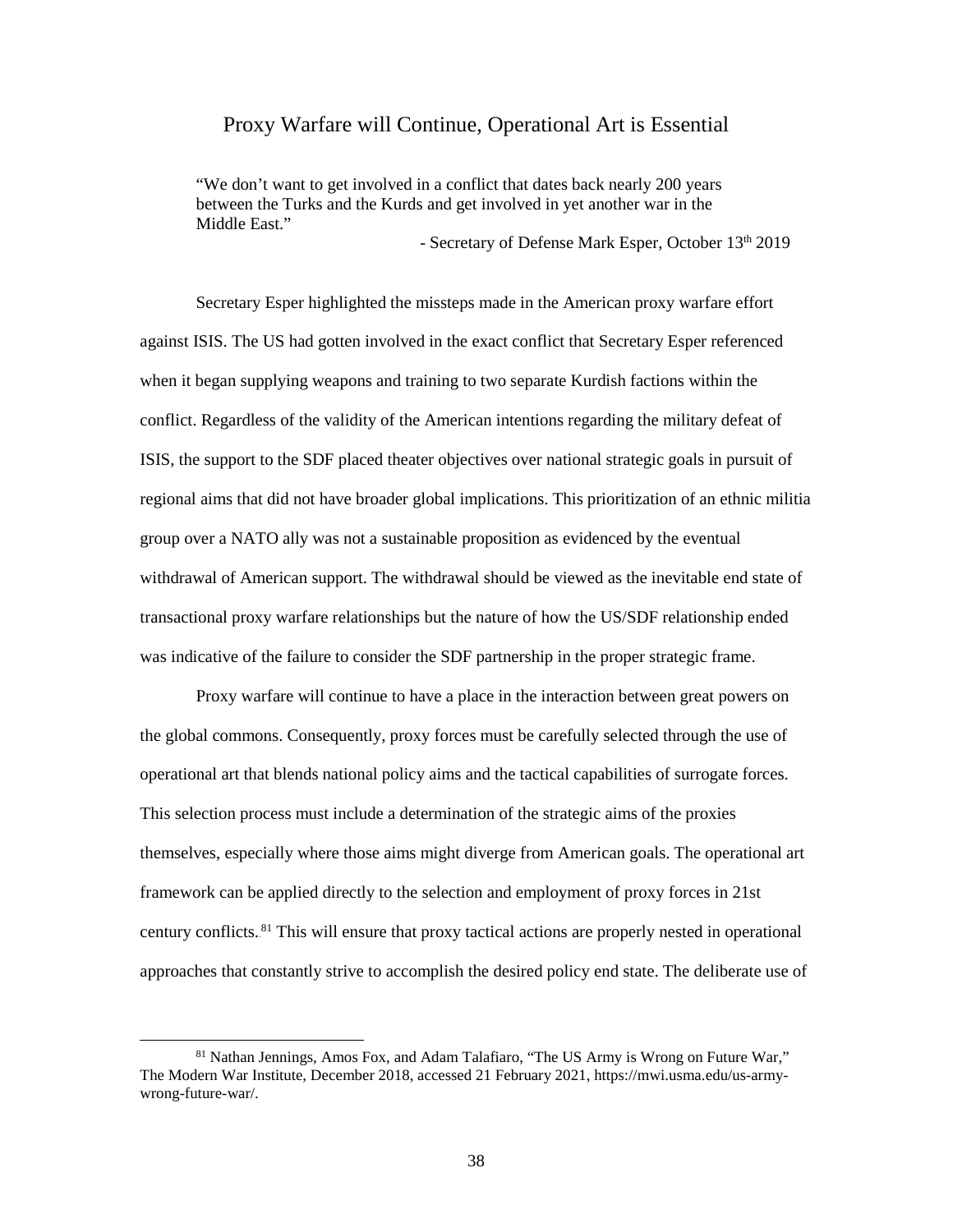#### Proxy Warfare will Continue, Operational Art is Essential

"We don't want to get involved in a conflict that dates back nearly 200 years between the Turks and the Kurds and get involved in yet another war in the Middle East."

- Secretary of Defense Mark Esper, October 13<sup>th</sup> 2019

 against ISIS. The US had gotten involved in the exact conflict that Secretary Esper referenced when it began supplying weapons and training to two separate Kurdish factions within the conflict. Regardless of the validity of the American intentions regarding the military defeat of transactional proxy warfare relationships but the nature of how the US/SDF relationship ended was indicative of the failure to consider the SDF partnership in the proper strategic frame. Secretary Esper highlighted the missteps made in the American proxy warfare effort ISIS, the support to the SDF placed theater objectives over national strategic goals in pursuit of regional aims that did not have broader global implications. This prioritization of an ethnic militia group over a NATO ally was not a sustainable proposition as evidenced by the eventual withdrawal of American support. The withdrawal should be viewed as the inevitable end state of

 Proxy warfare will continue to have a place in the interaction between great powers on operational art that blends national policy aims and the tactical capabilities of surrogate forces. themselves, especially where those aims might diverge from American goals. The operational art approaches that constantly strive to accomplish the desired policy end state. The deliberate use of the global commons. Consequently, proxy forces must be carefully selected through the use of This selection process must include a determination of the strategic aims of the proxies framework can be applied directly to the selection and employment of proxy forces in 21st century conflicts.<sup>81</sup> This will ensure that proxy tactical actions are properly nested in operational

<sup>&</sup>lt;sup>81</sup> Nathan Jennings, Amos Fox, and Adam Talafiaro, "The US Army is Wrong on Future War," The Modern War Institute, December 2018, accessed 21 February 2021, [https://mwi.usma.edu/us-army](https://mwi.usma.edu/us-army-wrong-future-war/)[wrong-future-war/.](https://mwi.usma.edu/us-army-wrong-future-war/)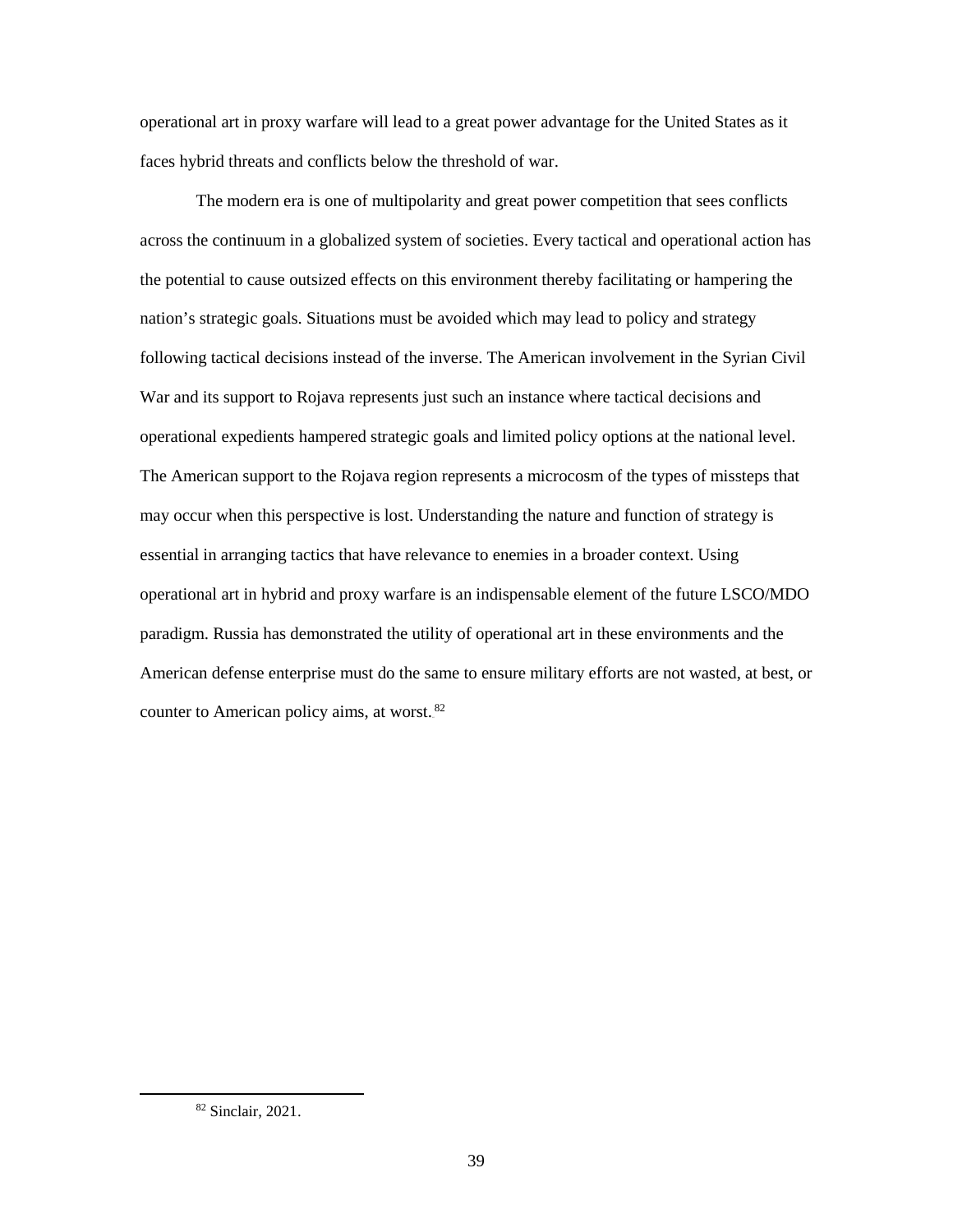operational art in proxy warfare will lead to a great power advantage for the United States as it faces hybrid threats and conflicts below the threshold of war.

 The modern era is one of multipolarity and great power competition that sees conflicts across the continuum in a globalized system of societies. Every tactical and operational action has the potential to cause outsized effects on this environment thereby facilitating or hampering the nation's strategic goals. Situations must be avoided which may lead to policy and strategy War and its support to Rojava represents just such an instance where tactical decisions and operational expedients hampered strategic goals and limited policy options at the national level. The American support to the Rojava region represents a microcosm of the types of missteps that may occur when this perspective is lost. Understanding the nature and function of strategy is essential in arranging tactics that have relevance to enemies in a broader context. Using paradigm. Russia has demonstrated the utility of operational art in these environments and the American defense enterprise must do the same to ensure military efforts are not wasted, at best, or following tactical decisions instead of the inverse. The American involvement in the Syrian Civil operational art in hybrid and proxy warfare is an indispensable element of the future LSCO/MDO counter to American policy aims, at worst.<sup>82</sup>

<sup>82</sup> Sinclair, 2021.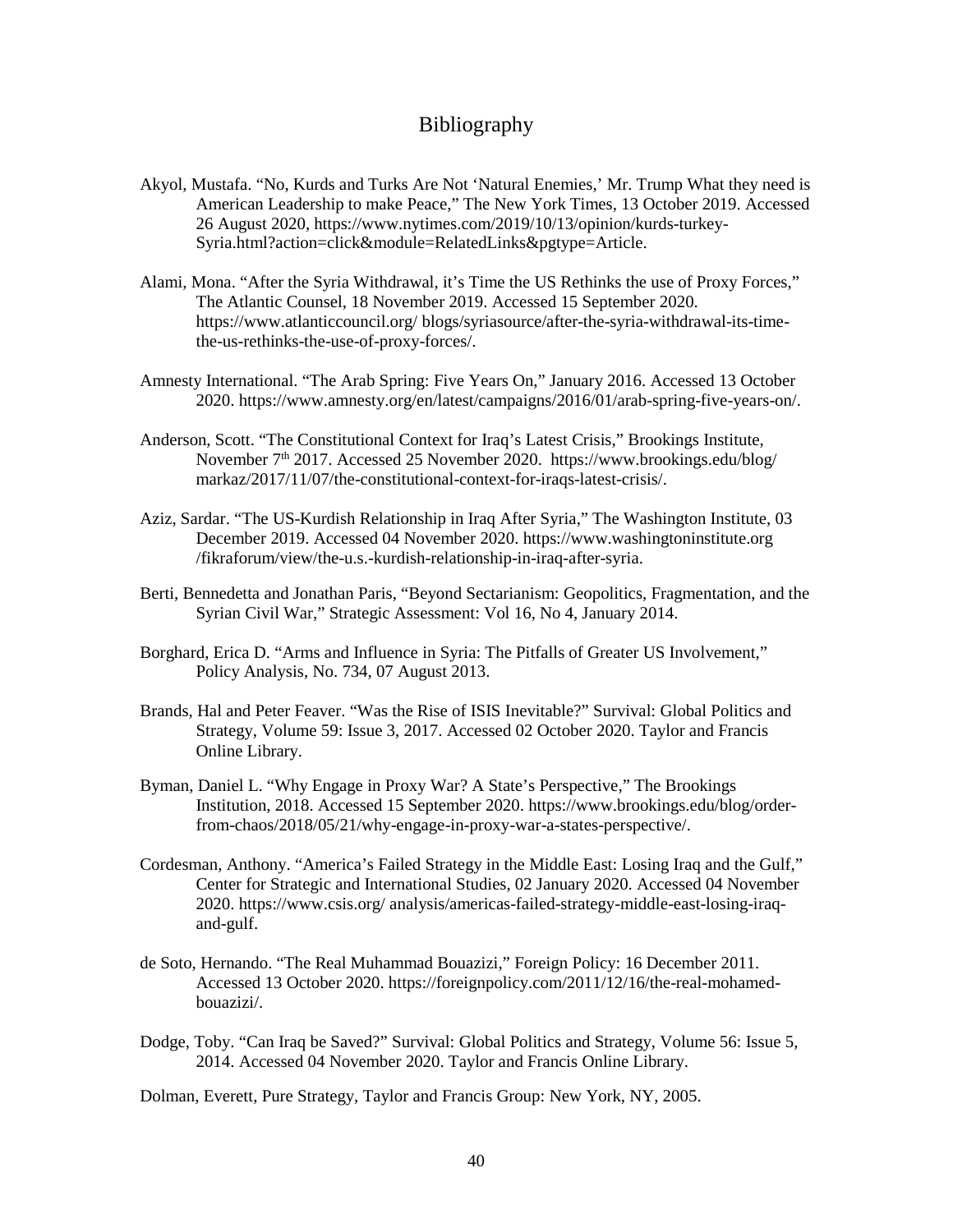### Bibliography

- <span id="page-47-0"></span> Akyol, Mustafa. "No, Kurds and Turks Are Not 'Natural Enemies,' Mr. Trump What they need is American Leadership to make Peace," The New York Times, 13 October 2019. Accessed 26 August 2020, [https://www.nytimes.com/2019/10/13/opinion/kurds-turkey-](https://www.nytimes.com/2019/10/13/opinion/kurds-turkey)Syria.html?action=click&module=RelatedLinks&pgtype=Article.
- Alami, Mona. "After the Syria Withdrawal, it's Time the US Rethinks the use of Proxy Forces," The Atlantic Counsel, 18 November 2019. Accessed 15 September 2020. [https://www.atlanticcouncil.org/ blogs/syriasource/after-the-syria-withdrawal-its-time](https://www.atlanticcouncil.org/%20blogs/syriasource/after-the-syria-withdrawal-its-time-the-us-rethinks-the-use-of-proxy-forces/)[the-us-rethinks-the-use-of-proxy-forces/.](https://www.atlanticcouncil.org/%20blogs/syriasource/after-the-syria-withdrawal-its-time-the-us-rethinks-the-use-of-proxy-forces/)
- Amnesty International. "The Arab Spring: Five Years On," January 2016. Accessed 13 October 2020. [https://www.amnesty.org/en/latest/campaigns/2016/01/arab-spring-five-years-on/](https://www.amnesty.org/en/latest/campaigns/2016/01/arab-spring-five-years-on).
- Anderson, Scott. "The Constitutional Context for Iraq's Latest Crisis," Brookings Institute, November 7<sup>th</sup> 2017. Accessed 25 November 2020. https://www.brookings.edu/blog/ [markaz/2017/11/07/the-constitutional-context-for-iraqs-latest-crisis/.](https://www.brookings.edu/blog/%20markaz/2017/11/07/the-constitutional-context-for-iraqs-latest-crisis/)
- Aziz, Sardar. "The US-Kurdish Relationship in Iraq After Syria," The Washington Institute, 03 December 2019. Accessed 04 November 2020. [https://www.washingtoninstitute.org](https://www.washingtoninstitute.org/)  /fikraforum/view/the-u.s.-kurdish-relationship-in-iraq-after-syria.
- Berti, Bennedetta and Jonathan Paris, "Beyond Sectarianism: Geopolitics, Fragmentation, and the Syrian Civil War," Strategic Assessment: Vol 16, No 4, January 2014.
- Borghard, Erica D. "Arms and Influence in Syria: The Pitfalls of Greater US Involvement," Policy Analysis, No. 734, 07 August 2013.
- Brands, Hal and Peter Feaver. "Was the Rise of ISIS Inevitable?" Survival: Global Politics and Strategy, Volume 59: Issue 3, 2017. Accessed 02 October 2020. Taylor and Francis Online Library.
- Byman, Daniel L. "Why Engage in Proxy War? A State's Perspective," The Brookings Institution, 2018. Accessed 15 September 2020. [https://www.brookings.edu/blog/order](https://www.brookings.edu/blog/order-from-chaos/2018/05/21/why-engage-in-proxy-war-a-states-perspective/)[from-chaos/2018/05/21/why-engage-in-proxy-war-a-states-perspective/.](https://www.brookings.edu/blog/order-from-chaos/2018/05/21/why-engage-in-proxy-war-a-states-perspective/)
- Cordesman, Anthony. "America's Failed Strategy in the Middle East: Losing Iraq and the Gulf," Center for Strategic and International Studies, 02 January 2020. Accessed 04 November 2020. [https://www.csis.org/ analysis/americas-failed-strategy-middle-east-losing-iraq](https://www.csis.org/%20analysis/americas-failed-strategy-middle-east-losing-iraq-and-gulf)[and-gulf.](https://www.csis.org/%20analysis/americas-failed-strategy-middle-east-losing-iraq-and-gulf)
- de Soto, Hernando. "The Real Muhammad Bouazizi," Foreign Policy: 16 December 2011. Accessed 13 October 2020. <https://foreignpolicy.com/2011/12/16/the-real-mohamed>bouazizi/.
- Dodge, Toby. "Can Iraq be Saved?" Survival: Global Politics and Strategy, Volume 56: Issue 5, 2014. Accessed 04 November 2020. Taylor and Francis Online Library.

Dolman, Everett, Pure Strategy, Taylor and Francis Group: New York, NY, 2005.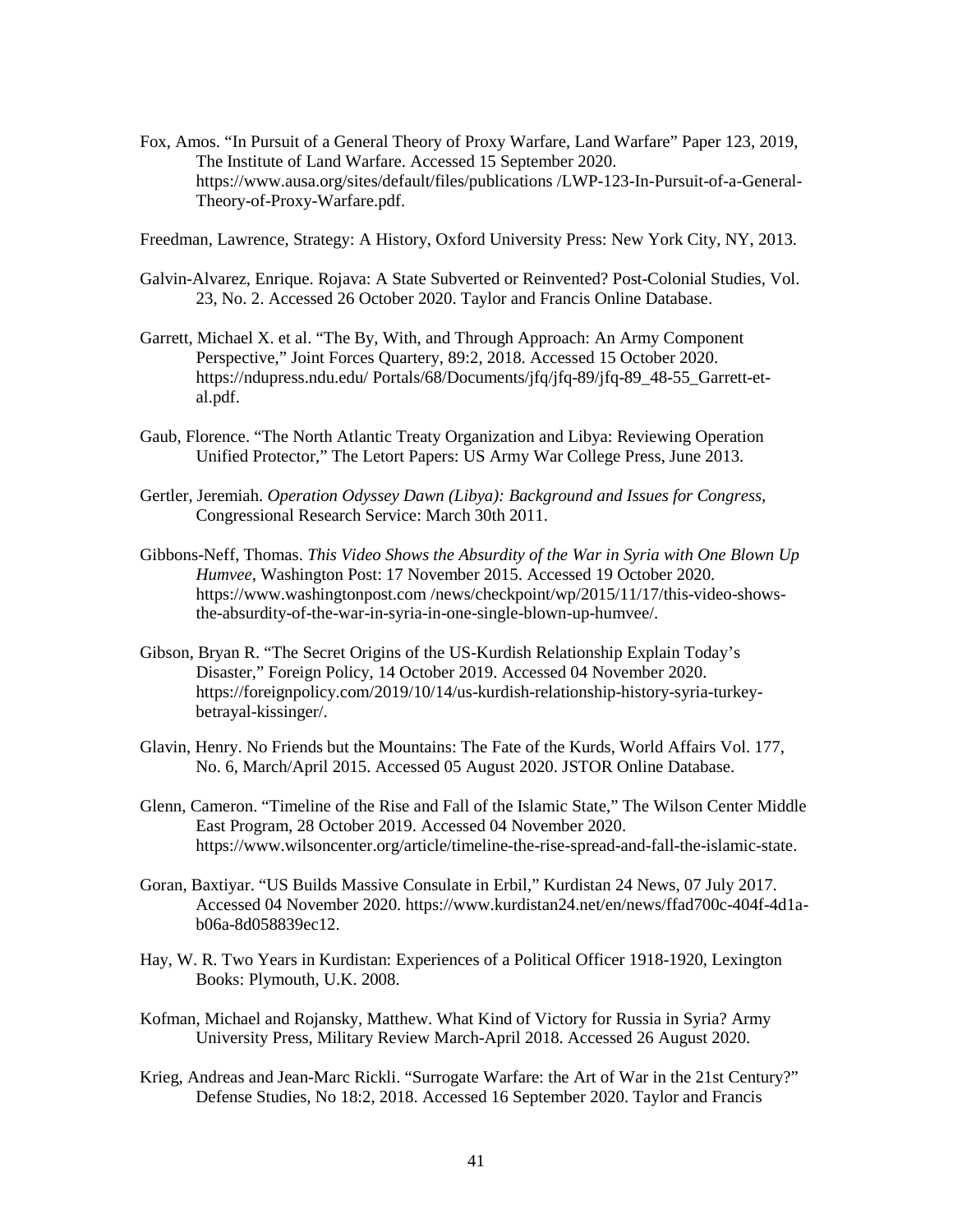- Fox, Amos. "In Pursuit of a General Theory of Proxy Warfare, Land Warfare" Paper 123, 2019, The Institute of Land Warfare. Accessed 15 September 2020. [https://www.ausa.org/sites/default/files/publications /LWP-123-In-Pursuit-of-a-General-](https://www.ausa.org/sites/default/files/publications%20/LWP-123-In-Pursuit-of-a-General-Theory-of-Proxy-Warfare.pdf)[Theory-of-Proxy-Warfare.pdf.](https://www.ausa.org/sites/default/files/publications%20/LWP-123-In-Pursuit-of-a-General-Theory-of-Proxy-Warfare.pdf)
- Freedman, Lawrence, Strategy: A History, Oxford University Press: New York City, NY, 2013.
- Galvin-Alvarez, Enrique. Rojava: A State Subverted or Reinvented? Post-Colonial Studies, Vol. 23, No. 2. Accessed 26 October 2020. Taylor and Francis Online Database.
- Perspective," Joint Forces Quartery, 89:2, 2018. Accessed 15 October 2020. Garrett, Michael X. et al. "The By, With, and Through Approach: An Army Component [https://ndupress.ndu.edu/](https://ndupress.ndu.edu) Portals/68/Documents/jfq/jfq-89/jfq-89\_48-55\_Garrett-etal.pdf.
- Unified Protector," The Letort Papers: US Army War College Press, June 2013. Gaub, Florence. "The North Atlantic Treaty Organization and Libya: Reviewing Operation
- Gertler, Jeremiah. *Operation Odyssey Dawn (Libya): Background and Issues for Congress*, Congressional Research Service: March 30th 2011.
- Gibbons-Neff, Thomas. *This Video Shows the Absurdity of the War in Syria with One Blown Up Humvee*, Washington Post: 17 November 2015. Accessed 19 October 2020. <https://www.washingtonpost.com>/news/checkpoint/wp/2015/11/17/this-video-showsthe-absurdity-of-the-war-in-syria-in-one-single-blown-up-humvee/.
- Gibson, Bryan R. "The Secret Origins of the US-Kurdish Relationship Explain Today's Disaster," Foreign Policy, 14 October 2019. Accessed 04 November 2020. [https://foreignpolicy.com/2019/10/14/us-kurdish-relationship-history-syria-turkey](https://foreignpolicy.com/2019/10/14/us-kurdish-relationship-history-syria-turkey-betrayal-kissinger/)[betrayal-kissinger/.](https://foreignpolicy.com/2019/10/14/us-kurdish-relationship-history-syria-turkey-betrayal-kissinger/)
- Glavin, Henry. No Friends but the Mountains: The Fate of the Kurds, World Affairs Vol. 177, No. 6, March/April 2015. Accessed 05 August 2020. JSTOR Online Database.
- Glenn, Cameron. "Timeline of the Rise and Fall of the Islamic State," The Wilson Center Middle East Program, 28 October 2019. Accessed 04 November 2020. [https://www.wilsoncenter.org/article/timeline-the-rise-spread-and-fall-the-islamic-state.](https://www.wilsoncenter.org/article/timeline-the-rise-spread-and-fall-the-islamic-state)
- Goran, Baxtiyar. "US Builds Massive Consulate in Erbil," Kurdistan 24 News, 07 July 2017. Accessed 04 November 2020. <https://www.kurdistan24.net/en/news/ffad700c-404f-4d1a>b06a-8d058839ec12.
- Hay, W. R. Two Years in Kurdistan: Experiences of a Political Officer 1918-1920, Lexington Books: Plymouth, U.K. 2008.
- Kofman, Michael and Rojansky, Matthew. What Kind of Victory for Russia in Syria? Army University Press, Military Review March-April 2018. Accessed 26 August 2020.
- Krieg, Andreas and Jean-Marc Rickli. "Surrogate Warfare: the Art of War in the 21st Century?" Defense Studies, No 18:2, 2018. Accessed 16 September 2020. Taylor and Francis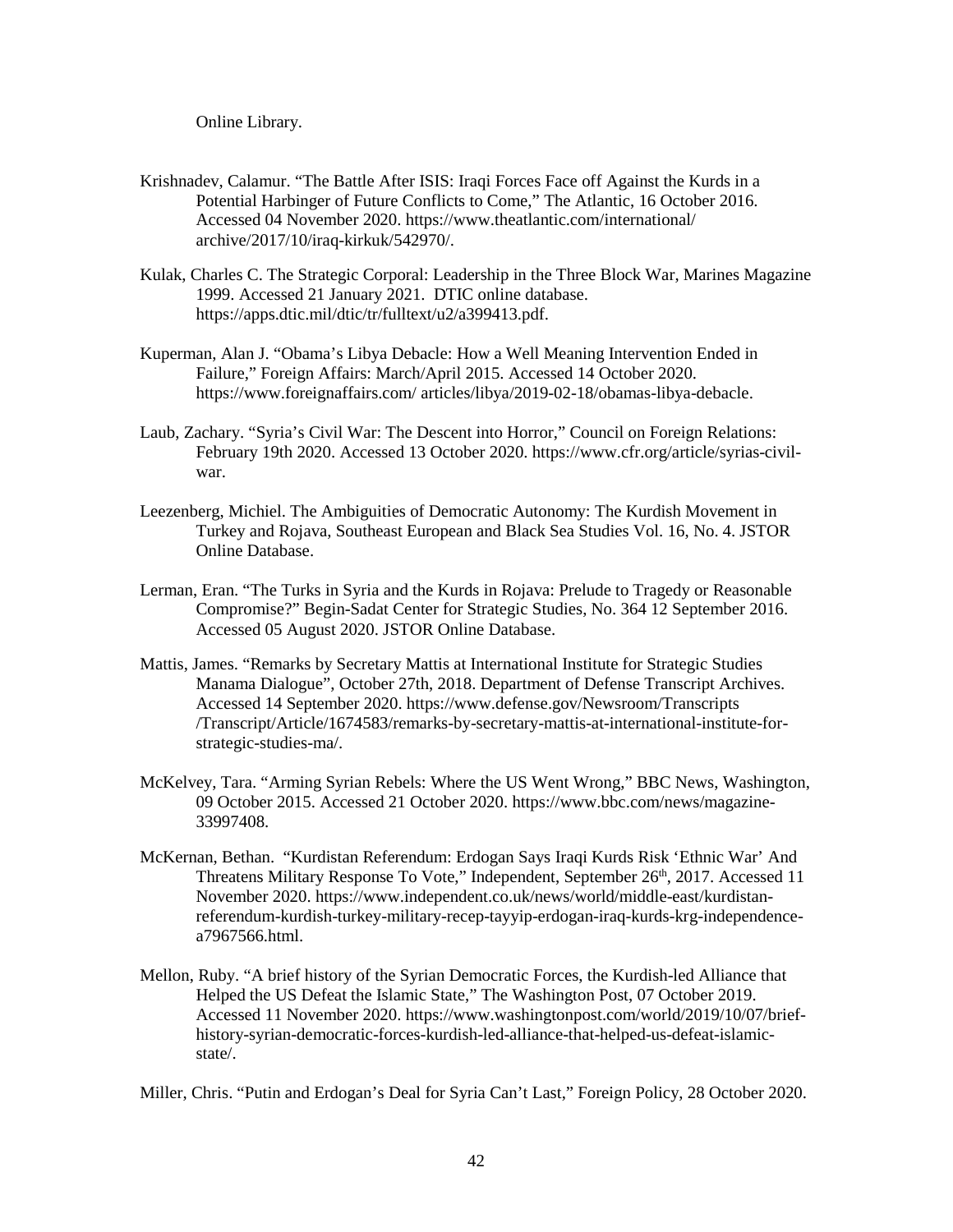Online Library.

- Krishnadev, Calamur. "The Battle After ISIS: Iraqi Forces Face off Against the Kurds in a Potential Harbinger of Future Conflicts to Come," The Atlantic, 16 October 2016. Accessed 04 November 2020.<https://www.theatlantic.com/international/> archive/2017/10/iraq-kirkuk/542970/.
- Kulak, Charles C. The Strategic Corporal: Leadership in the Three Block War, Marines Magazine 1999. Accessed 21 January 2021. DTIC online database. <https://apps.dtic.mil/dtic/tr/fulltext/u2/a399413.pdf>.
- Kuperman, Alan J. "Obama's Libya Debacle: How a Well Meaning Intervention Ended in Failure," Foreign Affairs: March/April 2015. Accessed 14 October 2020. <https://www.foreignaffairs.com/>articles/libya/2019-02-18/obamas-libya-debacle.
- Laub, Zachary. "Syria's Civil War: The Descent into Horror," Council on Foreign Relations: February 19th 2020. Accessed 13 October 2020.<https://www.cfr.org/article/syrias-civil>war.
- Online Database. Leezenberg, Michiel. The Ambiguities of Democratic Autonomy: The Kurdish Movement in Turkey and Rojava, Southeast European and Black Sea Studies Vol. 16, No. 4. JSTOR
- Lerman, Eran. "The Turks in Syria and the Kurds in Rojava: Prelude to Tragedy or Reasonable Compromise?" Begin-Sadat Center for Strategic Studies, No. 364 12 September 2016. Accessed 05 August 2020. JSTOR Online Database.
- Mattis, James. "Remarks by Secretary Mattis at International Institute for Strategic Studies Manama Dialogue", October 27th, 2018. Department of Defense Transcript Archives. Accessed 14 September 2020.<https://www.defense.gov/Newsroom/Transcripts> /Transcript/Article/1674583/remarks-by-secretary-mattis-at-international-institute-forstrategic-studies-ma/.
- McKelvey, Tara. "Arming Syrian Rebels: Where the US Went Wrong," BBC News, Washington, 09 October 2015. Accessed 21 October 2020. [https://www.bbc.com/news/magazine-](https://www.bbc.com/news/magazine-33997408.)[33997408.](https://www.bbc.com/news/magazine-33997408.)
- McKernan, Bethan. "Kurdistan Referendum: Erdogan Says Iraqi Kurds Risk 'Ethnic War' And Threatens Military Response To Vote," Independent, September 26<sup>th</sup>, 2017. Accessed 11 November 2020. <https://www.independent.co.uk/news/world/middle-east/kurdistan>referendum-kurdish-turkey-military-recep-tayyip-erdogan-iraq-kurds-krg-independencea7967566.html.
- Mellon, Ruby. "A brief history of the Syrian Democratic Forces, the Kurdish-led Alliance that Helped the US Defeat the Islamic State," The Washington Post, 07 October 2019. Accessed 11 November 2020. <https://www.washingtonpost.com/world/2019/10/07/brief>history-syrian-democratic-forces-kurdish-led-alliance-that-helped-us-defeat-islamicstate/.
- Miller, Chris. "Putin and Erdogan's Deal for Syria Can't Last," Foreign Policy, 28 October 2020.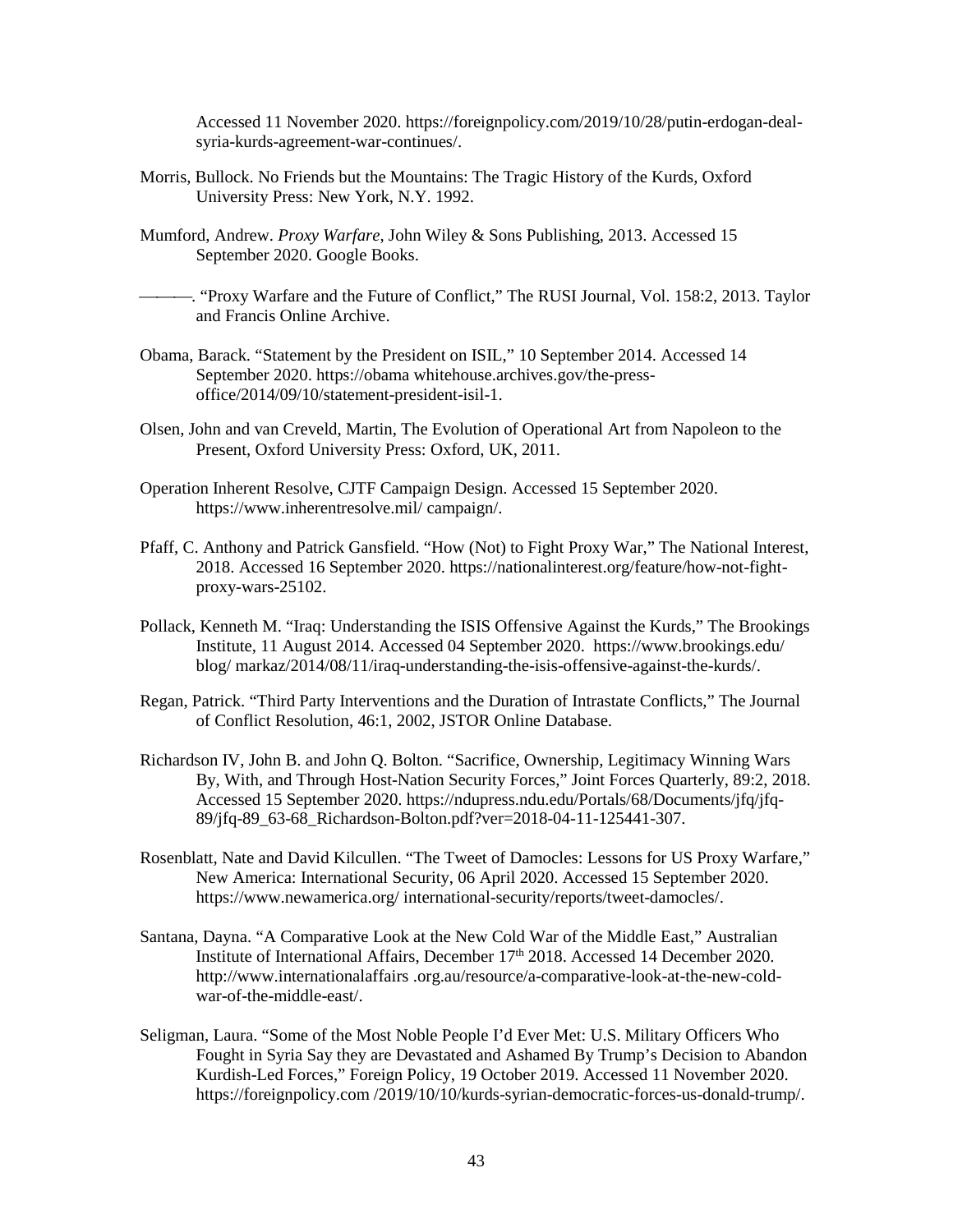Accessed 11 November 2020. <https://foreignpolicy.com/2019/10/28/putin-erdogan-deal>syria-kurds-agreement-war-continues/.

- Morris, Bullock. No Friends but the Mountains: The Tragic History of the Kurds, Oxford University Press: New York, N.Y. 1992.
- Mumford, Andrew. *Proxy Warfare*, John Wiley & Sons Publishing, 2013. Accessed 15 September 2020. Google Books.
- . "Proxy Warfare and the Future of Conflict," The RUSI Journal, Vol. 158:2, 2013. Taylor and Francis Online Archive.
- Obama, Barack. "Statement by the President on ISIL," 10 September 2014. Accessed 14 September 2020. [https://obama](https://obama/) [whitehouse.archives.gov/the-press](https://whitehouse.archives.gov/the-press)office/2014/09/10/statement-president-isil-1.
- Olsen, John and van Creveld, Martin, The Evolution of Operational Art from Napoleon to the Present, Oxford University Press: Oxford, UK, 2011.
- Operation Inherent Resolve, CJTF Campaign Design. Accessed 15 September 2020. [https://www.inherentresolve.mil/ campaign/.](https://www.inherentresolve.mil/%20campaign/)
- Pfaff, C. Anthony and Patrick Gansfield. "How (Not) to Fight Proxy War," The National Interest, 2018. Accessed 16 September 2020. <https://nationalinterest.org/feature/how-not-fight>proxy-wars-25102.
- Pollack, Kenneth M. "Iraq: Understanding the ISIS Offensive Against the Kurds," The Brookings Institute, 11 August 2014. Accessed 04 September 2020. <https://www.brookings.edu/> blog/ markaz/2014/08/11/iraq-understanding-the-isis-offensive-against-the-kurds/.
- Regan, Patrick. "Third Party Interventions and the Duration of Intrastate Conflicts," The Journal of Conflict Resolution, 46:1, 2002, JSTOR Online Database.
- Richardson IV, John B. and John Q. Bolton. "Sacrifice, Ownership, Legitimacy Winning Wars By, With, and Through Host-Nation Security Forces," Joint Forces Quarterly, 89:2, 2018. Accessed 15 September 2020. [https://ndupress.ndu.edu/Portals/68/Documents/jfq/jfq-](https://ndupress.ndu.edu/Portals/68/Documents/jfq/jfq-89/jfq-89_63-68_Richardson-Bolton.pdf?ver=2018-04-11-125441-307)[89/jfq-89\\_63-68\\_Richardson-Bolton.pdf?ver=2018-04-11-125441-307.](https://ndupress.ndu.edu/Portals/68/Documents/jfq/jfq-89/jfq-89_63-68_Richardson-Bolton.pdf?ver=2018-04-11-125441-307)
- Rosenblatt, Nate and David Kilcullen. "The Tweet of Damocles: Lessons for US Proxy Warfare," New America: International Security, 06 April 2020. Accessed 15 September 2020. <https://www.newamerica.org/>international-security/reports/tweet-damocles/.
- Santana, Dayna. "A Comparative Look at the New Cold War of the Middle East," Australian Institute of International Affairs, December 17<sup>th</sup> 2018. Accessed 14 December 2020. <http://www.internationalaffairs>.org.au/resource/a-comparative-look-at-the-new-coldwar-of-the-middle-east/.
- Seligman, Laura. "Some of the Most Noble People I'd Ever Met: U.S. Military Officers Who Fought in Syria Say they are Devastated and Ashamed By Trump's Decision to Abandon Kurdish-Led Forces," Foreign Policy, 19 October 2019. Accessed 11 November 2020. [https://foreignpolicy.com](https://foreignpolicy.com/) /2019/10/10/kurds-syrian-democratic-forces-us-donald-trump/.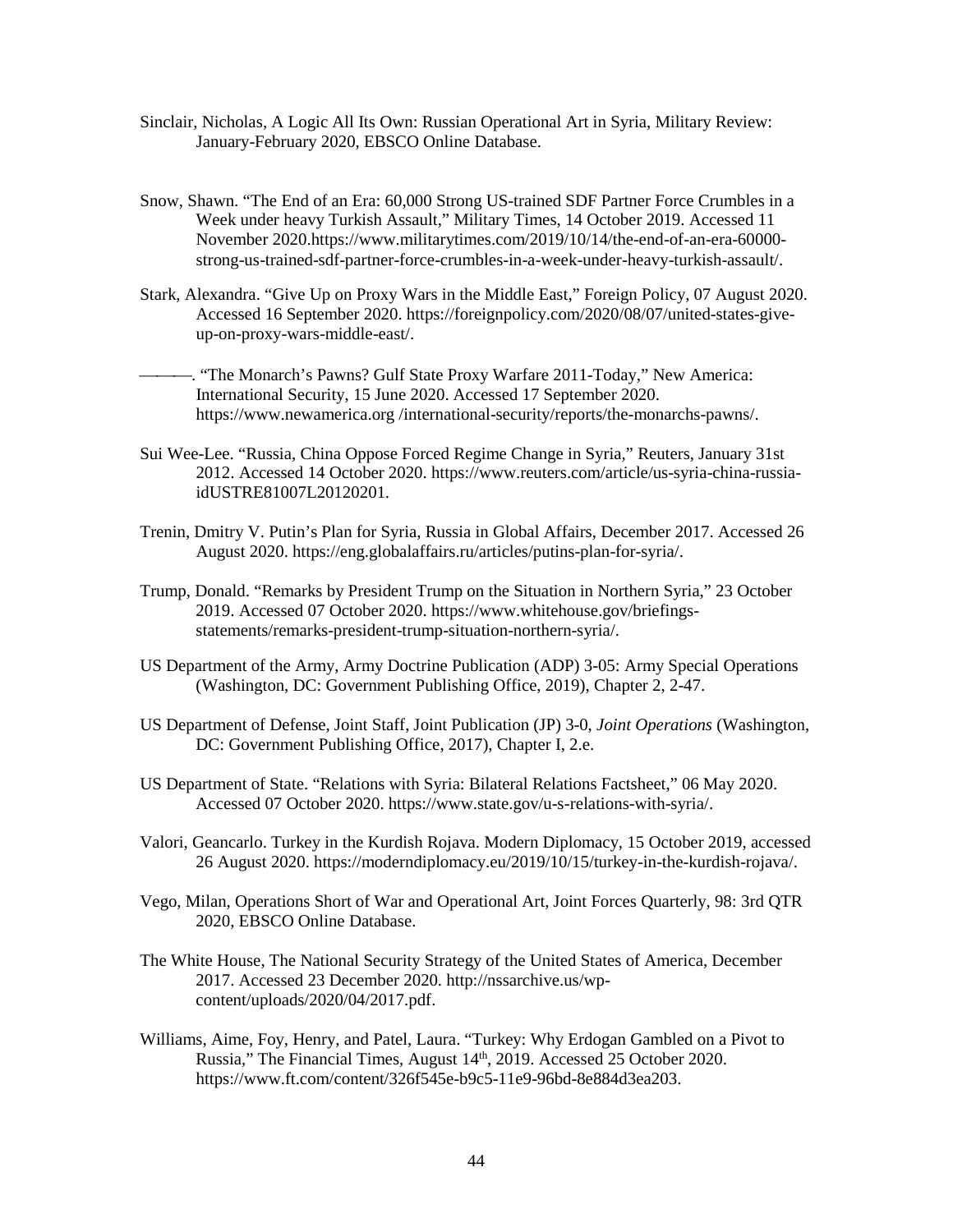- Sinclair, Nicholas, A Logic All Its Own: Russian Operational Art in Syria, Military Review: January-February 2020, EBSCO Online Database.
- strong-us-trained-sdf-partner-force-crumbles-in-a-week-under-heavy-turkish-assault/. Snow, Shawn. "The End of an Era: 60,000 Strong US-trained SDF Partner Force Crumbles in a Week under heavy Turkish Assault," Military Times, 14 October 2019. Accessed 11 November [2020.https://www.militarytimes.com/2019/10/14/the-end-of-an-era-60000-](https://2020.https://www.militarytimes.com/2019/10/14/the-end-of-an-era-60000)
- strong-us-trained-sdf-partner-force-crumbles-in-a-week-under-heavy-turkish-assault/. Stark, Alexandra. "Give Up on Proxy Wars in the Middle East," Foreign Policy, 07 August 2020. Accessed 16 September 2020.<https://foreignpolicy.com/2020/08/07/united-states-give>up-on-proxy-wars-middle-east/.
- . "The Monarch's Pawns? Gulf State Proxy Warfare 2011-Today," New America: International Security, 15 June 2020. Accessed 17 September 2020. [https://www.newamerica.org](https://www.newamerica.org/) /international-security/reports/the-monarchs-pawns/.
- Sui Wee-Lee. "Russia, China Oppose Forced Regime Change in Syria," Reuters, January 31st 2012. Accessed 14 October 2020.<https://www.reuters.com/article/us-syria-china-russia>idUSTRE81007L20120201.
- Trenin, Dmitry V. Putin's Plan for Syria, Russia in Global Affairs, December 2017. Accessed 26 August 2020.<https://eng.globalaffairs.ru/articles/putins-plan-for-syria>/.
- Trump, Donald. "Remarks by President Trump on the Situation in Northern Syria," 23 October 2019. Accessed 07 October 2020.<https://www.whitehouse.gov/briefings>statements/remarks-president-trump-situation-northern-syria/.
- US Department of the Army, Army Doctrine Publication (ADP) 3-05: Army Special Operations (Washington, DC: Government Publishing Office, 2019), Chapter 2, 2-47.
- US Department of Defense, Joint Staff, Joint Publication (JP) 3-0, *Joint Operations* (Washington, DC: Government Publishing Office, 2017), Chapter I, 2.e.
- US Department of State. "Relations with Syria: Bilateral Relations Factsheet," 06 May 2020. Accessed 07 October 2020. [https://www.state.gov/u-s-relations-with-syria/.](https://www.state.gov/u-s-relations-with-syria/)
- Valori, Geancarlo. Turkey in the Kurdish Rojava. Modern Diplomacy, 15 October 2019, accessed 26 August 2020. [https://moderndiplomacy.eu/2019/10/15/turkey-in-the-kurdish-rojava/.](https://moderndiplomacy.eu/2019/10/15/turkey-in-the-kurdish-rojava/)
- Vego, Milan, Operations Short of War and Operational Art, Joint Forces Quarterly, 98: 3rd QTR 2020, EBSCO Online Database.
- The White House, The National Security Strategy of the United States of America, December 2017. Accessed 23 December 2020. [http://nssarchive.us/wp](http://nssarchive.us/wp-content/uploads/2020/04/2017.pdf)[content/uploads/2020/04/2017.pdf.](http://nssarchive.us/wp-content/uploads/2020/04/2017.pdf)
- Williams, Aime, Foy, Henry, and Patel, Laura. "Turkey: Why Erdogan Gambled on a Pivot to Russia," The Financial Times, August 14<sup>th</sup>, 2019. Accessed 25 October 2020. [https://www.ft.com/content/326f545e-b9c5-11e9-96bd-8e884d3ea203.](https://www.ft.com/content/326f545e-b9c5-11e9-96bd-8e884d3ea203)